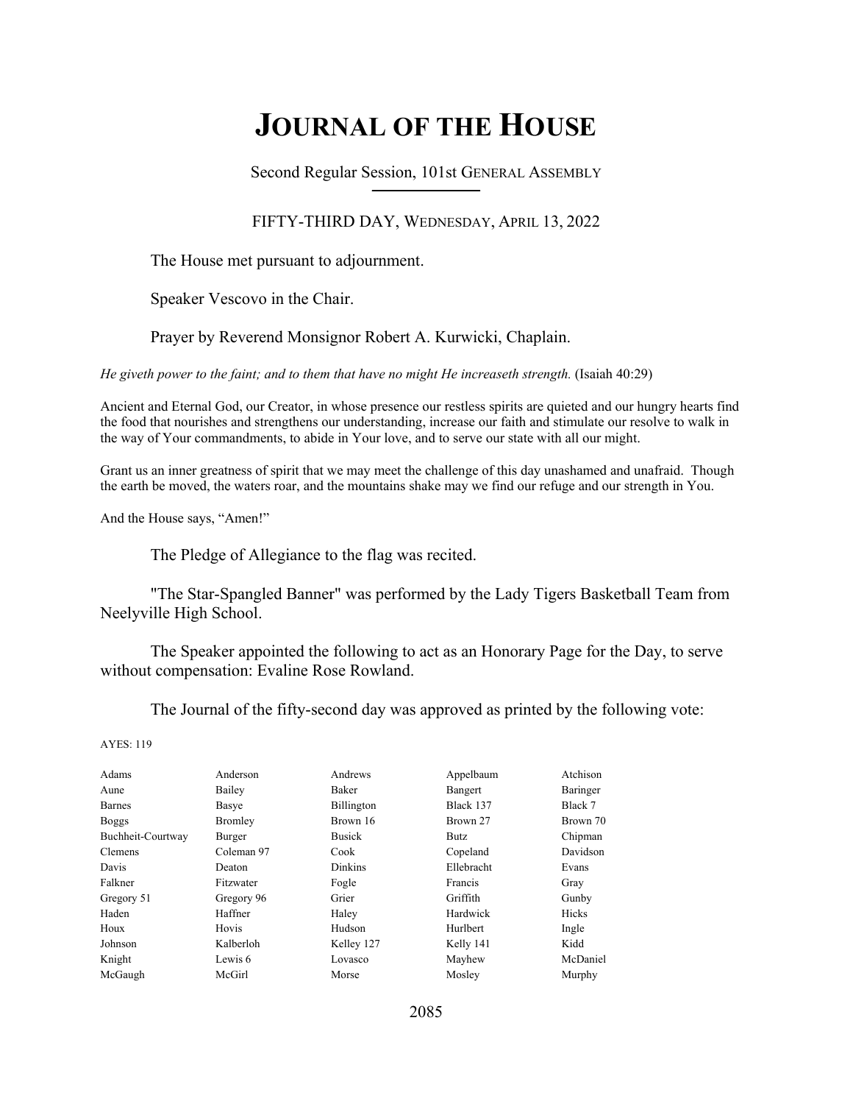# **JOURNAL OF THE HOUSE**

Second Regular Session, 101st GENERAL ASSEMBLY **\_\_\_\_\_\_\_\_\_\_\_\_\_\_\_\_\_\_\_\_\_\_\_\_\_\_**

### FIFTY-THIRD DAY, WEDNESDAY, APRIL 13, 2022

The House met pursuant to adjournment.

Speaker Vescovo in the Chair.

Prayer by Reverend Monsignor Robert A. Kurwicki, Chaplain.

*He giveth power to the faint; and to them that have no might He increaseth strength.* (Isaiah 40:29)

Ancient and Eternal God, our Creator, in whose presence our restless spirits are quieted and our hungry hearts find the food that nourishes and strengthens our understanding, increase our faith and stimulate our resolve to walk in the way of Your commandments, to abide in Your love, and to serve our state with all our might.

Grant us an inner greatness of spirit that we may meet the challenge of this day unashamed and unafraid. Though the earth be moved, the waters roar, and the mountains shake may we find our refuge and our strength in You.

And the House says, "Amen!"

The Pledge of Allegiance to the flag was recited.

 "The Star-Spangled Banner" was performed by the Lady Tigers Basketball Team from Neelyville High School.

The Speaker appointed the following to act as an Honorary Page for the Day, to serve without compensation: Evaline Rose Rowland.

The Journal of the fifty-second day was approved as printed by the following vote:

| Adams             | Anderson   | Andrews        | Appelbaum      | Atchison |
|-------------------|------------|----------------|----------------|----------|
| Aune              | Bailey     | Baker          | Bangert        | Baringer |
| Barnes            | Basye      | Billington     | Black 137      | Black 7  |
| <b>Boggs</b>      | Bromley    | Brown 16       | Brown 27       | Brown 70 |
| Buchheit-Courtway | Burger     | <b>Busick</b>  | Butz.          | Chipman  |
| <b>Clemens</b>    | Coleman 97 | Cook           | Copeland       | Davidson |
| Davis             | Deaton     | <b>Dinkins</b> | Ellebracht     | Evans    |
| Falkner           | Fitzwater  | Fogle          | <b>Francis</b> | Gray     |
| Gregory 51        | Gregory 96 | Grier          | Griffith       | Gunby    |
| Haden             | Haffner    | Haley          | Hardwick       | Hicks    |
| Houx              | Hovis      | Hudson         | Hurlbert       | Ingle    |
| Johnson           | Kalberloh  | Kelley 127     | Kelly 141      | Kidd     |
| Knight            | Lewis 6    | Lovasco        | Mayhew         | McDaniel |
| McGaugh           | McGirl     | Morse          | Mosley         | Murphy   |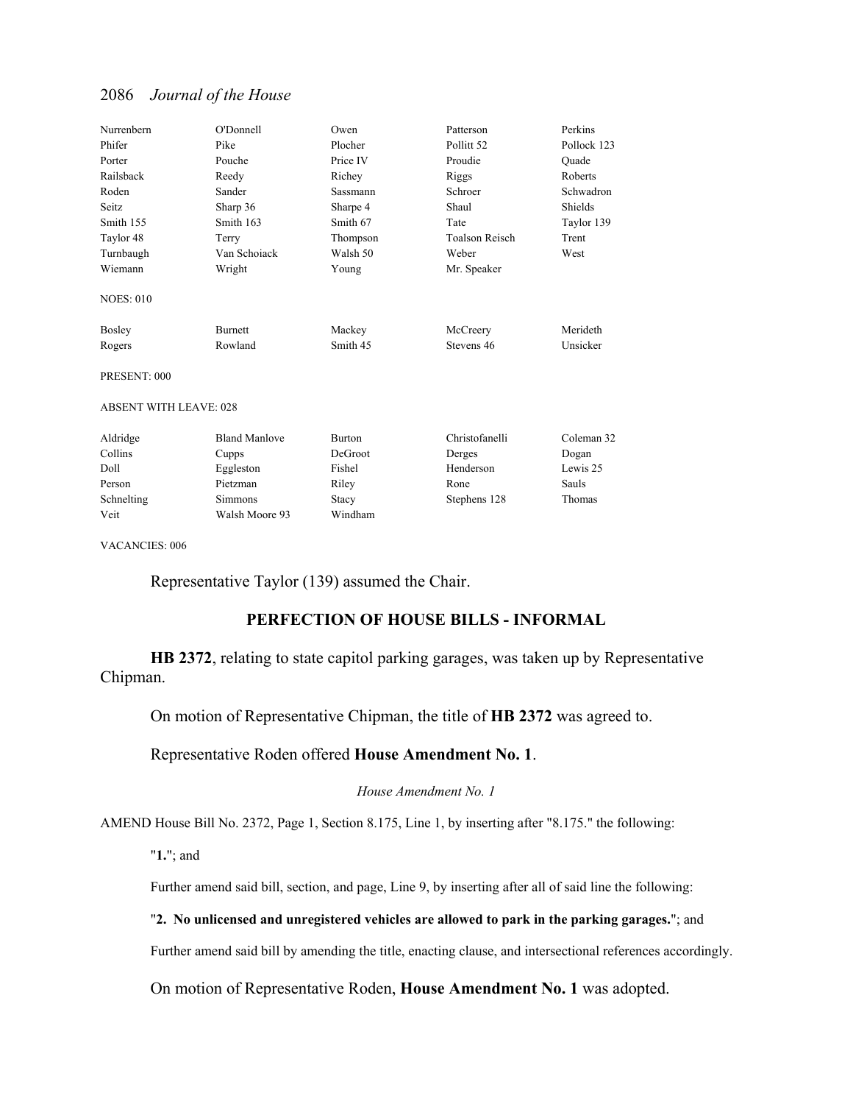| Nurrenbern                    | O'Donnell            | Owen          | Patterson             | Perkins     |
|-------------------------------|----------------------|---------------|-----------------------|-------------|
| Phifer                        | Pike                 | Plocher       | Pollitt <sub>52</sub> | Pollock 123 |
| Porter                        | Pouche               | Price IV      | Proudie               | Ouade       |
| Railsback                     | Reedy                | Richey        | Riggs                 | Roberts     |
| Roden                         | Sander               | Sassmann      | Schroer               | Schwadron   |
| Seitz                         | Sharp 36             | Sharpe 4      | Shaul                 | Shields     |
| Smith 155                     | Smith 163            | Smith 67      | Tate                  | Taylor 139  |
| Taylor 48                     | Terry                | Thompson      | <b>Toalson Reisch</b> | Trent       |
| Turnbaugh                     | Van Schoiack         | Walsh 50      | Weber                 | West        |
| Wiemann                       | Wright               | Young         | Mr. Speaker           |             |
| <b>NOES: 010</b>              |                      |               |                       |             |
| Bosley                        | <b>Burnett</b>       | Mackey        | McCreery              | Merideth    |
| Rogers                        | Rowland              | Smith 45      | Stevens 46            | Unsicker    |
| PRESENT: 000                  |                      |               |                       |             |
| <b>ABSENT WITH LEAVE: 028</b> |                      |               |                       |             |
| Aldridge                      | <b>Bland Manlove</b> | <b>Burton</b> | Christofanelli        | Coleman 32  |
| Collins                       | Cupps                | DeGroot       | Derges                | Dogan       |
| Doll                          | Eggleston            | Fishel        | Henderson             | Lewis 25    |
| Person                        | Pietzman             | Riley         | Rone                  | Sauls       |
| Schnelting                    | <b>Simmons</b>       | Stacy         | Stephens 128          | Thomas      |
| Veit                          | Walsh Moore 93       | Windham       |                       |             |

VACANCIES: 006

Representative Taylor (139) assumed the Chair.

### **PERFECTION OF HOUSE BILLS - INFORMAL**

**HB 2372**, relating to state capitol parking garages, was taken up by Representative Chipman.

On motion of Representative Chipman, the title of **HB 2372** was agreed to.

Representative Roden offered **House Amendment No. 1**.

### *House Amendment No. 1*

AMEND House Bill No. 2372, Page 1, Section 8.175, Line 1, by inserting after "8.175." the following:

"**1.**"; and

Further amend said bill, section, and page, Line 9, by inserting after all of said line the following:

### "**2. No unlicensed and unregistered vehicles are allowed to park in the parking garages.**"; and

Further amend said bill by amending the title, enacting clause, and intersectional references accordingly.

On motion of Representative Roden, **House Amendment No. 1** was adopted.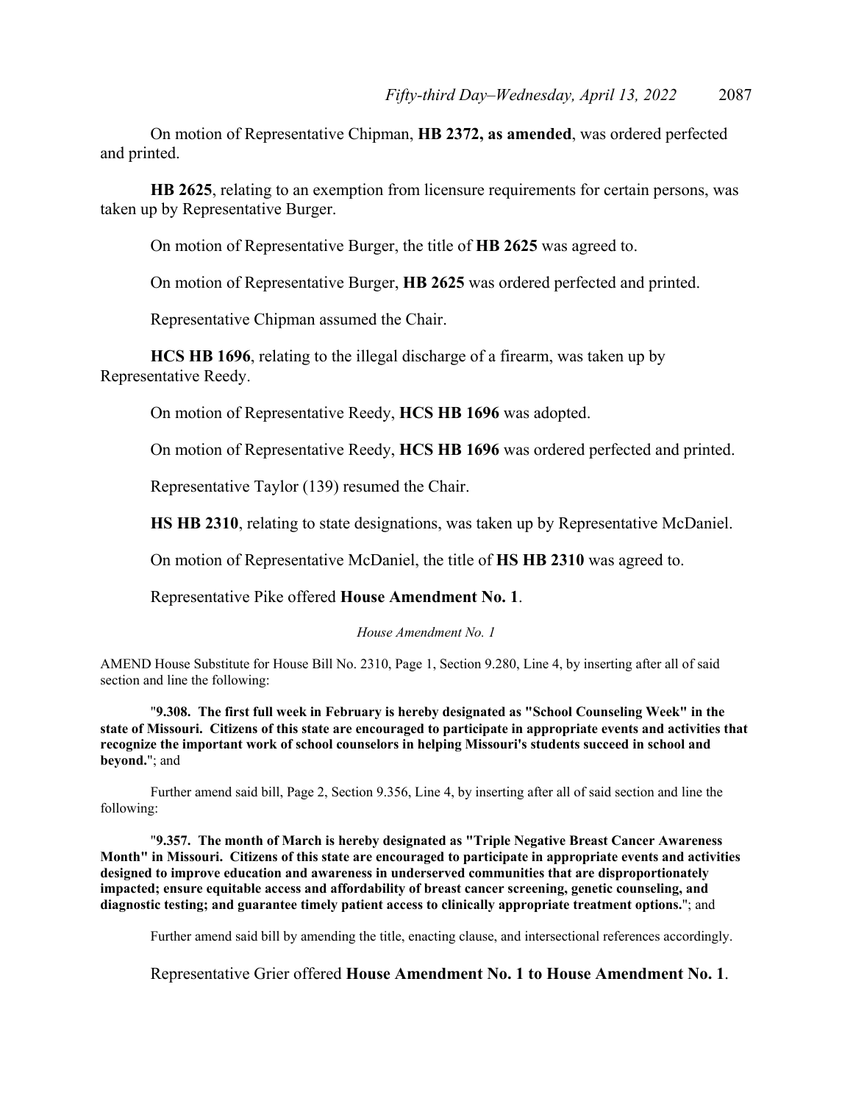On motion of Representative Chipman, **HB 2372, as amended**, was ordered perfected and printed.

**HB 2625**, relating to an exemption from licensure requirements for certain persons, was taken up by Representative Burger.

On motion of Representative Burger, the title of **HB 2625** was agreed to.

On motion of Representative Burger, **HB 2625** was ordered perfected and printed.

Representative Chipman assumed the Chair.

**HCS HB 1696**, relating to the illegal discharge of a firearm, was taken up by Representative Reedy.

On motion of Representative Reedy, **HCS HB 1696** was adopted.

On motion of Representative Reedy, **HCS HB 1696** was ordered perfected and printed.

Representative Taylor (139) resumed the Chair.

**HS HB 2310**, relating to state designations, was taken up by Representative McDaniel.

On motion of Representative McDaniel, the title of **HS HB 2310** was agreed to.

Representative Pike offered **House Amendment No. 1**.

#### *House Amendment No. 1*

AMEND House Substitute for House Bill No. 2310, Page 1, Section 9.280, Line 4, by inserting after all of said section and line the following:

"**9.308. The first full week in February is hereby designated as "School Counseling Week" in the state of Missouri. Citizens of this state are encouraged to participate in appropriate events and activities that recognize the important work of school counselors in helping Missouri's students succeed in school and beyond.**"; and

 Further amend said bill, Page 2, Section 9.356, Line 4, by inserting after all of said section and line the following:

"**9.357. The month of March is hereby designated as "Triple Negative Breast Cancer Awareness Month" in Missouri. Citizens of this state are encouraged to participate in appropriate events and activities designed to improve education and awareness in underserved communities that are disproportionately impacted; ensure equitable access and affordability of breast cancer screening, genetic counseling, and diagnostic testing; and guarantee timely patient access to clinically appropriate treatment options.**"; and

Further amend said bill by amending the title, enacting clause, and intersectional references accordingly.

Representative Grier offered **House Amendment No. 1 to House Amendment No. 1**.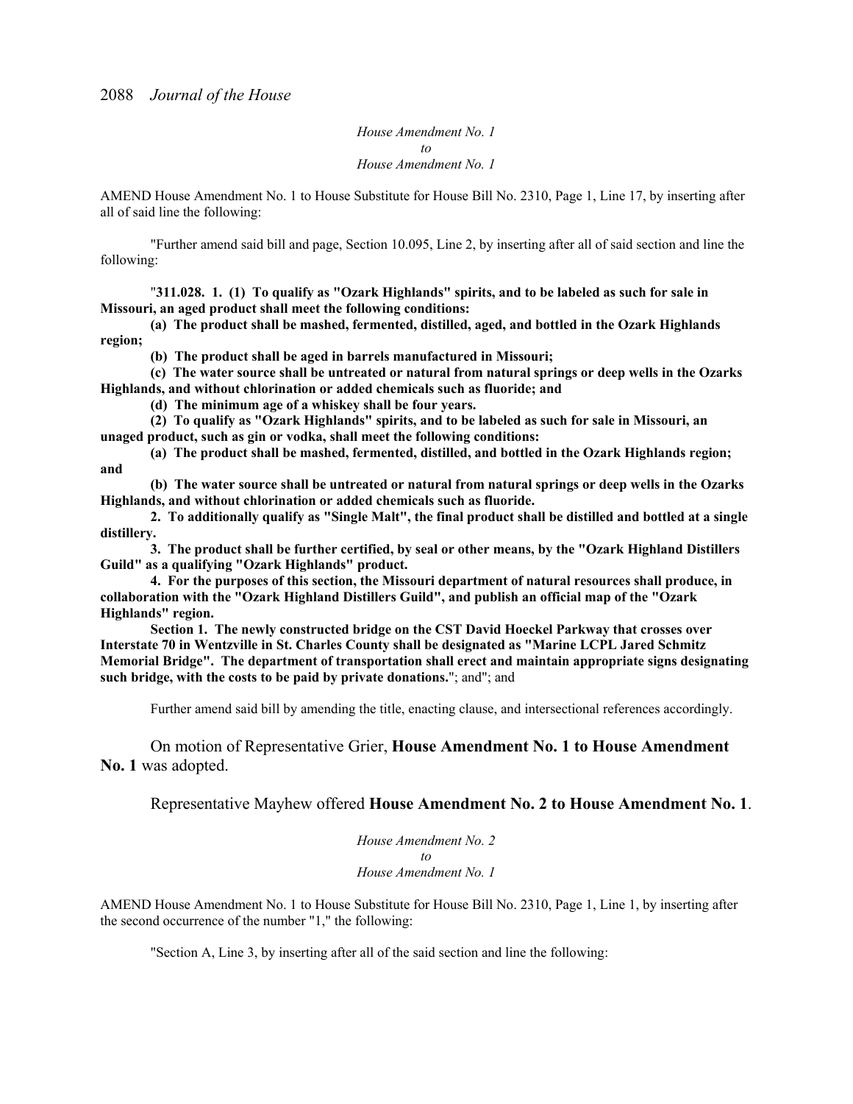*House Amendment No. 1 to House Amendment No. 1*

AMEND House Amendment No. 1 to House Substitute for House Bill No. 2310, Page 1, Line 17, by inserting after all of said line the following:

"Further amend said bill and page, Section 10.095, Line 2, by inserting after all of said section and line the following:

"**311.028. 1. (1) To qualify as "Ozark Highlands" spirits, and to be labeled as such for sale in Missouri, an aged product shall meet the following conditions:**

**(a) The product shall be mashed, fermented, distilled, aged, and bottled in the Ozark Highlands region;**

**(b) The product shall be aged in barrels manufactured in Missouri;**

**(c) The water source shall be untreated or natural from natural springs or deep wells in the Ozarks Highlands, and without chlorination or added chemicals such as fluoride; and**

**(d) The minimum age of a whiskey shall be four years.**

**(2) To qualify as "Ozark Highlands" spirits, and to be labeled as such for sale in Missouri, an unaged product, such as gin or vodka, shall meet the following conditions:**

**(a) The product shall be mashed, fermented, distilled, and bottled in the Ozark Highlands region; and**

**(b) The water source shall be untreated or natural from natural springs or deep wells in the Ozarks Highlands, and without chlorination or added chemicals such as fluoride.**

**2. To additionally qualify as "Single Malt", the final product shall be distilled and bottled at a single distillery.**

**3. The product shall be further certified, by seal or other means, by the "Ozark Highland Distillers Guild" as a qualifying "Ozark Highlands" product.**

**4. For the purposes of this section, the Missouri department of natural resources shall produce, in collaboration with the "Ozark Highland Distillers Guild", and publish an official map of the "Ozark Highlands" region.**

**Section 1. The newly constructed bridge on the CST David Hoeckel Parkway that crosses over Interstate 70 in Wentzville in St. Charles County shall be designated as "Marine LCPL Jared Schmitz Memorial Bridge". The department of transportation shall erect and maintain appropriate signs designating such bridge, with the costs to be paid by private donations.**"; and"; and

Further amend said bill by amending the title, enacting clause, and intersectional references accordingly.

On motion of Representative Grier, **House Amendment No. 1 to House Amendment No. 1** was adopted.

Representative Mayhew offered **House Amendment No. 2 to House Amendment No. 1**.

*House Amendment No. 2 to House Amendment No. 1*

AMEND House Amendment No. 1 to House Substitute for House Bill No. 2310, Page 1, Line 1, by inserting after the second occurrence of the number "1," the following:

"Section A, Line 3, by inserting after all of the said section and line the following: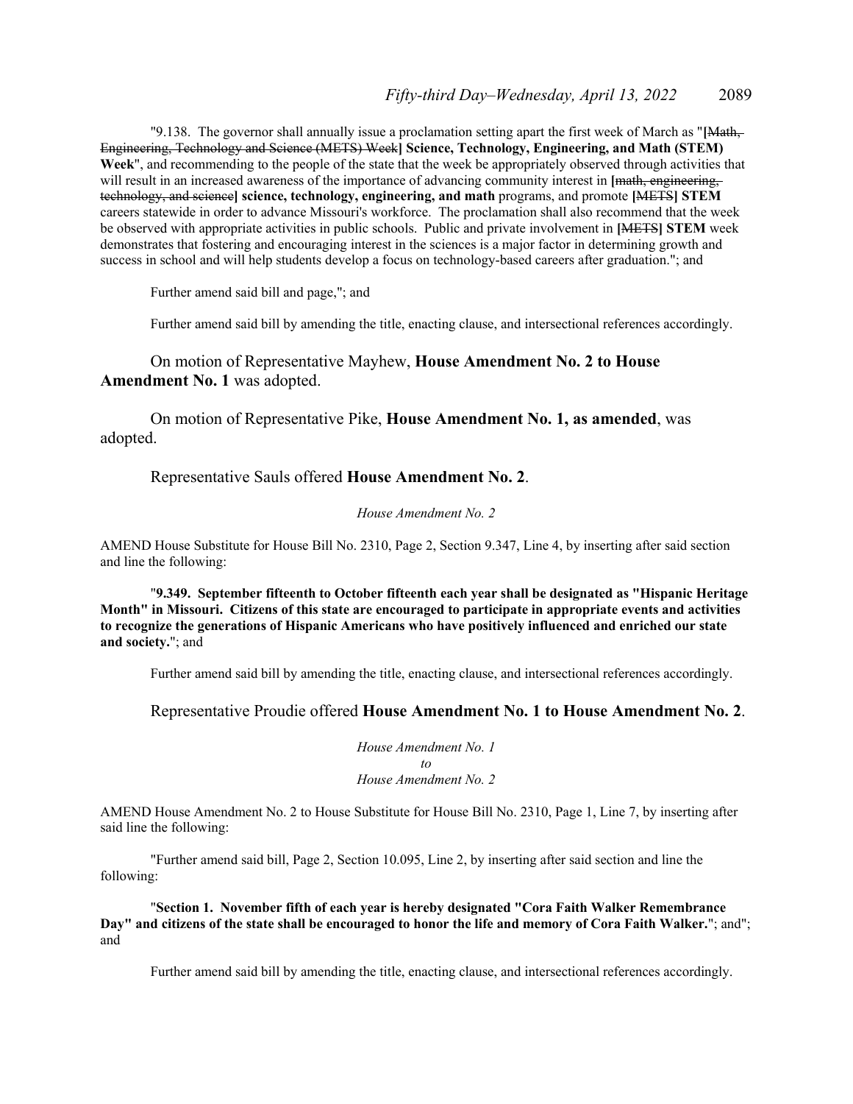"9.138. The governor shall annually issue a proclamation setting apart the first week of March as "**[**Math, Engineering, Technology and Science (METS) Week**] Science, Technology, Engineering, and Math (STEM) Week**", and recommending to the people of the state that the week be appropriately observed through activities that will result in an increased awareness of the importance of advancing community interest in [<del>math, engineering,</del> technology, and science**] science, technology, engineering, and math** programs, and promote **[**METS**] STEM**  careers statewide in order to advance Missouri's workforce. The proclamation shall also recommend that the week be observed with appropriate activities in public schools. Public and private involvement in **[**METS**] STEM** week demonstrates that fostering and encouraging interest in the sciences is a major factor in determining growth and success in school and will help students develop a focus on technology-based careers after graduation."; and

Further amend said bill and page,"; and

Further amend said bill by amending the title, enacting clause, and intersectional references accordingly.

### On motion of Representative Mayhew, **House Amendment No. 2 to House Amendment No. 1** was adopted.

 On motion of Representative Pike, **House Amendment No. 1, as amended**, was adopted.

#### Representative Sauls offered **House Amendment No. 2**.

*House Amendment No. 2*

AMEND House Substitute for House Bill No. 2310, Page 2, Section 9.347, Line 4, by inserting after said section and line the following:

"**9.349. September fifteenth to October fifteenth each year shall be designated as "Hispanic Heritage Month" in Missouri. Citizens of this state are encouraged to participate in appropriate events and activities to recognize the generations of Hispanic Americans who have positively influenced and enriched our state and society.**"; and

Further amend said bill by amending the title, enacting clause, and intersectional references accordingly.

### Representative Proudie offered **House Amendment No. 1 to House Amendment No. 2**.

*House Amendment No. 1 to House Amendment No. 2*

AMEND House Amendment No. 2 to House Substitute for House Bill No. 2310, Page 1, Line 7, by inserting after said line the following:

"Further amend said bill, Page 2, Section 10.095, Line 2, by inserting after said section and line the following:

 "**Section 1. November fifth of each year is hereby designated "Cora Faith Walker Remembrance Day" and citizens of the state shall be encouraged to honor the life and memory of Cora Faith Walker.**"; and"; and

Further amend said bill by amending the title, enacting clause, and intersectional references accordingly.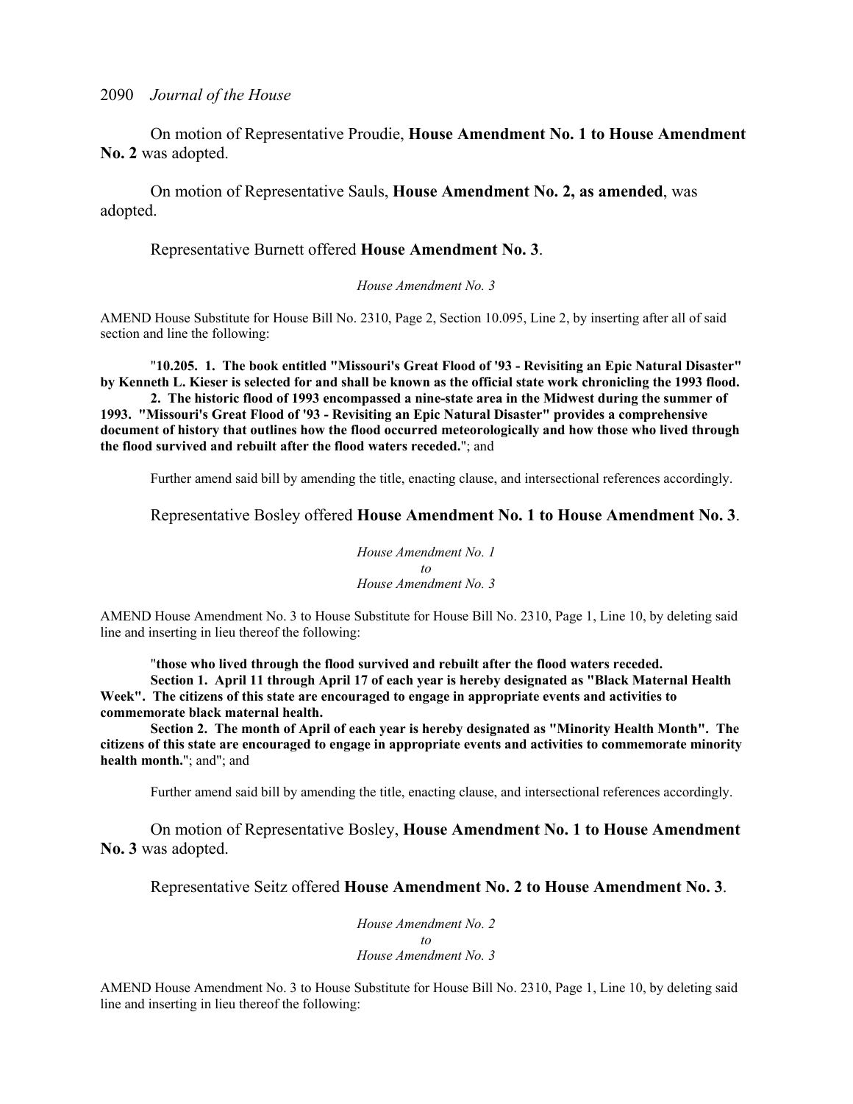On motion of Representative Proudie, **House Amendment No. 1 to House Amendment No. 2** was adopted.

 On motion of Representative Sauls, **House Amendment No. 2, as amended**, was adopted.

Representative Burnett offered **House Amendment No. 3**.

*House Amendment No. 3*

AMEND House Substitute for House Bill No. 2310, Page 2, Section 10.095, Line 2, by inserting after all of said section and line the following:

"**10.205. 1. The book entitled "Missouri's Great Flood of '93 - Revisiting an Epic Natural Disaster" by Kenneth L. Kieser is selected for and shall be known as the official state work chronicling the 1993 flood. 2. The historic flood of 1993 encompassed a nine-state area in the Midwest during the summer of** 

**1993. "Missouri's Great Flood of '93 - Revisiting an Epic Natural Disaster" provides a comprehensive document of history that outlines how the flood occurred meteorologically and how those who lived through the flood survived and rebuilt after the flood waters receded.**"; and

Further amend said bill by amending the title, enacting clause, and intersectional references accordingly.

### Representative Bosley offered **House Amendment No. 1 to House Amendment No. 3**.

*House Amendment No. 1 to House Amendment No. 3*

AMEND House Amendment No. 3 to House Substitute for House Bill No. 2310, Page 1, Line 10, by deleting said line and inserting in lieu thereof the following:

"**those who lived through the flood survived and rebuilt after the flood waters receded. Section 1. April 11 through April 17 of each year is hereby designated as "Black Maternal Health Week". The citizens of this state are encouraged to engage in appropriate events and activities to commemorate black maternal health.** 

**Section 2. The month of April of each year is hereby designated as "Minority Health Month". The citizens of this state are encouraged to engage in appropriate events and activities to commemorate minority health month.**"; and"; and

Further amend said bill by amending the title, enacting clause, and intersectional references accordingly.

On motion of Representative Bosley, **House Amendment No. 1 to House Amendment No. 3** was adopted.

Representative Seitz offered **House Amendment No. 2 to House Amendment No. 3**.

*House Amendment No. 2 to House Amendment No. 3*

AMEND House Amendment No. 3 to House Substitute for House Bill No. 2310, Page 1, Line 10, by deleting said line and inserting in lieu thereof the following: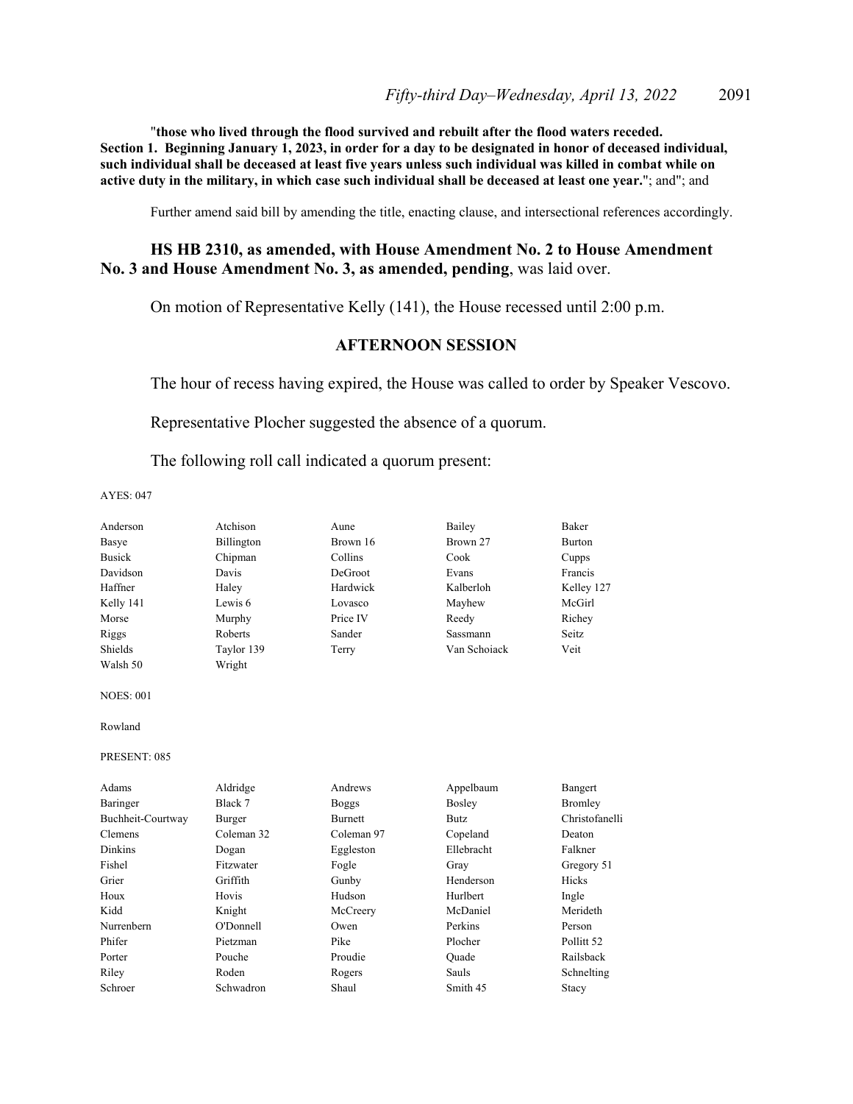"**those who lived through the flood survived and rebuilt after the flood waters receded. Section 1. Beginning January 1, 2023, in order for a day to be designated in honor of deceased individual, such individual shall be deceased at least five years unless such individual was killed in combat while on active duty in the military, in which case such individual shall be deceased at least one year.**"; and"; and

Further amend said bill by amending the title, enacting clause, and intersectional references accordingly.

### **HS HB 2310, as amended, with House Amendment No. 2 to House Amendment No. 3 and House Amendment No. 3, as amended, pending**, was laid over.

On motion of Representative Kelly (141), the House recessed until 2:00 p.m.

### **AFTERNOON SESSION**

The hour of recess having expired, the House was called to order by Speaker Vescovo.

Representative Plocher suggested the absence of a quorum.

The following roll call indicated a quorum present:

| Anderson          | Atchison   | Aune           | Bailey        | Baker                 |
|-------------------|------------|----------------|---------------|-----------------------|
| Basye             | Billington | Brown 16       | Brown 27      | Burton                |
| <b>Busick</b>     | Chipman    | Collins        | Cook          | Cupps                 |
| Davidson          | Davis      | DeGroot        | Evans         | Francis               |
| Haffner           | Haley      | Hardwick       | Kalberloh     | Kelley 127            |
| Kelly 141         | Lewis 6    | Lovasco        | Mayhew        | McGirl                |
| Morse             | Murphy     | Price IV       | Reedy         | Richey                |
| Riggs             | Roberts    | Sander         | Sassmann      | Seitz.                |
| Shields           | Taylor 139 | Terry          | Van Schoiack  | Veit                  |
| Walsh 50          | Wright     |                |               |                       |
| <b>NOES: 001</b>  |            |                |               |                       |
| Rowland           |            |                |               |                       |
| PRESENT: 085      |            |                |               |                       |
| Adams             | Aldridge   | Andrews        | Appelbaum     | Bangert               |
| Baringer          | Black 7    | <b>Boggs</b>   | <b>Bosley</b> | Bromley               |
| Buchheit-Courtway | Burger     | <b>Burnett</b> | <b>Butz</b>   | Christofanelli        |
| Clemens           | Coleman 32 | Coleman 97     | Copeland      | Deaton                |
| <b>Dinkins</b>    | Dogan      | Eggleston      | Ellebracht    | Falkner               |
| Fishel            | Fitzwater  | Fogle          | Gray          | Gregory 51            |
| Grier             | Griffith   | Gunby          | Henderson     | Hicks                 |
| Houx              | Hovis      | Hudson         | Hurlbert      | Ingle                 |
| Kidd              | Knight     | McCreery       | McDaniel      | Merideth              |
| Nurrenbern        | O'Donnell  | Owen           | Perkins       | Person                |
| Phifer            | Pietzman   | Pike           | Plocher       | Pollitt <sub>52</sub> |
| Porter            | Pouche     | Proudie        | Quade         | Railsback             |
| Riley             | Roden      | Rogers         | Sauls         | Schnelting            |
| Schroer           | Schwadron  | Shaul          | Smith 45      | Stacy                 |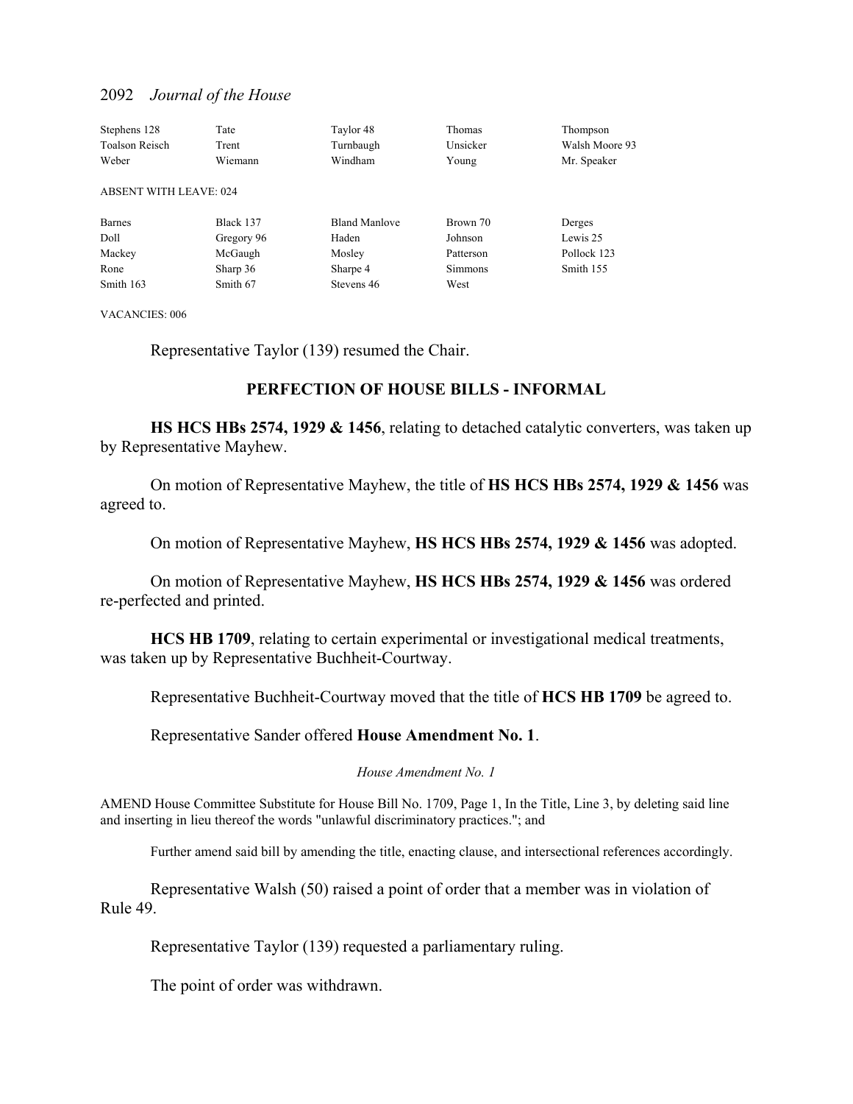| Stephens 128                  | Tate       | Taylor 48            | Thomas         | Thompson       |
|-------------------------------|------------|----------------------|----------------|----------------|
| <b>Toalson Reisch</b>         | Trent      | Turnbaugh            | Unsicker       | Walsh Moore 93 |
| Weber                         | Wiemann    | Windham              | Young          | Mr. Speaker    |
| <b>ABSENT WITH LEAVE: 024</b> |            |                      |                |                |
| <b>Barnes</b>                 | Black 137  | <b>Bland Manlove</b> | Brown 70       | Derges         |
| Doll                          | Gregory 96 | Haden                | Johnson        | Lewis 25       |
| Mackey                        | McGaugh    | Mosley               | Patterson      | Pollock 123    |
| Rone                          | Sharp 36   | Sharpe 4             | <b>Simmons</b> | Smith 155      |
| Smith 163                     | Smith 67   | Stevens 46           | West           |                |

VACANCIES: 006

Representative Taylor (139) resumed the Chair.

### **PERFECTION OF HOUSE BILLS - INFORMAL**

**HS HCS HBs 2574, 1929 & 1456**, relating to detached catalytic converters, was taken up by Representative Mayhew.

 On motion of Representative Mayhew, the title of **HS HCS HBs 2574, 1929 & 1456** was agreed to.

On motion of Representative Mayhew, **HS HCS HBs 2574, 1929 & 1456** was adopted.

 On motion of Representative Mayhew, **HS HCS HBs 2574, 1929 & 1456** was ordered re-perfected and printed.

**HCS HB 1709**, relating to certain experimental or investigational medical treatments, was taken up by Representative Buchheit-Courtway.

Representative Buchheit-Courtway moved that the title of **HCS HB 1709** be agreed to.

Representative Sander offered **House Amendment No. 1**.

*House Amendment No. 1*

AMEND House Committee Substitute for House Bill No. 1709, Page 1, In the Title, Line 3, by deleting said line and inserting in lieu thereof the words "unlawful discriminatory practices."; and

Further amend said bill by amending the title, enacting clause, and intersectional references accordingly.

Representative Walsh (50) raised a point of order that a member was in violation of Rule 49.

Representative Taylor (139) requested a parliamentary ruling.

The point of order was withdrawn.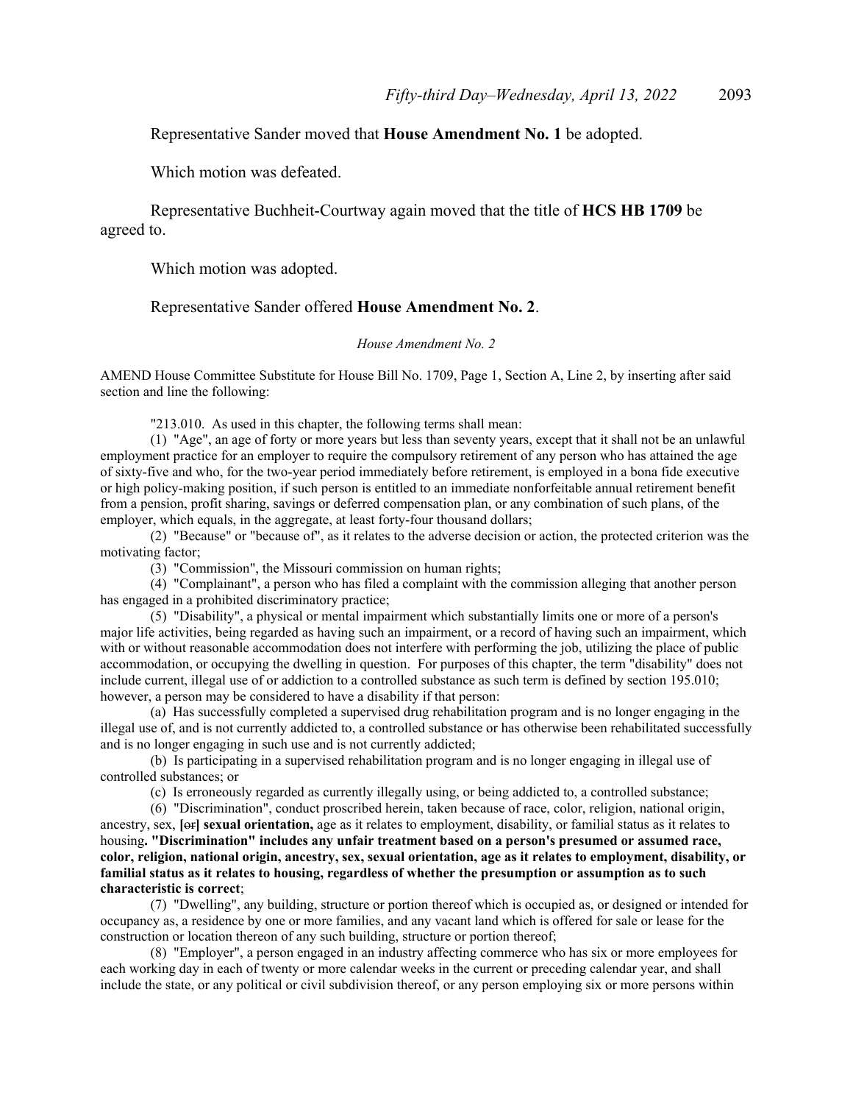### Representative Sander moved that **House Amendment No. 1** be adopted.

Which motion was defeated.

 Representative Buchheit-Courtway again moved that the title of **HCS HB 1709** be agreed to.

Which motion was adopted.

### Representative Sander offered **House Amendment No. 2**.

#### *House Amendment No. 2*

AMEND House Committee Substitute for House Bill No. 1709, Page 1, Section A, Line 2, by inserting after said section and line the following:

"213.010. As used in this chapter, the following terms shall mean:

(1) "Age", an age of forty or more years but less than seventy years, except that it shall not be an unlawful employment practice for an employer to require the compulsory retirement of any person who has attained the age of sixty-five and who, for the two-year period immediately before retirement, is employed in a bona fide executive or high policy-making position, if such person is entitled to an immediate nonforfeitable annual retirement benefit from a pension, profit sharing, savings or deferred compensation plan, or any combination of such plans, of the employer, which equals, in the aggregate, at least forty-four thousand dollars;

(2) "Because" or "because of", as it relates to the adverse decision or action, the protected criterion was the motivating factor;

(3) "Commission", the Missouri commission on human rights;

(4) "Complainant", a person who has filed a complaint with the commission alleging that another person has engaged in a prohibited discriminatory practice;

(5) "Disability", a physical or mental impairment which substantially limits one or more of a person's major life activities, being regarded as having such an impairment, or a record of having such an impairment, which with or without reasonable accommodation does not interfere with performing the job, utilizing the place of public accommodation, or occupying the dwelling in question. For purposes of this chapter, the term "disability" does not include current, illegal use of or addiction to a controlled substance as such term is defined by section 195.010; however, a person may be considered to have a disability if that person:

(a) Has successfully completed a supervised drug rehabilitation program and is no longer engaging in the illegal use of, and is not currently addicted to, a controlled substance or has otherwise been rehabilitated successfully and is no longer engaging in such use and is not currently addicted;

(b) Is participating in a supervised rehabilitation program and is no longer engaging in illegal use of controlled substances; or

(c) Is erroneously regarded as currently illegally using, or being addicted to, a controlled substance;

(6) "Discrimination", conduct proscribed herein, taken because of race, color, religion, national origin, ancestry, sex, **[**or**] sexual orientation,** age as it relates to employment, disability, or familial status as it relates to housing**. "Discrimination" includes any unfair treatment based on a person's presumed or assumed race, color, religion, national origin, ancestry, sex, sexual orientation, age as it relates to employment, disability, or familial status as it relates to housing, regardless of whether the presumption or assumption as to such characteristic is correct**;

(7) "Dwelling", any building, structure or portion thereof which is occupied as, or designed or intended for occupancy as, a residence by one or more families, and any vacant land which is offered for sale or lease for the construction or location thereon of any such building, structure or portion thereof;

(8) "Employer", a person engaged in an industry affecting commerce who has six or more employees for each working day in each of twenty or more calendar weeks in the current or preceding calendar year, and shall include the state, or any political or civil subdivision thereof, or any person employing six or more persons within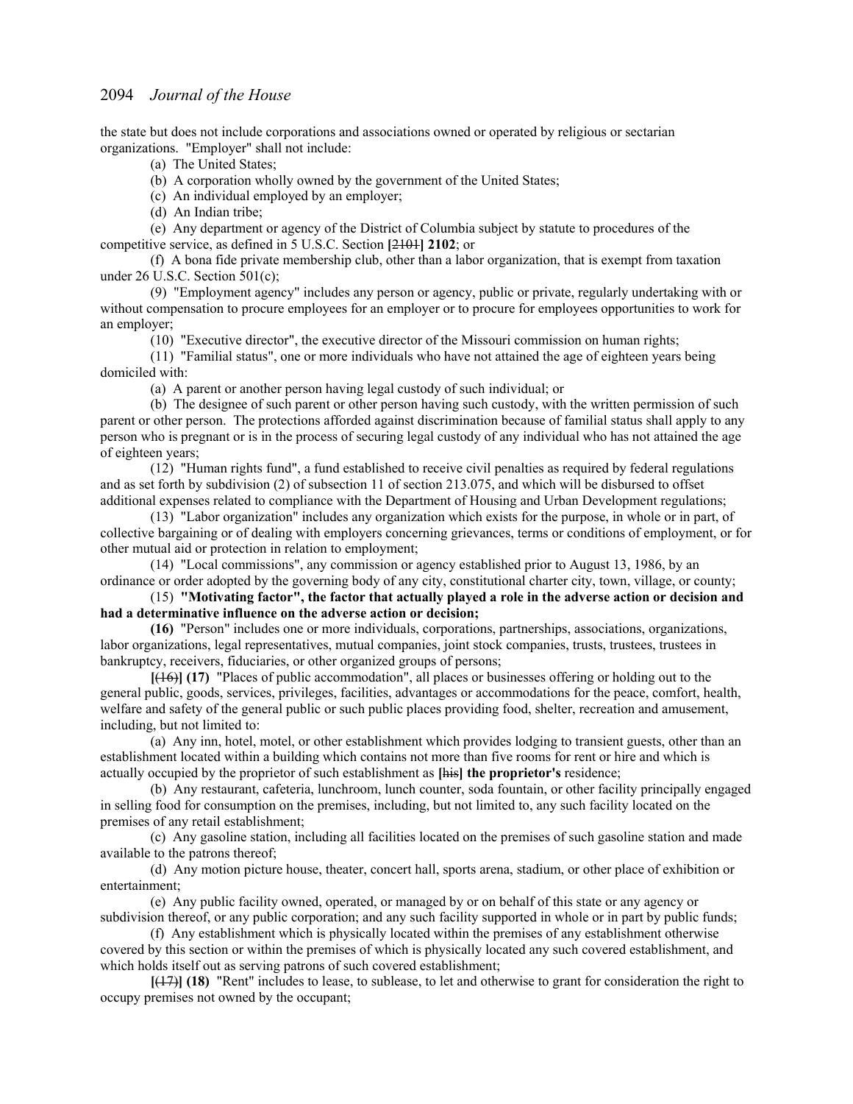the state but does not include corporations and associations owned or operated by religious or sectarian organizations. "Employer" shall not include:

(a) The United States;

(b) A corporation wholly owned by the government of the United States;

(c) An individual employed by an employer;

(d) An Indian tribe;

(e) Any department or agency of the District of Columbia subject by statute to procedures of the competitive service, as defined in 5 U.S.C. Section **[**2101**] 2102**; or

(f) A bona fide private membership club, other than a labor organization, that is exempt from taxation under 26 U.S.C. Section 501(c);

(9) "Employment agency" includes any person or agency, public or private, regularly undertaking with or without compensation to procure employees for an employer or to procure for employees opportunities to work for an employer;

(10) "Executive director", the executive director of the Missouri commission on human rights;

(11) "Familial status", one or more individuals who have not attained the age of eighteen years being domiciled with:

(a) A parent or another person having legal custody of such individual; or

(b) The designee of such parent or other person having such custody, with the written permission of such parent or other person. The protections afforded against discrimination because of familial status shall apply to any person who is pregnant or is in the process of securing legal custody of any individual who has not attained the age of eighteen years;

(12) "Human rights fund", a fund established to receive civil penalties as required by federal regulations and as set forth by subdivision (2) of subsection 11 of section 213.075, and which will be disbursed to offset additional expenses related to compliance with the Department of Housing and Urban Development regulations;

(13) "Labor organization" includes any organization which exists for the purpose, in whole or in part, of collective bargaining or of dealing with employers concerning grievances, terms or conditions of employment, or for other mutual aid or protection in relation to employment;

(14) "Local commissions", any commission or agency established prior to August 13, 1986, by an ordinance or order adopted by the governing body of any city, constitutional charter city, town, village, or county;

(15) **"Motivating factor", the factor that actually played a role in the adverse action or decision and had a determinative influence on the adverse action or decision;**

**(16)** "Person" includes one or more individuals, corporations, partnerships, associations, organizations, labor organizations, legal representatives, mutual companies, joint stock companies, trusts, trustees, trustees in bankruptcy, receivers, fiduciaries, or other organized groups of persons;

**[**(16)**] (17)** "Places of public accommodation", all places or businesses offering or holding out to the general public, goods, services, privileges, facilities, advantages or accommodations for the peace, comfort, health, welfare and safety of the general public or such public places providing food, shelter, recreation and amusement, including, but not limited to:

(a) Any inn, hotel, motel, or other establishment which provides lodging to transient guests, other than an establishment located within a building which contains not more than five rooms for rent or hire and which is actually occupied by the proprietor of such establishment as **[**his**] the proprietor's** residence;

(b) Any restaurant, cafeteria, lunchroom, lunch counter, soda fountain, or other facility principally engaged in selling food for consumption on the premises, including, but not limited to, any such facility located on the premises of any retail establishment;

(c) Any gasoline station, including all facilities located on the premises of such gasoline station and made available to the patrons thereof;

(d) Any motion picture house, theater, concert hall, sports arena, stadium, or other place of exhibition or entertainment;

(e) Any public facility owned, operated, or managed by or on behalf of this state or any agency or subdivision thereof, or any public corporation; and any such facility supported in whole or in part by public funds;

(f) Any establishment which is physically located within the premises of any establishment otherwise covered by this section or within the premises of which is physically located any such covered establishment, and which holds itself out as serving patrons of such covered establishment;

**[**(17)**] (18)** "Rent" includes to lease, to sublease, to let and otherwise to grant for consideration the right to occupy premises not owned by the occupant;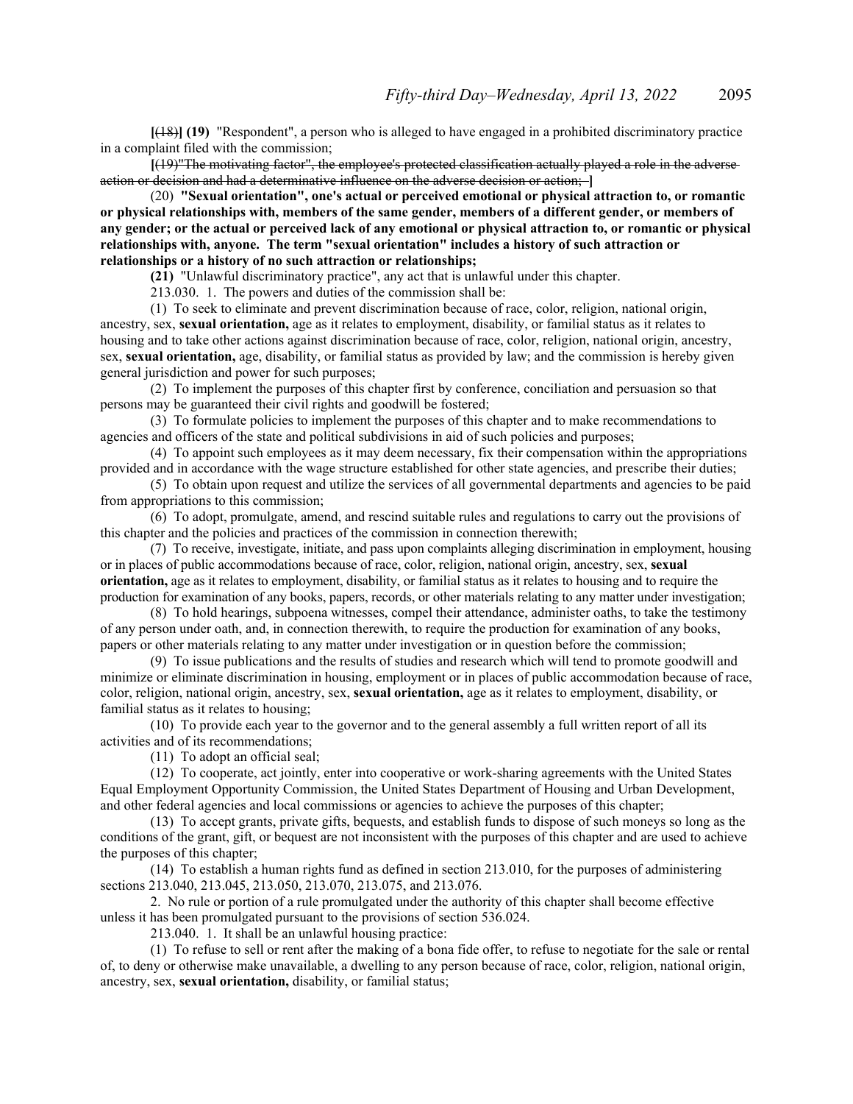**[**(18)**] (19)** "Respondent", a person who is alleged to have engaged in a prohibited discriminatory practice in a complaint filed with the commission;

**[**(19)"The motivating factor", the employee's protected classification actually played a role in the adverse action or decision and had a determinative influence on the adverse decision or action; **]**

(20) **"Sexual orientation", one's actual or perceived emotional or physical attraction to, or romantic or physical relationships with, members of the same gender, members of a different gender, or members of any gender; or the actual or perceived lack of any emotional or physical attraction to, or romantic or physical relationships with, anyone. The term "sexual orientation" includes a history of such attraction or relationships or a history of no such attraction or relationships;**

**(21)** "Unlawful discriminatory practice", any act that is unlawful under this chapter.

213.030. 1. The powers and duties of the commission shall be:

(1) To seek to eliminate and prevent discrimination because of race, color, religion, national origin, ancestry, sex, **sexual orientation,** age as it relates to employment, disability, or familial status as it relates to housing and to take other actions against discrimination because of race, color, religion, national origin, ancestry, sex, **sexual orientation,** age, disability, or familial status as provided by law; and the commission is hereby given general jurisdiction and power for such purposes;

(2) To implement the purposes of this chapter first by conference, conciliation and persuasion so that persons may be guaranteed their civil rights and goodwill be fostered;

(3) To formulate policies to implement the purposes of this chapter and to make recommendations to agencies and officers of the state and political subdivisions in aid of such policies and purposes;

(4) To appoint such employees as it may deem necessary, fix their compensation within the appropriations provided and in accordance with the wage structure established for other state agencies, and prescribe their duties;

(5) To obtain upon request and utilize the services of all governmental departments and agencies to be paid from appropriations to this commission;

(6) To adopt, promulgate, amend, and rescind suitable rules and regulations to carry out the provisions of this chapter and the policies and practices of the commission in connection therewith;

(7) To receive, investigate, initiate, and pass upon complaints alleging discrimination in employment, housing or in places of public accommodations because of race, color, religion, national origin, ancestry, sex, **sexual orientation,** age as it relates to employment, disability, or familial status as it relates to housing and to require the production for examination of any books, papers, records, or other materials relating to any matter under investigation;

(8) To hold hearings, subpoena witnesses, compel their attendance, administer oaths, to take the testimony of any person under oath, and, in connection therewith, to require the production for examination of any books, papers or other materials relating to any matter under investigation or in question before the commission;

(9) To issue publications and the results of studies and research which will tend to promote goodwill and minimize or eliminate discrimination in housing, employment or in places of public accommodation because of race, color, religion, national origin, ancestry, sex, **sexual orientation,** age as it relates to employment, disability, or familial status as it relates to housing;

(10) To provide each year to the governor and to the general assembly a full written report of all its activities and of its recommendations;

(11) To adopt an official seal;

(12) To cooperate, act jointly, enter into cooperative or work-sharing agreements with the United States Equal Employment Opportunity Commission, the United States Department of Housing and Urban Development, and other federal agencies and local commissions or agencies to achieve the purposes of this chapter;

(13) To accept grants, private gifts, bequests, and establish funds to dispose of such moneys so long as the conditions of the grant, gift, or bequest are not inconsistent with the purposes of this chapter and are used to achieve the purposes of this chapter;

(14) To establish a human rights fund as defined in section 213.010, for the purposes of administering sections 213.040, 213.045, 213.050, 213.070, 213.075, and 213.076.

2. No rule or portion of a rule promulgated under the authority of this chapter shall become effective unless it has been promulgated pursuant to the provisions of section 536.024.

213.040. 1. It shall be an unlawful housing practice:

(1) To refuse to sell or rent after the making of a bona fide offer, to refuse to negotiate for the sale or rental of, to deny or otherwise make unavailable, a dwelling to any person because of race, color, religion, national origin, ancestry, sex, **sexual orientation,** disability, or familial status;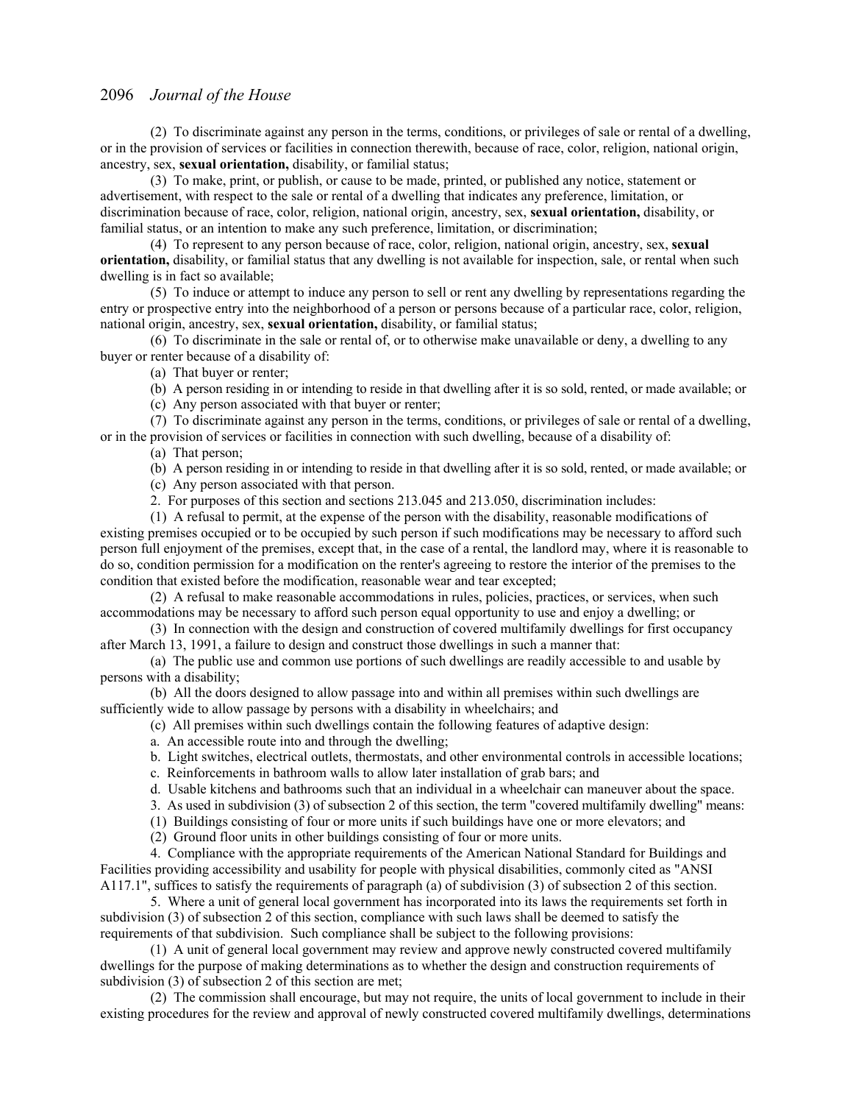(2) To discriminate against any person in the terms, conditions, or privileges of sale or rental of a dwelling, or in the provision of services or facilities in connection therewith, because of race, color, religion, national origin, ancestry, sex, **sexual orientation,** disability, or familial status;

(3) To make, print, or publish, or cause to be made, printed, or published any notice, statement or advertisement, with respect to the sale or rental of a dwelling that indicates any preference, limitation, or discrimination because of race, color, religion, national origin, ancestry, sex, **sexual orientation,** disability, or familial status, or an intention to make any such preference, limitation, or discrimination;

(4) To represent to any person because of race, color, religion, national origin, ancestry, sex, **sexual orientation,** disability, or familial status that any dwelling is not available for inspection, sale, or rental when such dwelling is in fact so available;

(5) To induce or attempt to induce any person to sell or rent any dwelling by representations regarding the entry or prospective entry into the neighborhood of a person or persons because of a particular race, color, religion, national origin, ancestry, sex, **sexual orientation,** disability, or familial status;

(6) To discriminate in the sale or rental of, or to otherwise make unavailable or deny, a dwelling to any buyer or renter because of a disability of:

(a) That buyer or renter;

(b) A person residing in or intending to reside in that dwelling after it is so sold, rented, or made available; or

(c) Any person associated with that buyer or renter;

(7) To discriminate against any person in the terms, conditions, or privileges of sale or rental of a dwelling, or in the provision of services or facilities in connection with such dwelling, because of a disability of: (a) That person;

(b) A person residing in or intending to reside in that dwelling after it is so sold, rented, or made available; or

(c) Any person associated with that person.

2. For purposes of this section and sections 213.045 and 213.050, discrimination includes:

(1) A refusal to permit, at the expense of the person with the disability, reasonable modifications of existing premises occupied or to be occupied by such person if such modifications may be necessary to afford such person full enjoyment of the premises, except that, in the case of a rental, the landlord may, where it is reasonable to do so, condition permission for a modification on the renter's agreeing to restore the interior of the premises to the condition that existed before the modification, reasonable wear and tear excepted;

(2) A refusal to make reasonable accommodations in rules, policies, practices, or services, when such accommodations may be necessary to afford such person equal opportunity to use and enjoy a dwelling; or

(3) In connection with the design and construction of covered multifamily dwellings for first occupancy after March 13, 1991, a failure to design and construct those dwellings in such a manner that:

(a) The public use and common use portions of such dwellings are readily accessible to and usable by persons with a disability;

(b) All the doors designed to allow passage into and within all premises within such dwellings are sufficiently wide to allow passage by persons with a disability in wheelchairs; and

- (c) All premises within such dwellings contain the following features of adaptive design:
- a. An accessible route into and through the dwelling;
- b. Light switches, electrical outlets, thermostats, and other environmental controls in accessible locations;
- c. Reinforcements in bathroom walls to allow later installation of grab bars; and
- d. Usable kitchens and bathrooms such that an individual in a wheelchair can maneuver about the space.
- 3. As used in subdivision (3) of subsection 2 of this section, the term "covered multifamily dwelling" means:
- (1) Buildings consisting of four or more units if such buildings have one or more elevators; and
- (2) Ground floor units in other buildings consisting of four or more units.

4. Compliance with the appropriate requirements of the American National Standard for Buildings and Facilities providing accessibility and usability for people with physical disabilities, commonly cited as "ANSI A117.1", suffices to satisfy the requirements of paragraph (a) of subdivision (3) of subsection 2 of this section.

5. Where a unit of general local government has incorporated into its laws the requirements set forth in subdivision (3) of subsection 2 of this section, compliance with such laws shall be deemed to satisfy the requirements of that subdivision. Such compliance shall be subject to the following provisions:

(1) A unit of general local government may review and approve newly constructed covered multifamily dwellings for the purpose of making determinations as to whether the design and construction requirements of subdivision (3) of subsection 2 of this section are met;

(2) The commission shall encourage, but may not require, the units of local government to include in their existing procedures for the review and approval of newly constructed covered multifamily dwellings, determinations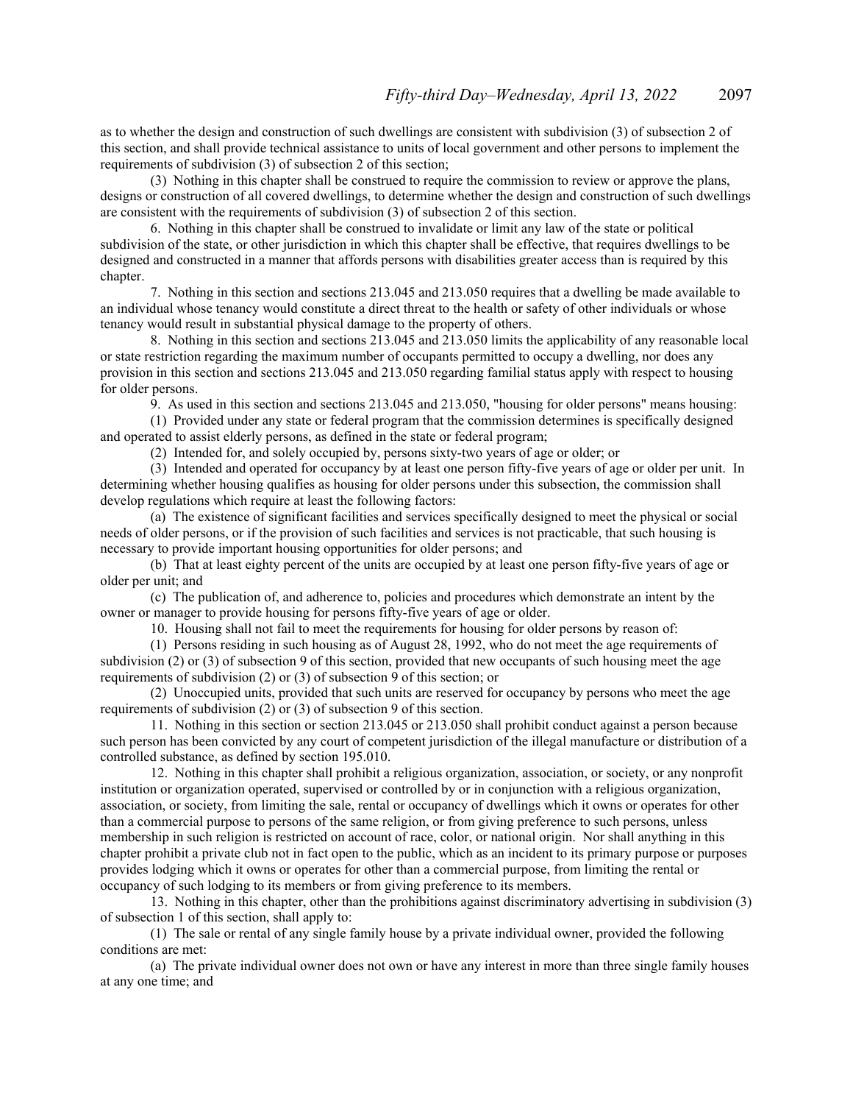as to whether the design and construction of such dwellings are consistent with subdivision (3) of subsection 2 of this section, and shall provide technical assistance to units of local government and other persons to implement the requirements of subdivision (3) of subsection 2 of this section;

(3) Nothing in this chapter shall be construed to require the commission to review or approve the plans, designs or construction of all covered dwellings, to determine whether the design and construction of such dwellings are consistent with the requirements of subdivision (3) of subsection 2 of this section.

6. Nothing in this chapter shall be construed to invalidate or limit any law of the state or political subdivision of the state, or other jurisdiction in which this chapter shall be effective, that requires dwellings to be designed and constructed in a manner that affords persons with disabilities greater access than is required by this chapter.

7. Nothing in this section and sections 213.045 and 213.050 requires that a dwelling be made available to an individual whose tenancy would constitute a direct threat to the health or safety of other individuals or whose tenancy would result in substantial physical damage to the property of others.

8. Nothing in this section and sections 213.045 and 213.050 limits the applicability of any reasonable local or state restriction regarding the maximum number of occupants permitted to occupy a dwelling, nor does any provision in this section and sections 213.045 and 213.050 regarding familial status apply with respect to housing for older persons.

9. As used in this section and sections 213.045 and 213.050, "housing for older persons" means housing:

(1) Provided under any state or federal program that the commission determines is specifically designed and operated to assist elderly persons, as defined in the state or federal program;

(2) Intended for, and solely occupied by, persons sixty-two years of age or older; or

(3) Intended and operated for occupancy by at least one person fifty-five years of age or older per unit. In determining whether housing qualifies as housing for older persons under this subsection, the commission shall develop regulations which require at least the following factors:

(a) The existence of significant facilities and services specifically designed to meet the physical or social needs of older persons, or if the provision of such facilities and services is not practicable, that such housing is necessary to provide important housing opportunities for older persons; and

(b) That at least eighty percent of the units are occupied by at least one person fifty-five years of age or older per unit; and

(c) The publication of, and adherence to, policies and procedures which demonstrate an intent by the owner or manager to provide housing for persons fifty-five years of age or older.

10. Housing shall not fail to meet the requirements for housing for older persons by reason of:

(1) Persons residing in such housing as of August 28, 1992, who do not meet the age requirements of subdivision (2) or (3) of subsection 9 of this section, provided that new occupants of such housing meet the age requirements of subdivision (2) or (3) of subsection 9 of this section; or

(2) Unoccupied units, provided that such units are reserved for occupancy by persons who meet the age requirements of subdivision (2) or (3) of subsection 9 of this section.

11. Nothing in this section or section 213.045 or 213.050 shall prohibit conduct against a person because such person has been convicted by any court of competent jurisdiction of the illegal manufacture or distribution of a controlled substance, as defined by section 195.010.

12. Nothing in this chapter shall prohibit a religious organization, association, or society, or any nonprofit institution or organization operated, supervised or controlled by or in conjunction with a religious organization, association, or society, from limiting the sale, rental or occupancy of dwellings which it owns or operates for other than a commercial purpose to persons of the same religion, or from giving preference to such persons, unless membership in such religion is restricted on account of race, color, or national origin. Nor shall anything in this chapter prohibit a private club not in fact open to the public, which as an incident to its primary purpose or purposes provides lodging which it owns or operates for other than a commercial purpose, from limiting the rental or occupancy of such lodging to its members or from giving preference to its members.

13. Nothing in this chapter, other than the prohibitions against discriminatory advertising in subdivision (3) of subsection 1 of this section, shall apply to:

(1) The sale or rental of any single family house by a private individual owner, provided the following conditions are met:

(a) The private individual owner does not own or have any interest in more than three single family houses at any one time; and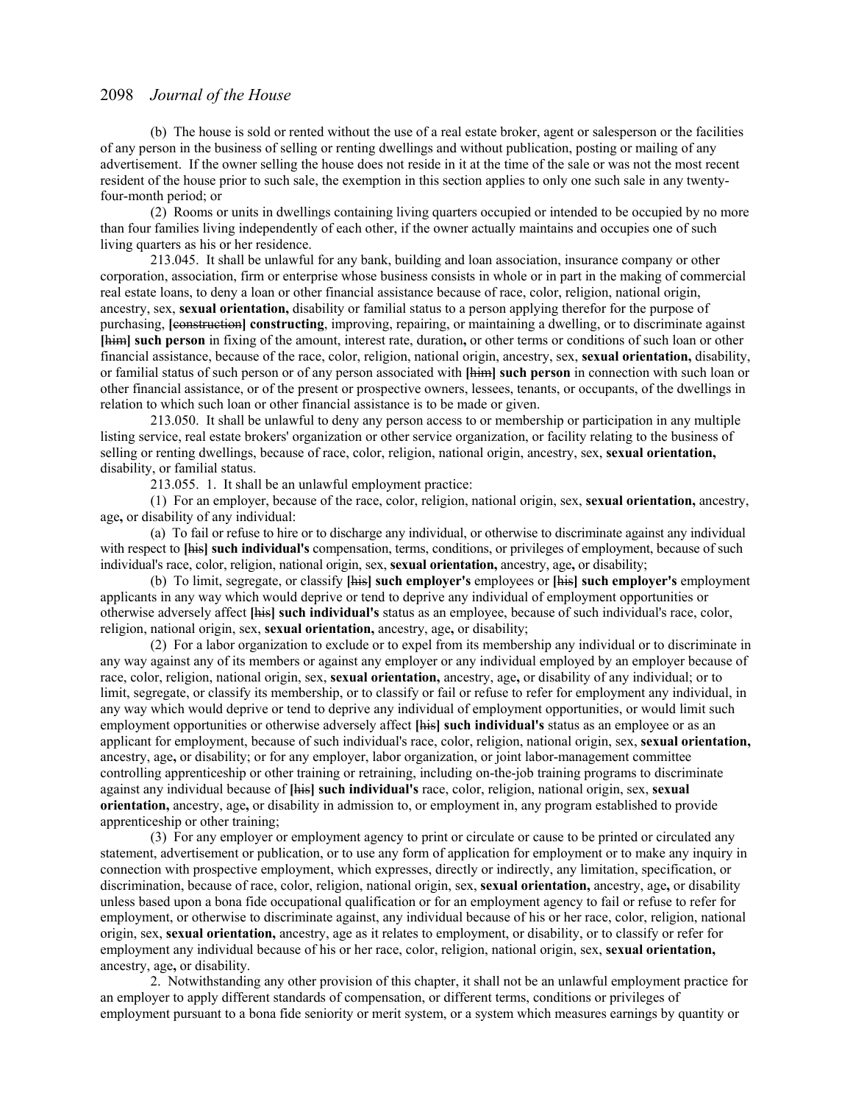(b) The house is sold or rented without the use of a real estate broker, agent or salesperson or the facilities of any person in the business of selling or renting dwellings and without publication, posting or mailing of any advertisement. If the owner selling the house does not reside in it at the time of the sale or was not the most recent resident of the house prior to such sale, the exemption in this section applies to only one such sale in any twentyfour-month period; or

(2) Rooms or units in dwellings containing living quarters occupied or intended to be occupied by no more than four families living independently of each other, if the owner actually maintains and occupies one of such living quarters as his or her residence.

213.045. It shall be unlawful for any bank, building and loan association, insurance company or other corporation, association, firm or enterprise whose business consists in whole or in part in the making of commercial real estate loans, to deny a loan or other financial assistance because of race, color, religion, national origin, ancestry, sex, **sexual orientation,** disability or familial status to a person applying therefor for the purpose of purchasing, **[**construction**] constructing**, improving, repairing, or maintaining a dwelling, or to discriminate against **[**him**] such person** in fixing of the amount, interest rate, duration**,** or other terms or conditions of such loan or other financial assistance, because of the race, color, religion, national origin, ancestry, sex, **sexual orientation,** disability, or familial status of such person or of any person associated with **[**him**] such person** in connection with such loan or other financial assistance, or of the present or prospective owners, lessees, tenants, or occupants, of the dwellings in relation to which such loan or other financial assistance is to be made or given.

213.050. It shall be unlawful to deny any person access to or membership or participation in any multiple listing service, real estate brokers' organization or other service organization, or facility relating to the business of selling or renting dwellings, because of race, color, religion, national origin, ancestry, sex, **sexual orientation,** disability, or familial status.

213.055. 1. It shall be an unlawful employment practice:

(1) For an employer, because of the race, color, religion, national origin, sex, **sexual orientation,** ancestry, age**,** or disability of any individual:

(a) To fail or refuse to hire or to discharge any individual, or otherwise to discriminate against any individual with respect to **[**his**] such individual's** compensation, terms, conditions, or privileges of employment, because of such individual's race, color, religion, national origin, sex, **sexual orientation,** ancestry, age**,** or disability;

(b) To limit, segregate, or classify **[**his**] such employer's** employees or **[**his**] such employer's** employment applicants in any way which would deprive or tend to deprive any individual of employment opportunities or otherwise adversely affect **[**his**] such individual's** status as an employee, because of such individual's race, color, religion, national origin, sex, **sexual orientation,** ancestry, age**,** or disability;

(2) For a labor organization to exclude or to expel from its membership any individual or to discriminate in any way against any of its members or against any employer or any individual employed by an employer because of race, color, religion, national origin, sex, **sexual orientation,** ancestry, age**,** or disability of any individual; or to limit, segregate, or classify its membership, or to classify or fail or refuse to refer for employment any individual, in any way which would deprive or tend to deprive any individual of employment opportunities, or would limit such employment opportunities or otherwise adversely affect **[**his**] such individual's** status as an employee or as an applicant for employment, because of such individual's race, color, religion, national origin, sex, **sexual orientation,** ancestry, age**,** or disability; or for any employer, labor organization, or joint labor-management committee controlling apprenticeship or other training or retraining, including on-the-job training programs to discriminate against any individual because of **[**his**] such individual's** race, color, religion, national origin, sex, **sexual orientation,** ancestry, age**,** or disability in admission to, or employment in, any program established to provide apprenticeship or other training;

(3) For any employer or employment agency to print or circulate or cause to be printed or circulated any statement, advertisement or publication, or to use any form of application for employment or to make any inquiry in connection with prospective employment, which expresses, directly or indirectly, any limitation, specification, or discrimination, because of race, color, religion, national origin, sex, **sexual orientation,** ancestry, age**,** or disability unless based upon a bona fide occupational qualification or for an employment agency to fail or refuse to refer for employment, or otherwise to discriminate against, any individual because of his or her race, color, religion, national origin, sex, **sexual orientation,** ancestry, age as it relates to employment, or disability, or to classify or refer for employment any individual because of his or her race, color, religion, national origin, sex, **sexual orientation,** ancestry, age**,** or disability.

2. Notwithstanding any other provision of this chapter, it shall not be an unlawful employment practice for an employer to apply different standards of compensation, or different terms, conditions or privileges of employment pursuant to a bona fide seniority or merit system, or a system which measures earnings by quantity or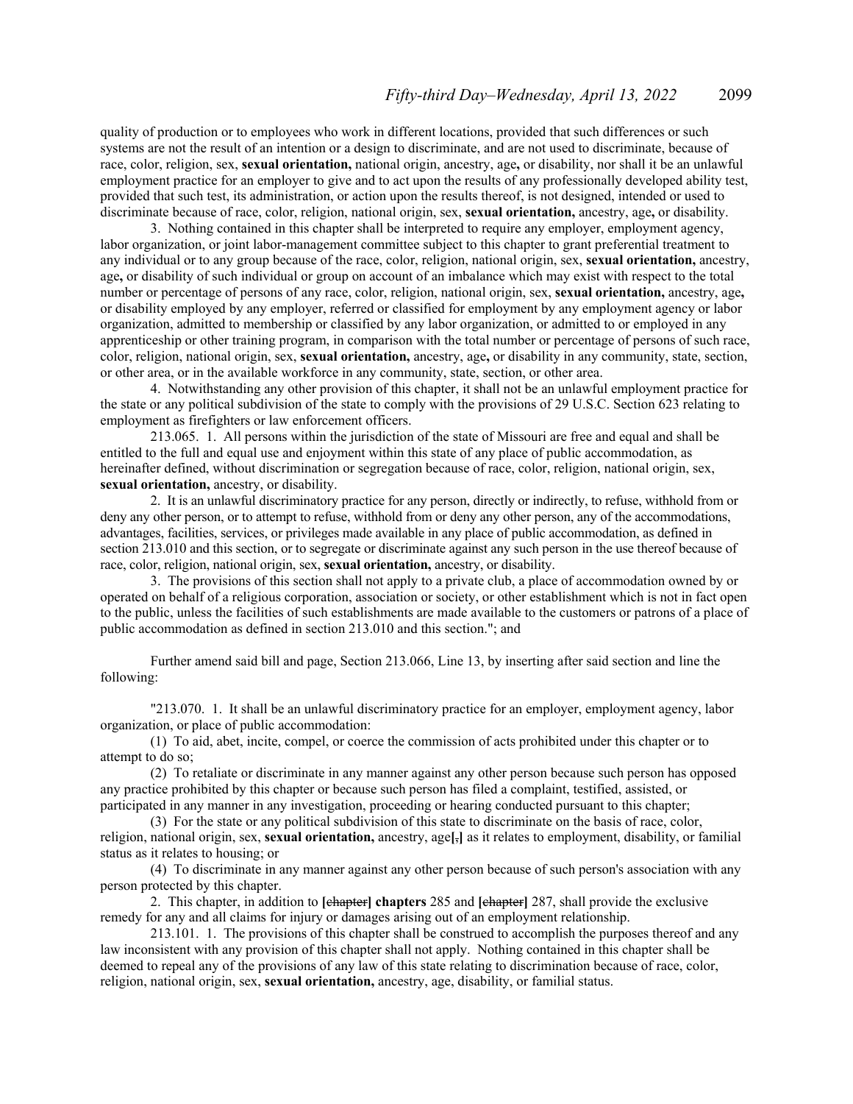quality of production or to employees who work in different locations, provided that such differences or such systems are not the result of an intention or a design to discriminate, and are not used to discriminate, because of race, color, religion, sex, **sexual orientation,** national origin, ancestry, age**,** or disability, nor shall it be an unlawful employment practice for an employer to give and to act upon the results of any professionally developed ability test, provided that such test, its administration, or action upon the results thereof, is not designed, intended or used to discriminate because of race, color, religion, national origin, sex, **sexual orientation,** ancestry, age**,** or disability.

3. Nothing contained in this chapter shall be interpreted to require any employer, employment agency, labor organization, or joint labor-management committee subject to this chapter to grant preferential treatment to any individual or to any group because of the race, color, religion, national origin, sex, **sexual orientation,** ancestry, age**,** or disability of such individual or group on account of an imbalance which may exist with respect to the total number or percentage of persons of any race, color, religion, national origin, sex, **sexual orientation,** ancestry, age**,** or disability employed by any employer, referred or classified for employment by any employment agency or labor organization, admitted to membership or classified by any labor organization, or admitted to or employed in any apprenticeship or other training program, in comparison with the total number or percentage of persons of such race, color, religion, national origin, sex, **sexual orientation,** ancestry, age**,** or disability in any community, state, section, or other area, or in the available workforce in any community, state, section, or other area.

4. Notwithstanding any other provision of this chapter, it shall not be an unlawful employment practice for the state or any political subdivision of the state to comply with the provisions of 29 U.S.C. Section 623 relating to employment as firefighters or law enforcement officers.

213.065. 1. All persons within the jurisdiction of the state of Missouri are free and equal and shall be entitled to the full and equal use and enjoyment within this state of any place of public accommodation, as hereinafter defined, without discrimination or segregation because of race, color, religion, national origin, sex, **sexual orientation,** ancestry, or disability.

2. It is an unlawful discriminatory practice for any person, directly or indirectly, to refuse, withhold from or deny any other person, or to attempt to refuse, withhold from or deny any other person, any of the accommodations, advantages, facilities, services, or privileges made available in any place of public accommodation, as defined in section 213.010 and this section, or to segregate or discriminate against any such person in the use thereof because of race, color, religion, national origin, sex, **sexual orientation,** ancestry, or disability.

3. The provisions of this section shall not apply to a private club, a place of accommodation owned by or operated on behalf of a religious corporation, association or society, or other establishment which is not in fact open to the public, unless the facilities of such establishments are made available to the customers or patrons of a place of public accommodation as defined in section 213.010 and this section."; and

 Further amend said bill and page, Section 213.066, Line 13, by inserting after said section and line the following:

"213.070. 1. It shall be an unlawful discriminatory practice for an employer, employment agency, labor organization, or place of public accommodation:

(1) To aid, abet, incite, compel, or coerce the commission of acts prohibited under this chapter or to attempt to do so;

(2) To retaliate or discriminate in any manner against any other person because such person has opposed any practice prohibited by this chapter or because such person has filed a complaint, testified, assisted, or participated in any manner in any investigation, proceeding or hearing conducted pursuant to this chapter;

(3) For the state or any political subdivision of this state to discriminate on the basis of race, color, religion, national origin, sex, **sexual orientation,** ancestry, age**[**,**]** as it relates to employment, disability, or familial status as it relates to housing; or

(4) To discriminate in any manner against any other person because of such person's association with any person protected by this chapter.

2. This chapter, in addition to **[**chapter**] chapters** 285 and **[**chapter**]** 287, shall provide the exclusive remedy for any and all claims for injury or damages arising out of an employment relationship.

213.101. 1. The provisions of this chapter shall be construed to accomplish the purposes thereof and any law inconsistent with any provision of this chapter shall not apply. Nothing contained in this chapter shall be deemed to repeal any of the provisions of any law of this state relating to discrimination because of race, color, religion, national origin, sex, **sexual orientation,** ancestry, age, disability, or familial status.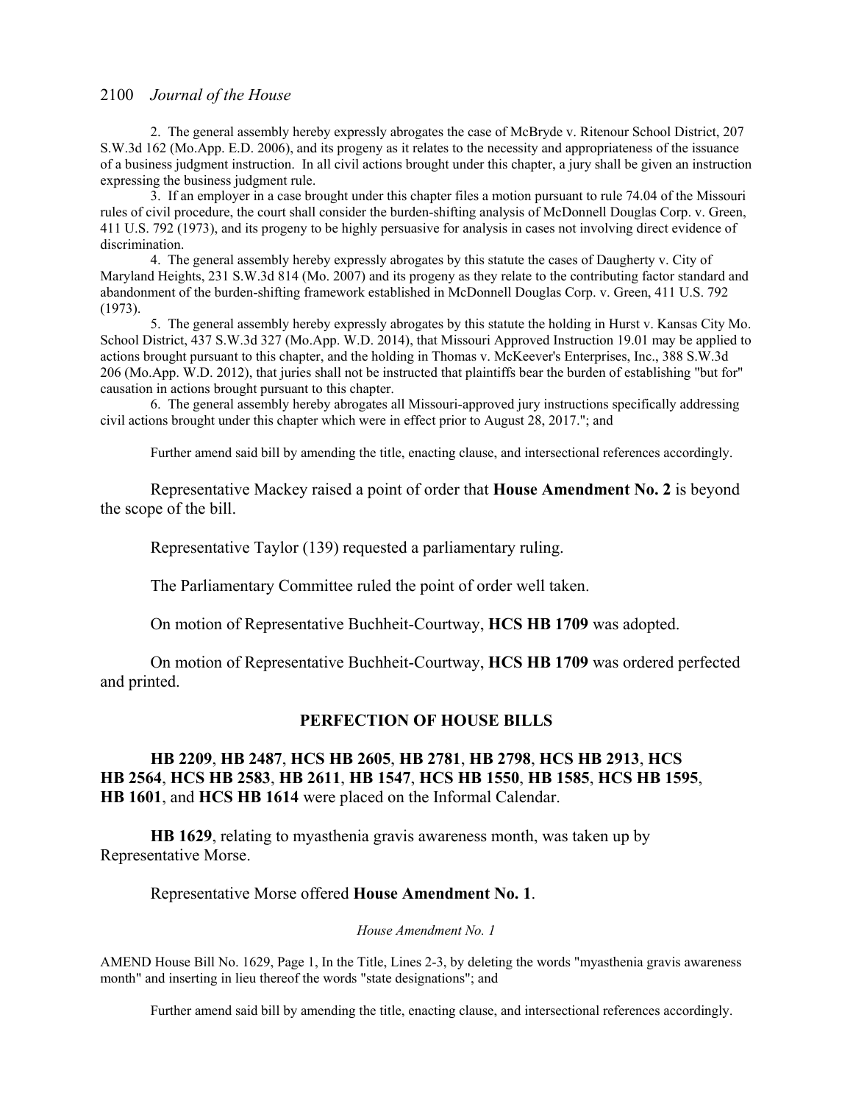2. The general assembly hereby expressly abrogates the case of McBryde v. Ritenour School District, 207 S.W.3d 162 (Mo.App. E.D. 2006), and its progeny as it relates to the necessity and appropriateness of the issuance of a business judgment instruction. In all civil actions brought under this chapter, a jury shall be given an instruction expressing the business judgment rule.

3. If an employer in a case brought under this chapter files a motion pursuant to rule 74.04 of the Missouri rules of civil procedure, the court shall consider the burden-shifting analysis of McDonnell Douglas Corp. v. Green, 411 U.S. 792 (1973), and its progeny to be highly persuasive for analysis in cases not involving direct evidence of discrimination.

4. The general assembly hereby expressly abrogates by this statute the cases of Daugherty v. City of Maryland Heights, 231 S.W.3d 814 (Mo. 2007) and its progeny as they relate to the contributing factor standard and abandonment of the burden-shifting framework established in McDonnell Douglas Corp. v. Green, 411 U.S. 792 (1973).

5. The general assembly hereby expressly abrogates by this statute the holding in Hurst v. Kansas City Mo. School District, 437 S.W.3d 327 (Mo.App. W.D. 2014), that Missouri Approved Instruction 19.01 may be applied to actions brought pursuant to this chapter, and the holding in Thomas v. McKeever's Enterprises, Inc., 388 S.W.3d 206 (Mo.App. W.D. 2012), that juries shall not be instructed that plaintiffs bear the burden of establishing "but for" causation in actions brought pursuant to this chapter.

6. The general assembly hereby abrogates all Missouri-approved jury instructions specifically addressing civil actions brought under this chapter which were in effect prior to August 28, 2017."; and

Further amend said bill by amending the title, enacting clause, and intersectional references accordingly.

Representative Mackey raised a point of order that **House Amendment No. 2** is beyond the scope of the bill.

Representative Taylor (139) requested a parliamentary ruling.

The Parliamentary Committee ruled the point of order well taken.

On motion of Representative Buchheit-Courtway, **HCS HB 1709** was adopted.

 On motion of Representative Buchheit-Courtway, **HCS HB 1709** was ordered perfected and printed.

### **PERFECTION OF HOUSE BILLS**

### **HB 2209**, **HB 2487**, **HCS HB 2605**, **HB 2781**, **HB 2798**, **HCS HB 2913**, **HCS HB 2564**, **HCS HB 2583**, **HB 2611**, **HB 1547**, **HCS HB 1550**, **HB 1585**, **HCS HB 1595**, **HB 1601**, and **HCS HB 1614** were placed on the Informal Calendar.

**HB 1629**, relating to myasthenia gravis awareness month, was taken up by Representative Morse.

#### Representative Morse offered **House Amendment No. 1**.

*House Amendment No. 1*

AMEND House Bill No. 1629, Page 1, In the Title, Lines 2-3, by deleting the words "myasthenia gravis awareness month" and inserting in lieu thereof the words "state designations"; and

Further amend said bill by amending the title, enacting clause, and intersectional references accordingly.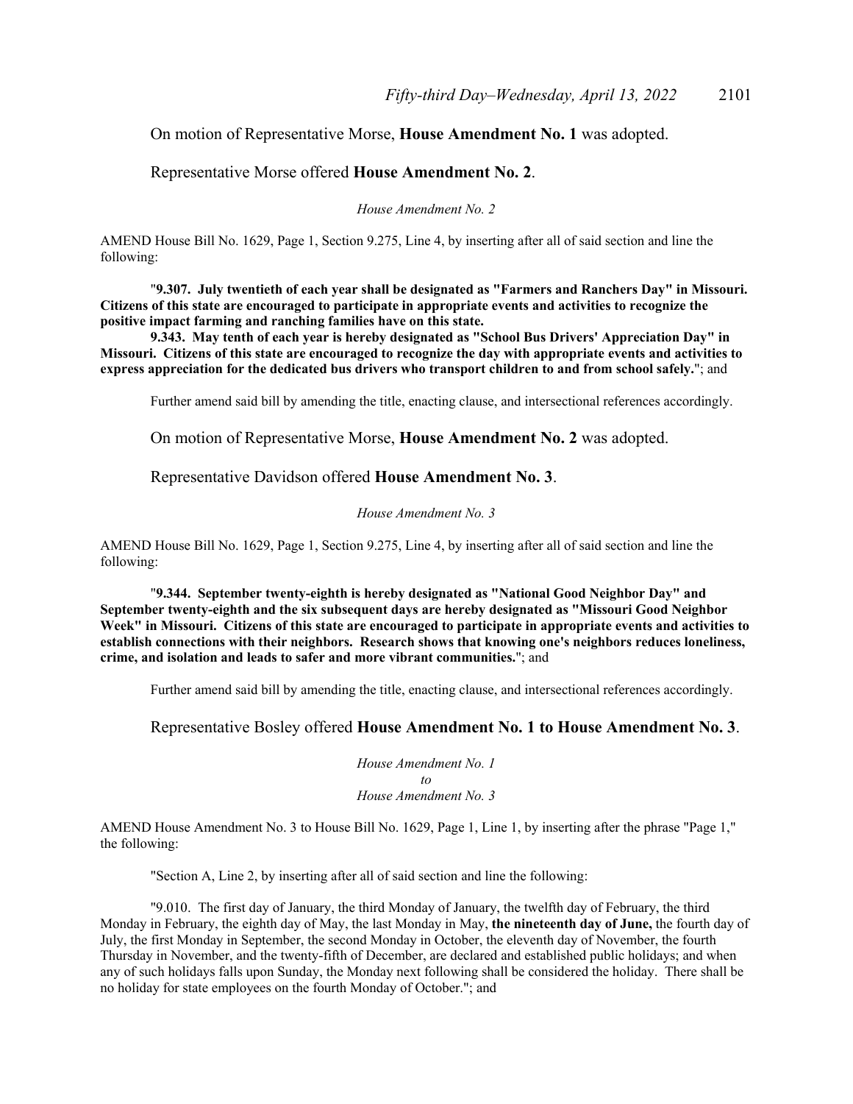### On motion of Representative Morse, **House Amendment No. 1** was adopted.

### Representative Morse offered **House Amendment No. 2**.

*House Amendment No. 2*

AMEND House Bill No. 1629, Page 1, Section 9.275, Line 4, by inserting after all of said section and line the following:

"**9.307. July twentieth of each year shall be designated as "Farmers and Ranchers Day" in Missouri. Citizens of this state are encouraged to participate in appropriate events and activities to recognize the positive impact farming and ranching families have on this state.** 

**9.343. May tenth of each year is hereby designated as "School Bus Drivers' Appreciation Day" in Missouri. Citizens of this state are encouraged to recognize the day with appropriate events and activities to express appreciation for the dedicated bus drivers who transport children to and from school safely.**"; and

Further amend said bill by amending the title, enacting clause, and intersectional references accordingly.

On motion of Representative Morse, **House Amendment No. 2** was adopted.

Representative Davidson offered **House Amendment No. 3**.

#### *House Amendment No. 3*

AMEND House Bill No. 1629, Page 1, Section 9.275, Line 4, by inserting after all of said section and line the following:

"**9.344. September twenty-eighth is hereby designated as "National Good Neighbor Day" and September twenty-eighth and the six subsequent days are hereby designated as "Missouri Good Neighbor Week" in Missouri. Citizens of this state are encouraged to participate in appropriate events and activities to establish connections with their neighbors. Research shows that knowing one's neighbors reduces loneliness, crime, and isolation and leads to safer and more vibrant communities.**"; and

Further amend said bill by amending the title, enacting clause, and intersectional references accordingly.

Representative Bosley offered **House Amendment No. 1 to House Amendment No. 3**.

*House Amendment No. 1 to House Amendment No. 3*

AMEND House Amendment No. 3 to House Bill No. 1629, Page 1, Line 1, by inserting after the phrase "Page 1," the following:

"Section A, Line 2, by inserting after all of said section and line the following:

"9.010. The first day of January, the third Monday of January, the twelfth day of February, the third Monday in February, the eighth day of May, the last Monday in May, **the nineteenth day of June,** the fourth day of July, the first Monday in September, the second Monday in October, the eleventh day of November, the fourth Thursday in November, and the twenty-fifth of December, are declared and established public holidays; and when any of such holidays falls upon Sunday, the Monday next following shall be considered the holiday. There shall be no holiday for state employees on the fourth Monday of October."; and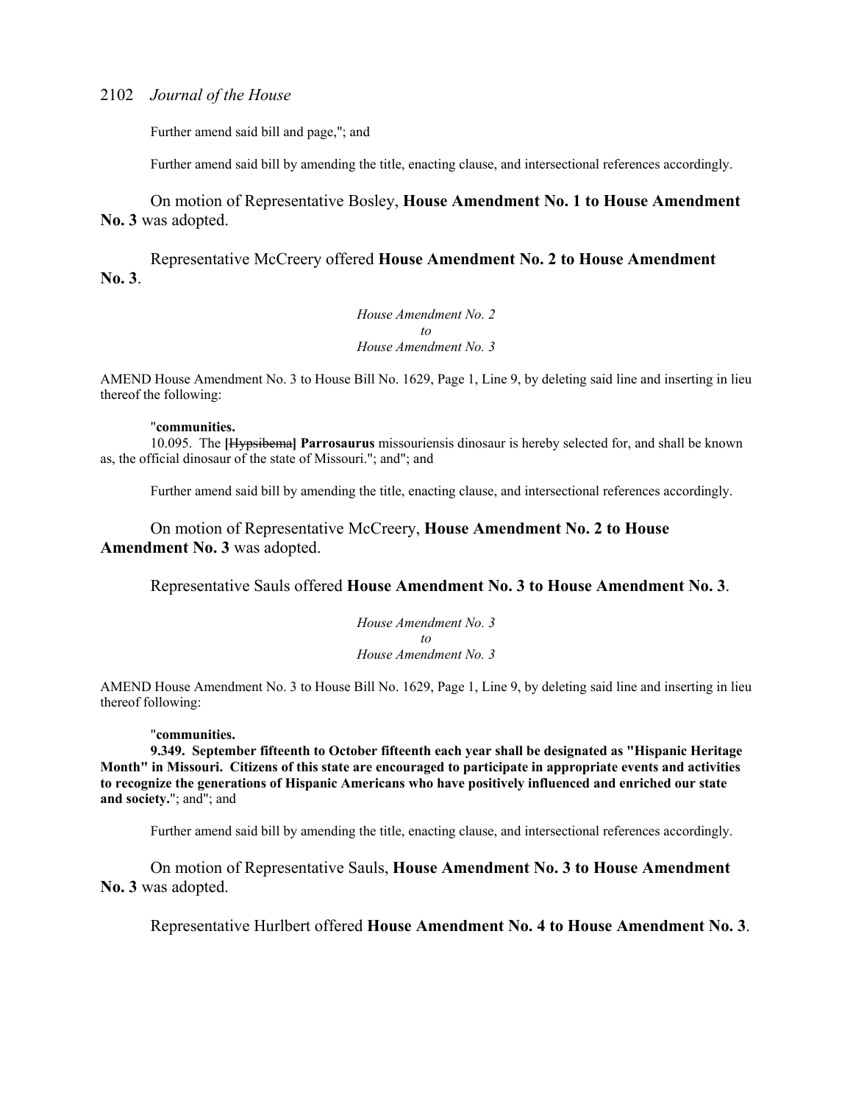Further amend said bill and page,"; and

Further amend said bill by amending the title, enacting clause, and intersectional references accordingly.

On motion of Representative Bosley, **House Amendment No. 1 to House Amendment No. 3** was adopted.

 Representative McCreery offered **House Amendment No. 2 to House Amendment No. 3**.

> *House Amendment No. 2 to House Amendment No. 3*

AMEND House Amendment No. 3 to House Bill No. 1629, Page 1, Line 9, by deleting said line and inserting in lieu thereof the following:

#### "**communities.**

10.095. The **[**Hypsibema**] Parrosaurus** missouriensis dinosaur is hereby selected for, and shall be known as, the official dinosaur of the state of Missouri."; and"; and

Further amend said bill by amending the title, enacting clause, and intersectional references accordingly.

On motion of Representative McCreery, **House Amendment No. 2 to House Amendment No. 3** was adopted.

Representative Sauls offered **House Amendment No. 3 to House Amendment No. 3**.

*House Amendment No. 3 to House Amendment No. 3*

AMEND House Amendment No. 3 to House Bill No. 1629, Page 1, Line 9, by deleting said line and inserting in lieu thereof following:

#### "**communities.**

**9.349. September fifteenth to October fifteenth each year shall be designated as "Hispanic Heritage Month" in Missouri. Citizens of this state are encouraged to participate in appropriate events and activities to recognize the generations of Hispanic Americans who have positively influenced and enriched our state and society.**"; and"; and

Further amend said bill by amending the title, enacting clause, and intersectional references accordingly.

On motion of Representative Sauls, **House Amendment No. 3 to House Amendment No. 3** was adopted.

Representative Hurlbert offered **House Amendment No. 4 to House Amendment No. 3**.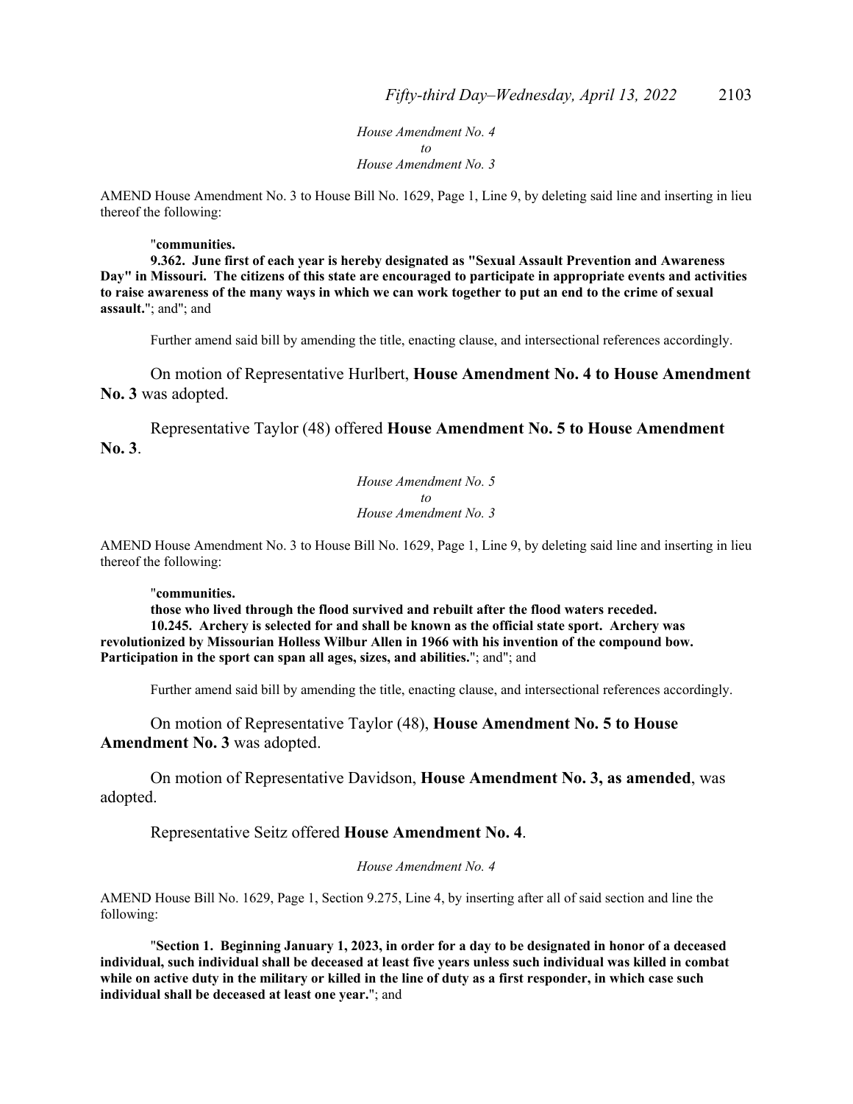*House Amendment No. 4 to House Amendment No. 3*

AMEND House Amendment No. 3 to House Bill No. 1629, Page 1, Line 9, by deleting said line and inserting in lieu thereof the following:

#### "**communities.**

**9.362. June first of each year is hereby designated as "Sexual Assault Prevention and Awareness Day" in Missouri. The citizens of this state are encouraged to participate in appropriate events and activities to raise awareness of the many ways in which we can work together to put an end to the crime of sexual assault.**"; and"; and

Further amend said bill by amending the title, enacting clause, and intersectional references accordingly.

On motion of Representative Hurlbert, **House Amendment No. 4 to House Amendment No. 3** was adopted.

 Representative Taylor (48) offered **House Amendment No. 5 to House Amendment No. 3**.

> *House Amendment No. 5 to House Amendment No. 3*

AMEND House Amendment No. 3 to House Bill No. 1629, Page 1, Line 9, by deleting said line and inserting in lieu thereof the following:

#### "**communities.**

**those who lived through the flood survived and rebuilt after the flood waters receded. 10.245. Archery is selected for and shall be known as the official state sport. Archery was revolutionized by Missourian Holless Wilbur Allen in 1966 with his invention of the compound bow. Participation in the sport can span all ages, sizes, and abilities.**"; and"; and

Further amend said bill by amending the title, enacting clause, and intersectional references accordingly.

On motion of Representative Taylor (48), **House Amendment No. 5 to House Amendment No. 3** was adopted.

 On motion of Representative Davidson, **House Amendment No. 3, as amended**, was adopted.

Representative Seitz offered **House Amendment No. 4**.

*House Amendment No. 4*

AMEND House Bill No. 1629, Page 1, Section 9.275, Line 4, by inserting after all of said section and line the following:

 "**Section 1. Beginning January 1, 2023, in order for a day to be designated in honor of a deceased individual, such individual shall be deceased at least five years unless such individual was killed in combat while on active duty in the military or killed in the line of duty as a first responder, in which case such individual shall be deceased at least one year.**"; and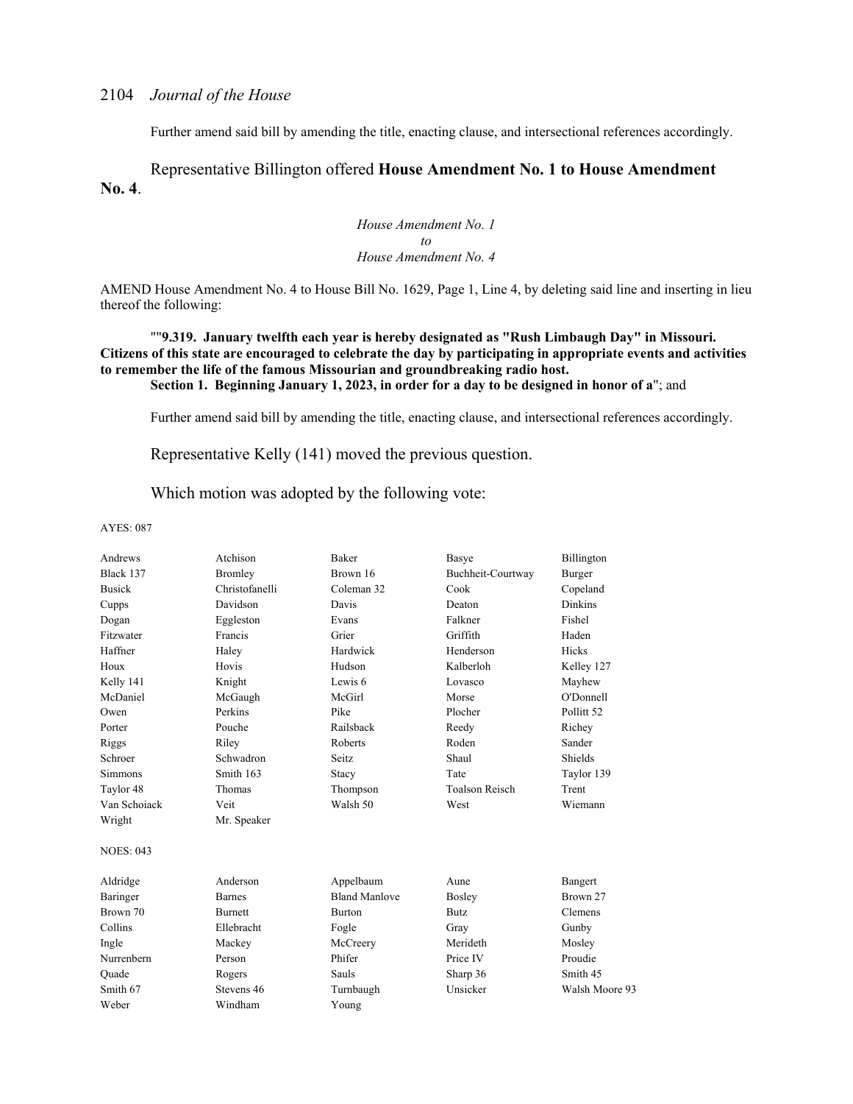Further amend said bill by amending the title, enacting clause, and intersectional references accordingly.

### Representative Billington offered **House Amendment No. 1 to House Amendment No. 4**.

*House Amendment No. 1 to House Amendment No. 4*

AMEND House Amendment No. 4 to House Bill No. 1629, Page 1, Line 4, by deleting said line and inserting in lieu thereof the following:

#### ""**9.319. January twelfth each year is hereby designated as "Rush Limbaugh Day" in Missouri. Citizens of this state are encouraged to celebrate the day by participating in appropriate events and activities to remember the life of the famous Missourian and groundbreaking radio host. Section 1. Beginning January 1, 2023, in order for a day to be designed in honor of a**"; and

Further amend said bill by amending the title, enacting clause, and intersectional references accordingly.

Representative Kelly (141) moved the previous question.

Which motion was adopted by the following vote:

| Andrews          | Atchison       | <b>Baker</b>         | Basye                 | Billington     |
|------------------|----------------|----------------------|-----------------------|----------------|
| Black 137        | Bromley        | Brown 16             | Buchheit-Courtway     | Burger         |
| <b>Busick</b>    | Christofanelli | Coleman 32           | Cook                  | Copeland       |
| Cupps            | Davidson       | Davis                | Deaton                | <b>Dinkins</b> |
| Dogan            | Eggleston      | Evans                | Falkner               | Fishel         |
| Fitzwater        | Francis        | Grier                | Griffith              | Haden          |
| Haffner          | Haley          | Hardwick             | Henderson             | <b>Hicks</b>   |
| Houx             | Hovis          | Hudson               | Kalberloh             | Kelley 127     |
| Kelly 141        | Knight         | Lewis 6              | Lovasco               | Mayhew         |
| McDaniel         | McGaugh        | McGirl               | Morse                 | O'Donnell      |
| Owen             | Perkins        | Pike                 | Plocher               | Pollitt 52     |
| Porter           | Pouche         | Railsback            | Reedy                 | Richey         |
| Riggs            | Riley          | Roberts              | Roden                 | Sander         |
| Schroer          | Schwadron      | Seitz                | Shaul                 | Shields        |
| <b>Simmons</b>   | Smith 163      | Stacy                | Tate                  | Taylor 139     |
| Taylor 48        | Thomas         | Thompson             | <b>Toalson Reisch</b> | Trent          |
| Van Schoiack     | Veit           | Walsh 50             | West                  | Wiemann        |
| Wright           | Mr. Speaker    |                      |                       |                |
| <b>NOES: 043</b> |                |                      |                       |                |
| Aldridge         | Anderson       | Appelbaum            | Aune                  | Bangert        |
| Baringer         | <b>Barnes</b>  | <b>Bland Manlove</b> | <b>Bosley</b>         | Brown 27       |
| Brown 70         | <b>Burnett</b> | Burton               | <b>Butz</b>           | Clemens        |
| Collins          | Ellebracht     | Fogle                | Gray                  | Gunby          |
| Ingle            | Mackey         | McCreery             | Merideth              | Mosley         |
| Nurrenbern       | Person         | Phifer               | Price IV              | Proudie        |
| Ouade            | Rogers         | Sauls                | Sharp 36              | Smith 45       |
| Smith 67         | Stevens 46     | Turnbaugh            | Unsicker              | Walsh Moore 93 |
| Weber            | Windham        | Young                |                       |                |
|                  |                |                      |                       |                |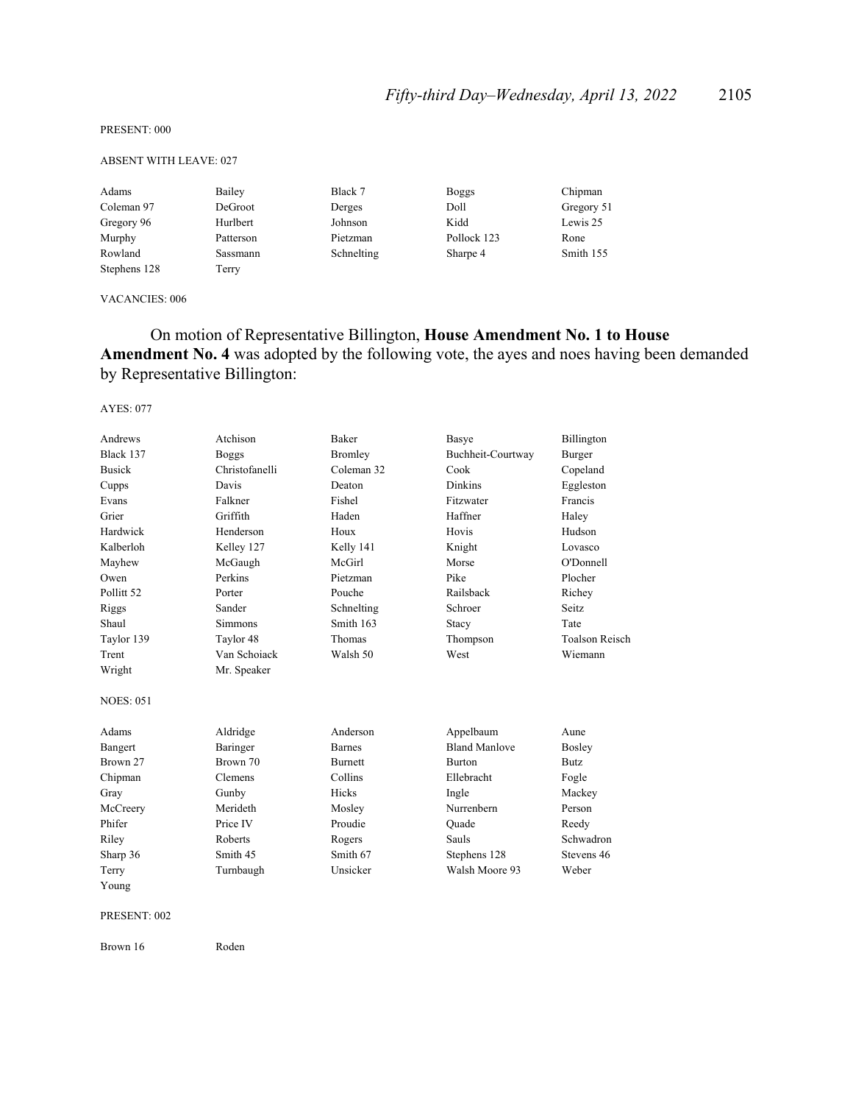PRESENT: 000

#### ABSENT WITH LEAVE: 027

| Adams        | Bailey    | Black 7    | <b>Boggs</b> | Chipman    |
|--------------|-----------|------------|--------------|------------|
| Coleman 97   | DeGroot   | Derges     | Doll         | Gregory 51 |
| Gregory 96   | Hurlbert  | Johnson    | Kidd         | Lewis 25   |
| Murphy       | Patterson | Pietzman   | Pollock 123  | Rone       |
| Rowland      | Sassmann  | Schnelting | Sharpe 4     | Smith 155  |
| Stephens 128 | Terry     |            |              |            |

#### VACANCIES: 006

## On motion of Representative Billington, **House Amendment No. 1 to House**  Amendment No. 4 was adopted by the following vote, the ayes and noes having been demanded by Representative Billington:

#### AYES: 077

| Andrews               | Atchison       | Baker          | Basye                | Billington            |
|-----------------------|----------------|----------------|----------------------|-----------------------|
| Black 137             | Boggs          | <b>Bromley</b> | Buchheit-Courtway    | Burger                |
| <b>Busick</b>         | Christofanelli | Coleman 32     | Cook                 | Copeland              |
| Cupps                 | Davis          | Deaton         | <b>Dinkins</b>       | Eggleston             |
| Evans                 | Falkner        | Fishel         | Fitzwater            | Francis               |
| Grier                 | Griffith       | Haden          | Haffner              | Haley                 |
| Hardwick              | Henderson      | Houx           | Hovis                | Hudson                |
| Kalberloh             | Kelley 127     | Kelly 141      | Knight               | Lovasco               |
| Mayhew                | McGaugh        | McGirl         | Morse                | O'Donnell             |
| Owen                  | Perkins        | Pietzman       | Pike                 | Plocher               |
| Pollitt <sub>52</sub> | Porter         | Pouche         | Railsback            | Richey                |
| Riggs                 | Sander         | Schnelting     | Schroer              | Seitz.                |
| Shaul                 | <b>Simmons</b> | Smith 163      | Stacy                | Tate                  |
| Taylor 139            | Taylor 48      | Thomas         | Thompson             | <b>Toalson Reisch</b> |
| Trent                 | Van Schoiack   | Walsh 50       | West                 | Wiemann               |
| Wright                | Mr. Speaker    |                |                      |                       |
| <b>NOES: 051</b>      |                |                |                      |                       |
| Adams                 | Aldridge       | Anderson       | Appelbaum            | Aune                  |
| Bangert               | Baringer       | <b>Barnes</b>  | <b>Bland Manlove</b> | <b>Bosley</b>         |
| Brown 27              | Brown 70       | <b>Burnett</b> | <b>Burton</b>        | <b>Butz</b>           |
| Chipman               | Clemens        | Collins        | Ellebracht           | Fogle                 |
| Gray                  | Gunby          | Hicks          | Ingle                | Mackey                |
| McCreery              | Merideth       | Mosley         | Nurrenbern           | Person                |
| Phifer                | Price IV       | Proudie        | Ouade                | Reedy                 |
| Riley                 | Roberts        | Rogers         | Sauls                | Schwadron             |
| Sharp 36              | Smith 45       | Smith 67       | Stephens 128         | Stevens 46            |
| Terry                 | Turnbaugh      | Unsicker       | Walsh Moore 93       | Weber                 |
| Young                 |                |                |                      |                       |
|                       |                |                |                      |                       |

#### PRESENT: 002

Brown 16 Roden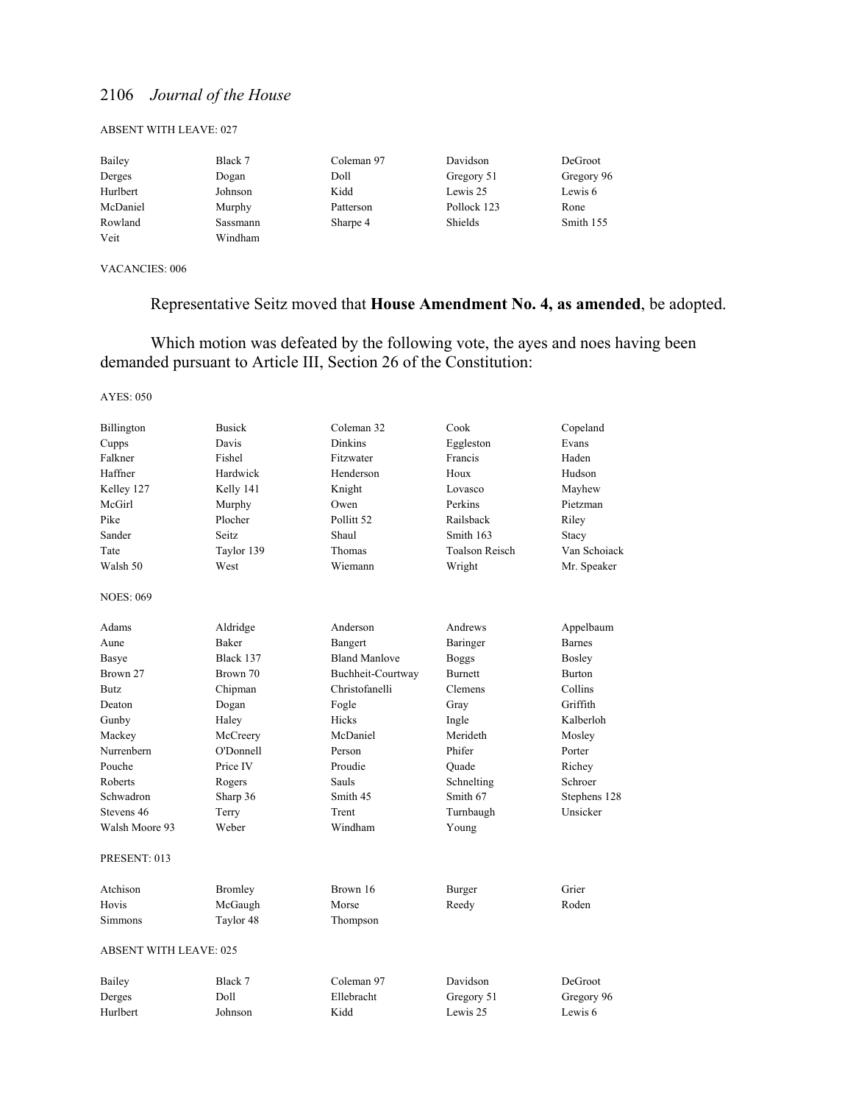#### ABSENT WITH LEAVE: 027

| Bailey   | Black 7  | Coleman 97 | Davidson    | DeGroot    |
|----------|----------|------------|-------------|------------|
| Derges   | Dogan    | Doll       | Gregory 51  | Gregory 96 |
| Hurlbert | Johnson  | Kidd       | Lewis 25    | Lewis 6    |
| McDaniel | Murphy   | Patterson  | Pollock 123 | Rone       |
| Rowland  | Sassmann | Sharpe 4   | Shields     | Smith 155  |
| Veit     | Windham  |            |             |            |

VACANCIES: 006

# Representative Seitz moved that **House Amendment No. 4, as amended**, be adopted.

 Which motion was defeated by the following vote, the ayes and noes having been demanded pursuant to Article III, Section 26 of the Constitution:

| Billington<br>Cupps<br>Falkner<br>Haffner<br>Kelley 127<br>McGirl | <b>Busick</b><br>Davis<br>Fishel<br>Hardwick<br>Kelly 141<br>Murphy | Coleman 32<br><b>Dinkins</b><br>Fitzwater<br>Henderson<br>Knight<br>Owen | Cook<br>Eggleston<br>Francis<br>Houx<br>Lovasco<br>Perkins | Copeland<br>Evans<br>Haden<br>Hudson<br>Mayhew<br>Pietzman |
|-------------------------------------------------------------------|---------------------------------------------------------------------|--------------------------------------------------------------------------|------------------------------------------------------------|------------------------------------------------------------|
| Pike                                                              | Plocher                                                             | Pollitt <sub>52</sub>                                                    | Railsback                                                  | Riley                                                      |
| Sander                                                            | Seitz                                                               | Shaul                                                                    | Smith 163                                                  | Stacy                                                      |
| Tate                                                              | Taylor 139                                                          | Thomas                                                                   | <b>Toalson Reisch</b>                                      | Van Schoiack                                               |
| Walsh 50                                                          | West                                                                | Wiemann                                                                  | Wright                                                     | Mr. Speaker                                                |
| <b>NOES: 069</b>                                                  |                                                                     |                                                                          |                                                            |                                                            |
| Adams                                                             | Aldridge                                                            | Anderson                                                                 | Andrews                                                    | Appelbaum                                                  |
| Aune                                                              | Baker                                                               | Bangert                                                                  | Baringer                                                   | <b>Barnes</b>                                              |
| Basye                                                             | Black 137                                                           | <b>Bland Manlove</b>                                                     | <b>Boggs</b>                                               | Bosley                                                     |
| Brown 27                                                          | Brown 70                                                            | Buchheit-Courtway                                                        | <b>Burnett</b>                                             | <b>Burton</b>                                              |
| <b>Butz</b>                                                       | Chipman                                                             | Christofanelli                                                           | Clemens                                                    | Collins                                                    |
| Deaton                                                            | Dogan                                                               | Fogle                                                                    | Gray                                                       | Griffith                                                   |
| Gunby                                                             | Haley                                                               | Hicks                                                                    | Ingle                                                      | Kalberloh                                                  |
| Mackey                                                            | McCreery                                                            | McDaniel                                                                 | Merideth                                                   | Mosley                                                     |
| Nurrenbern                                                        | O'Donnell                                                           | Person                                                                   | Phifer                                                     | Porter                                                     |
| Pouche                                                            | Price IV                                                            | Proudie                                                                  | Quade                                                      | Richey                                                     |
| <b>Roberts</b>                                                    | Rogers                                                              | Sauls                                                                    | Schnelting                                                 | Schroer                                                    |
| Schwadron                                                         | Sharp 36                                                            | Smith 45                                                                 | Smith 67                                                   | Stephens 128                                               |
| Stevens 46                                                        | Terry                                                               | Trent                                                                    | Turnbaugh                                                  | Unsicker                                                   |
| Walsh Moore 93                                                    | Weber                                                               | Windham                                                                  | Young                                                      |                                                            |
| PRESENT: 013                                                      |                                                                     |                                                                          |                                                            |                                                            |
| Atchison                                                          | <b>Bromley</b>                                                      | Brown 16                                                                 | Burger                                                     | Grier                                                      |
| Hovis                                                             | McGaugh                                                             | Morse                                                                    | Reedy                                                      | Roden                                                      |
| Simmons                                                           | Taylor 48                                                           | Thompson                                                                 |                                                            |                                                            |
| <b>ABSENT WITH LEAVE: 025</b>                                     |                                                                     |                                                                          |                                                            |                                                            |
| Bailey                                                            | Black 7                                                             | Coleman 97                                                               | Davidson                                                   | DeGroot                                                    |
| Derges                                                            | Doll                                                                | Ellebracht                                                               | Gregory 51                                                 | Gregory 96                                                 |
| Hurlbert                                                          | Johnson                                                             | Kidd                                                                     | Lewis 25                                                   | Lewis <sub>6</sub>                                         |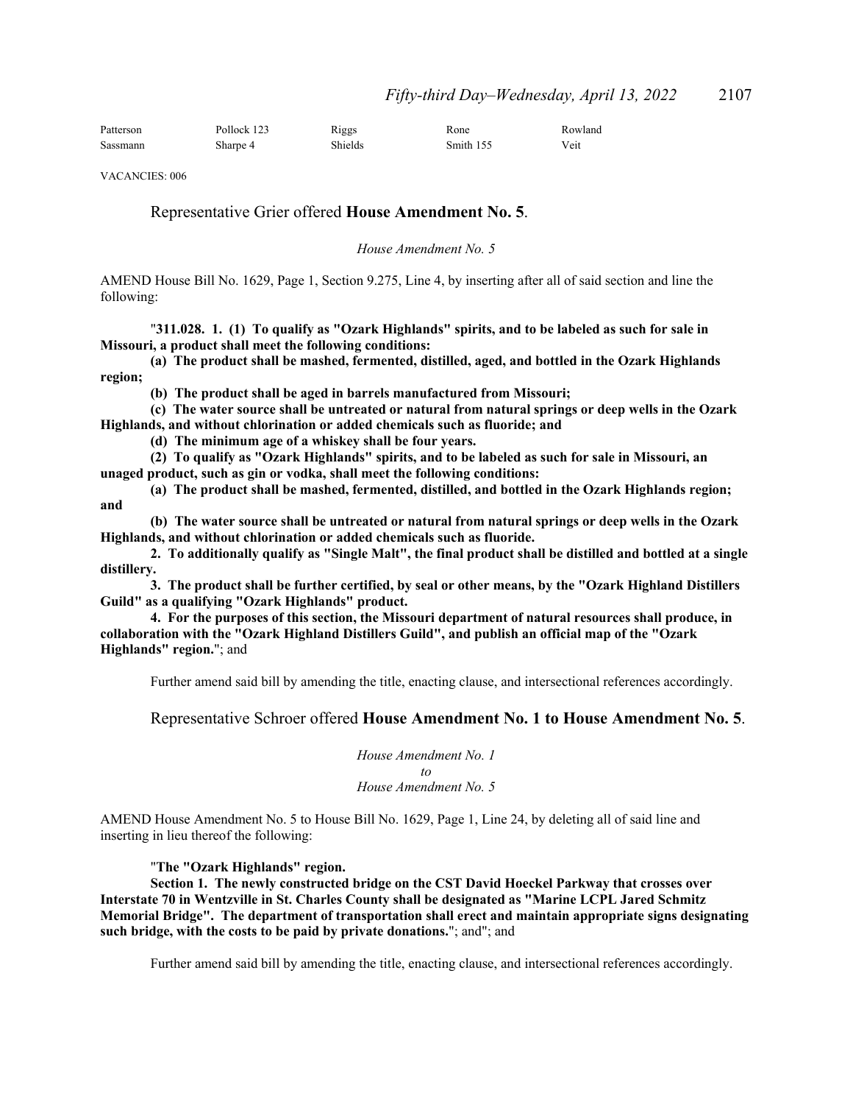| Patterson | Pollock 123 | Riggs   | Rone      | Rowland |
|-----------|-------------|---------|-----------|---------|
| Sassmann  | Sharpe 4    | Shields | Smith 155 | Veit    |

VACANCIES: 006

### Representative Grier offered **House Amendment No. 5**.

*House Amendment No. 5*

AMEND House Bill No. 1629, Page 1, Section 9.275, Line 4, by inserting after all of said section and line the following:

"**311.028. 1. (1) To qualify as "Ozark Highlands" spirits, and to be labeled as such for sale in Missouri, a product shall meet the following conditions:**

**(a) The product shall be mashed, fermented, distilled, aged, and bottled in the Ozark Highlands region;**

**(b) The product shall be aged in barrels manufactured from Missouri;**

**(c) The water source shall be untreated or natural from natural springs or deep wells in the Ozark Highlands, and without chlorination or added chemicals such as fluoride; and**

**(d) The minimum age of a whiskey shall be four years.**

**(2) To qualify as "Ozark Highlands" spirits, and to be labeled as such for sale in Missouri, an unaged product, such as gin or vodka, shall meet the following conditions:**

**(a) The product shall be mashed, fermented, distilled, and bottled in the Ozark Highlands region; and**

**(b) The water source shall be untreated or natural from natural springs or deep wells in the Ozark Highlands, and without chlorination or added chemicals such as fluoride.**

**2. To additionally qualify as "Single Malt", the final product shall be distilled and bottled at a single distillery.**

**3. The product shall be further certified, by seal or other means, by the "Ozark Highland Distillers Guild" as a qualifying "Ozark Highlands" product.**

**4. For the purposes of this section, the Missouri department of natural resources shall produce, in collaboration with the "Ozark Highland Distillers Guild", and publish an official map of the "Ozark Highlands" region.**"; and

Further amend said bill by amending the title, enacting clause, and intersectional references accordingly.

#### Representative Schroer offered **House Amendment No. 1 to House Amendment No. 5**.

*House Amendment No. 1 to House Amendment No. 5*

AMEND House Amendment No. 5 to House Bill No. 1629, Page 1, Line 24, by deleting all of said line and inserting in lieu thereof the following:

"**The "Ozark Highlands" region.**

**Section 1. The newly constructed bridge on the CST David Hoeckel Parkway that crosses over Interstate 70 in Wentzville in St. Charles County shall be designated as "Marine LCPL Jared Schmitz Memorial Bridge". The department of transportation shall erect and maintain appropriate signs designating such bridge, with the costs to be paid by private donations.**"; and"; and

Further amend said bill by amending the title, enacting clause, and intersectional references accordingly.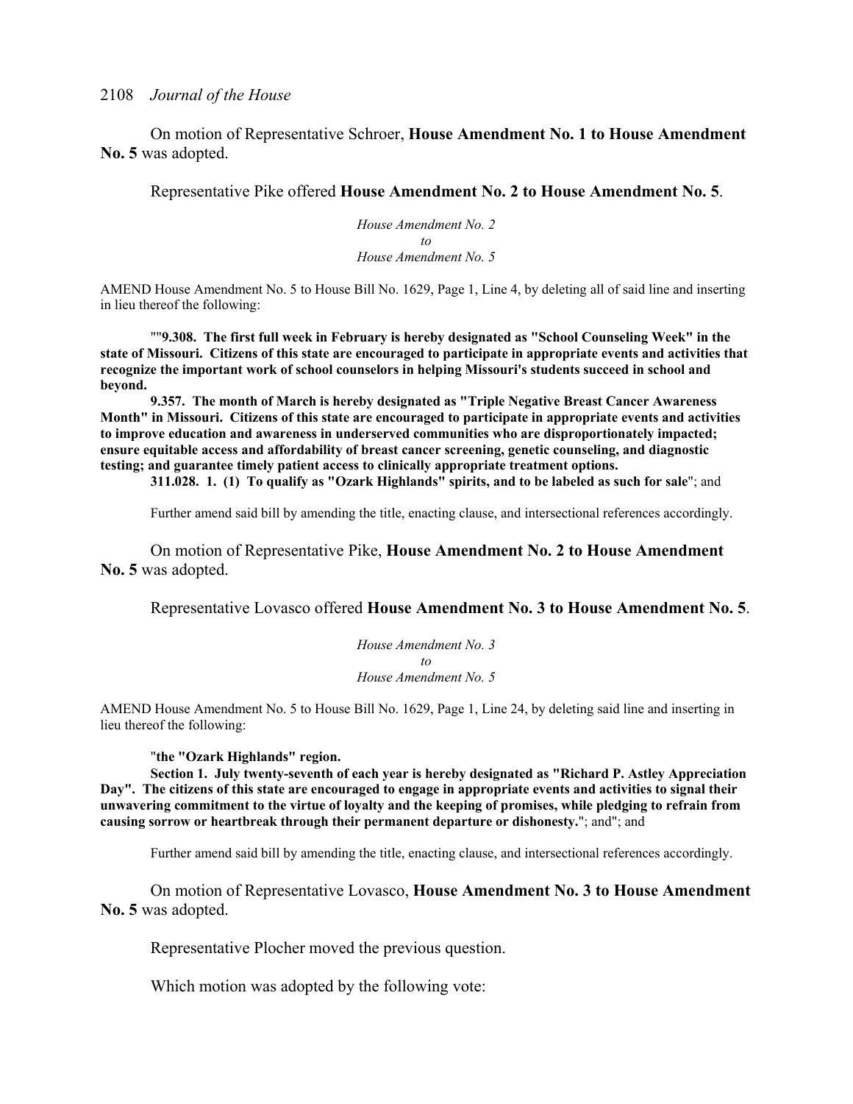On motion of Representative Schroer, **House Amendment No. 1 to House Amendment No. 5** was adopted.

Representative Pike offered **House Amendment No. 2 to House Amendment No. 5**.

*House Amendment No. 2 to House Amendment No. 5*

AMEND House Amendment No. 5 to House Bill No. 1629, Page 1, Line 4, by deleting all of said line and inserting in lieu thereof the following:

""**9.308. The first full week in February is hereby designated as "School Counseling Week" in the state of Missouri. Citizens of this state are encouraged to participate in appropriate events and activities that recognize the important work of school counselors in helping Missouri's students succeed in school and beyond.**

**9.357. The month of March is hereby designated as "Triple Negative Breast Cancer Awareness Month" in Missouri. Citizens of this state are encouraged to participate in appropriate events and activities to improve education and awareness in underserved communities who are disproportionately impacted; ensure equitable access and affordability of breast cancer screening, genetic counseling, and diagnostic testing; and guarantee timely patient access to clinically appropriate treatment options.** 

**311.028. 1. (1) To qualify as "Ozark Highlands" spirits, and to be labeled as such for sale**"; and

Further amend said bill by amending the title, enacting clause, and intersectional references accordingly.

On motion of Representative Pike, **House Amendment No. 2 to House Amendment No. 5** was adopted.

Representative Lovasco offered **House Amendment No. 3 to House Amendment No. 5**.

*House Amendment No. 3 to House Amendment No. 5*

AMEND House Amendment No. 5 to House Bill No. 1629, Page 1, Line 24, by deleting said line and inserting in lieu thereof the following:

"**the "Ozark Highlands" region.** 

**Section 1. July twenty-seventh of each year is hereby designated as "Richard P. Astley Appreciation Day". The citizens of this state are encouraged to engage in appropriate events and activities to signal their unwavering commitment to the virtue of loyalty and the keeping of promises, while pledging to refrain from causing sorrow or heartbreak through their permanent departure or dishonesty.**"; and"; and

Further amend said bill by amending the title, enacting clause, and intersectional references accordingly.

On motion of Representative Lovasco, **House Amendment No. 3 to House Amendment No. 5** was adopted.

Representative Plocher moved the previous question.

Which motion was adopted by the following vote: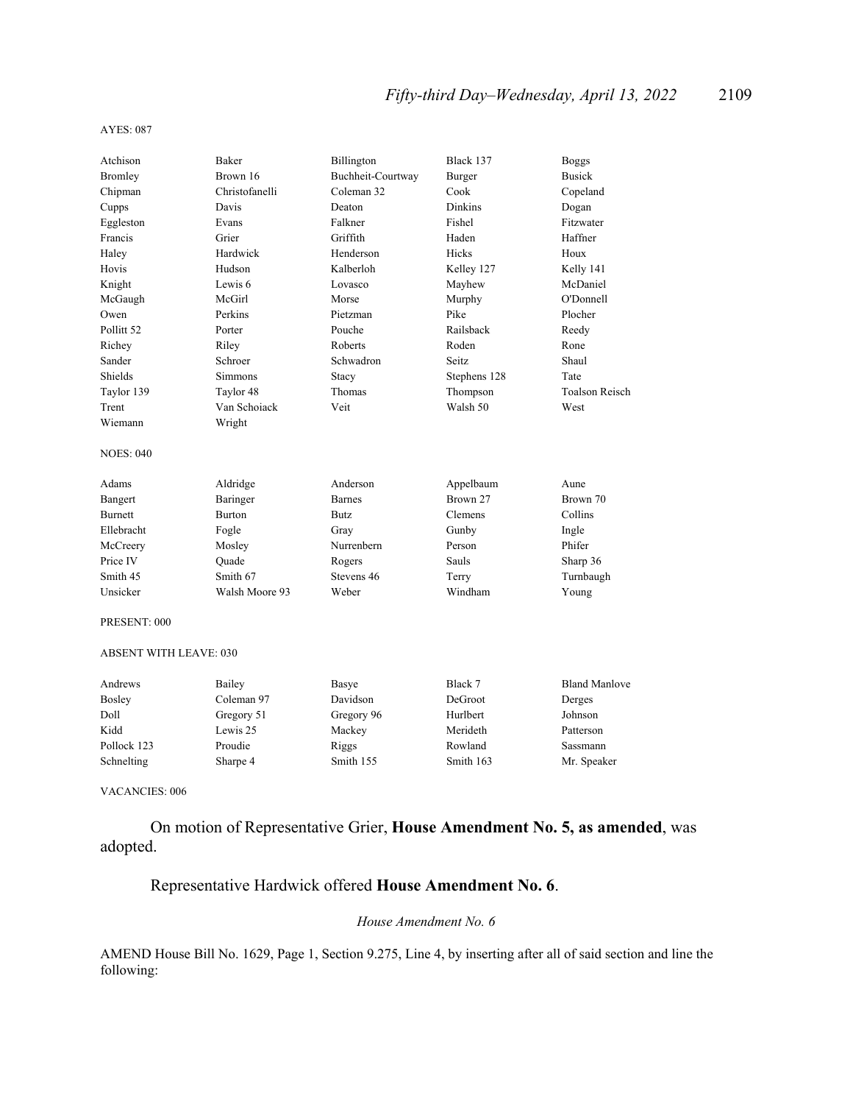#### AYES: 087

| Atchison              | <b>Baker</b>   | Billington        | Black 137      | <b>Boggs</b>          |
|-----------------------|----------------|-------------------|----------------|-----------------------|
| Bromley               | Brown 16       | Buchheit-Courtway | Burger         | <b>Busick</b>         |
| Chipman               | Christofanelli | Coleman 32        | Cook           | Copeland              |
| Cupps                 | Davis          | Deaton            | <b>Dinkins</b> | Dogan                 |
| Eggleston             | Evans          | Falkner           | Fishel         | Fitzwater             |
| Francis               | Grier          | Griffith          | Haden          | Haffner               |
| Haley                 | Hardwick       | Henderson         | Hicks          | Houx                  |
| Hovis                 | Hudson         | Kalberloh         | Kelley 127     | Kelly 141             |
| Knight                | Lewis 6        | Lovasco           | Mayhew         | McDaniel              |
| McGaugh               | McGirl         | Morse             | Murphy         | O'Donnell             |
| Owen                  | Perkins        | Pietzman          | Pike           | Plocher               |
| Pollitt <sub>52</sub> | Porter         | Pouche            | Railsback      | Reedy                 |
| Richey                | Riley          | Roberts           | Roden          | Rone                  |
| Sander                | Schroer        | Schwadron         | Seitz          | Shaul                 |
| Shields               | <b>Simmons</b> | Stacy             | Stephens 128   | Tate                  |
| Taylor 139            | Taylor 48      | Thomas            | Thompson       | <b>Toalson Reisch</b> |
| Trent                 | Van Schoiack   | Veit              | Walsh 50       | West                  |
| Wiemann               | Wright         |                   |                |                       |
| <b>NOES: 040</b>      |                |                   |                |                       |
| Adams                 | Aldridge       | Anderson          | Appelbaum      | Aune                  |
| Bangert               | Baringer       | <b>Barnes</b>     | Brown 27       | Brown 70              |
| <b>Burnett</b>        | <b>Burton</b>  | <b>Butz</b>       | Clemens        | Collins               |
| Ellebracht            | Fogle          | Gray              | Gunby          | Ingle                 |
| McCreery              | Mosley         | Nurrenbern        | Person         | Phifer                |
| Price IV              | Ouade          | Rogers            | Sauls          | Sharp 36              |
| Smith 45              | Smith 67       | Stevens 46        | Terry          | Turnbaugh             |
| Unsicker              | Walsh Moore 93 | Weber             | Windham        | Young                 |
| PRESENT: 000          |                |                   |                |                       |

#### ABSENT WITH LEAVE: 030

| Andrews       | Bailey     | Basye      | Black 7   | <b>Bland Manlove</b> |
|---------------|------------|------------|-----------|----------------------|
| <b>Bosley</b> | Coleman 97 | Davidson   | DeGroot   | Derges               |
| Doll          | Gregory 51 | Gregory 96 | Hurlbert  | Johnson              |
| Kidd          | Lewis 25   | Mackey     | Merideth  | Patterson            |
| Pollock 123   | Proudie    | Riggs      | Rowland   | Sassmann             |
| Schnelting    | Sharpe 4   | Smith 155  | Smith 163 | Mr. Speaker          |

VACANCIES: 006

 On motion of Representative Grier, **House Amendment No. 5, as amended**, was adopted.

# Representative Hardwick offered **House Amendment No. 6**.

*House Amendment No. 6*

AMEND House Bill No. 1629, Page 1, Section 9.275, Line 4, by inserting after all of said section and line the following: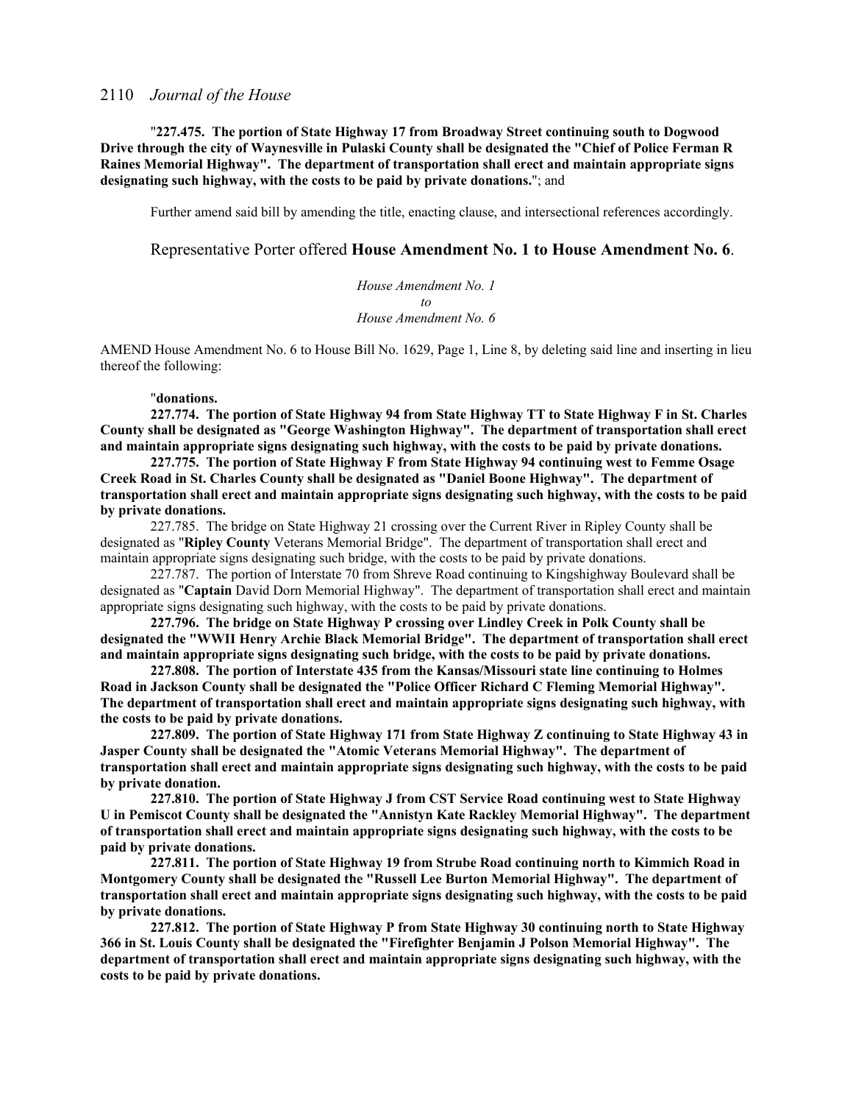"**227.475. The portion of State Highway 17 from Broadway Street continuing south to Dogwood Drive through the city of Waynesville in Pulaski County shall be designated the "Chief of Police Ferman R Raines Memorial Highway". The department of transportation shall erect and maintain appropriate signs designating such highway, with the costs to be paid by private donations.**"; and

Further amend said bill by amending the title, enacting clause, and intersectional references accordingly.

#### Representative Porter offered **House Amendment No. 1 to House Amendment No. 6**.

*House Amendment No. 1 to House Amendment No. 6*

AMEND House Amendment No. 6 to House Bill No. 1629, Page 1, Line 8, by deleting said line and inserting in lieu thereof the following:

#### "**donations.**

**227.774. The portion of State Highway 94 from State Highway TT to State Highway F in St. Charles County shall be designated as "George Washington Highway". The department of transportation shall erect and maintain appropriate signs designating such highway, with the costs to be paid by private donations.**

**227.775. The portion of State Highway F from State Highway 94 continuing west to Femme Osage Creek Road in St. Charles County shall be designated as "Daniel Boone Highway". The department of transportation shall erect and maintain appropriate signs designating such highway, with the costs to be paid by private donations.**

227.785. The bridge on State Highway 21 crossing over the Current River in Ripley County shall be designated as "**Ripley County** Veterans Memorial Bridge". The department of transportation shall erect and maintain appropriate signs designating such bridge, with the costs to be paid by private donations.

227.787. The portion of Interstate 70 from Shreve Road continuing to Kingshighway Boulevard shall be designated as "**Captain** David Dorn Memorial Highway". The department of transportation shall erect and maintain appropriate signs designating such highway, with the costs to be paid by private donations.

**227.796. The bridge on State Highway P crossing over Lindley Creek in Polk County shall be designated the "WWII Henry Archie Black Memorial Bridge". The department of transportation shall erect and maintain appropriate signs designating such bridge, with the costs to be paid by private donations.**

**227.808. The portion of Interstate 435 from the Kansas/Missouri state line continuing to Holmes Road in Jackson County shall be designated the "Police Officer Richard C Fleming Memorial Highway". The department of transportation shall erect and maintain appropriate signs designating such highway, with the costs to be paid by private donations.**

**227.809. The portion of State Highway 171 from State Highway Z continuing to State Highway 43 in Jasper County shall be designated the "Atomic Veterans Memorial Highway". The department of transportation shall erect and maintain appropriate signs designating such highway, with the costs to be paid by private donation.**

**227.810. The portion of State Highway J from CST Service Road continuing west to State Highway U in Pemiscot County shall be designated the "Annistyn Kate Rackley Memorial Highway". The department of transportation shall erect and maintain appropriate signs designating such highway, with the costs to be paid by private donations.**

**227.811. The portion of State Highway 19 from Strube Road continuing north to Kimmich Road in Montgomery County shall be designated the "Russell Lee Burton Memorial Highway". The department of transportation shall erect and maintain appropriate signs designating such highway, with the costs to be paid by private donations.**

**227.812. The portion of State Highway P from State Highway 30 continuing north to State Highway 366 in St. Louis County shall be designated the "Firefighter Benjamin J Polson Memorial Highway". The department of transportation shall erect and maintain appropriate signs designating such highway, with the costs to be paid by private donations.**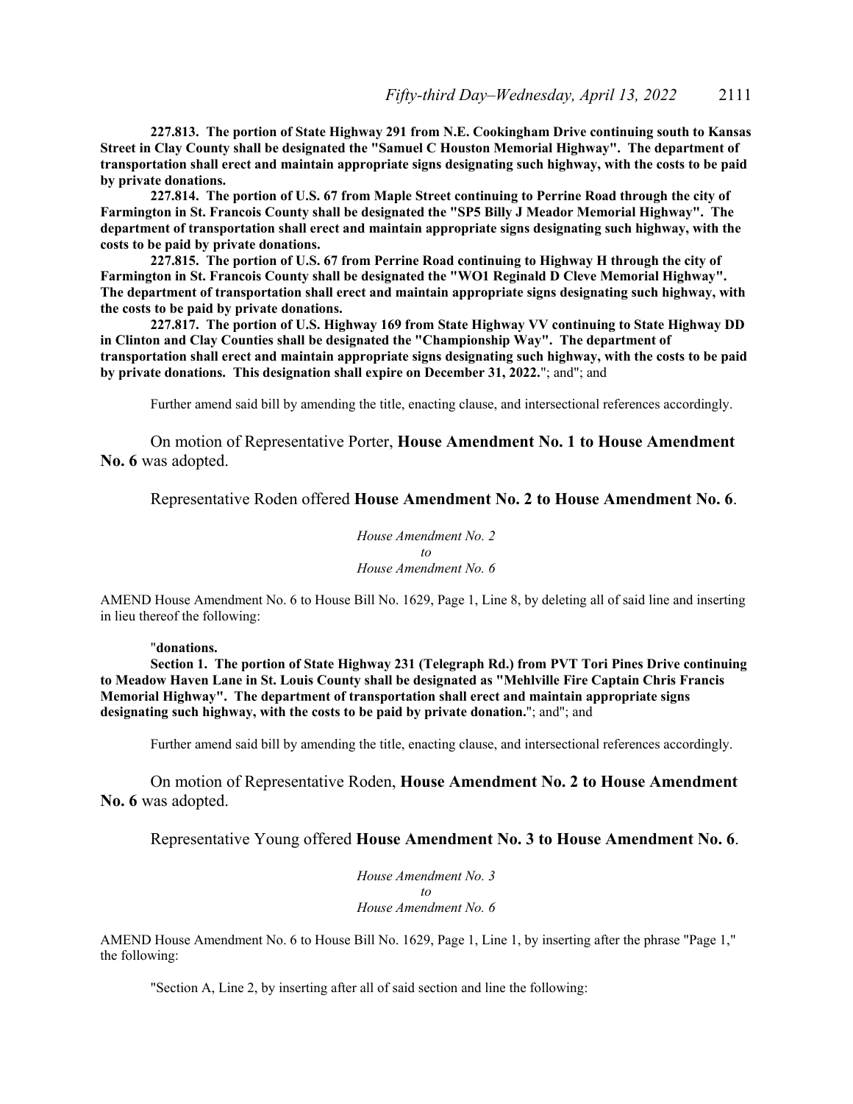**227.813. The portion of State Highway 291 from N.E. Cookingham Drive continuing south to Kansas Street in Clay County shall be designated the "Samuel C Houston Memorial Highway". The department of transportation shall erect and maintain appropriate signs designating such highway, with the costs to be paid by private donations.**

**227.814. The portion of U.S. 67 from Maple Street continuing to Perrine Road through the city of Farmington in St. Francois County shall be designated the "SP5 Billy J Meador Memorial Highway". The department of transportation shall erect and maintain appropriate signs designating such highway, with the costs to be paid by private donations.**

**227.815. The portion of U.S. 67 from Perrine Road continuing to Highway H through the city of Farmington in St. Francois County shall be designated the "WO1 Reginald D Cleve Memorial Highway". The department of transportation shall erect and maintain appropriate signs designating such highway, with the costs to be paid by private donations.**

**227.817. The portion of U.S. Highway 169 from State Highway VV continuing to State Highway DD in Clinton and Clay Counties shall be designated the "Championship Way". The department of transportation shall erect and maintain appropriate signs designating such highway, with the costs to be paid by private donations. This designation shall expire on December 31, 2022.**"; and"; and

Further amend said bill by amending the title, enacting clause, and intersectional references accordingly.

On motion of Representative Porter, **House Amendment No. 1 to House Amendment No. 6** was adopted.

Representative Roden offered **House Amendment No. 2 to House Amendment No. 6**.

*House Amendment No. 2 to House Amendment No. 6*

AMEND House Amendment No. 6 to House Bill No. 1629, Page 1, Line 8, by deleting all of said line and inserting in lieu thereof the following:

#### "**donations.**

**Section 1. The portion of State Highway 231 (Telegraph Rd.) from PVT Tori Pines Drive continuing to Meadow Haven Lane in St. Louis County shall be designated as "Mehlville Fire Captain Chris Francis Memorial Highway". The department of transportation shall erect and maintain appropriate signs designating such highway, with the costs to be paid by private donation.**"; and"; and

Further amend said bill by amending the title, enacting clause, and intersectional references accordingly.

On motion of Representative Roden, **House Amendment No. 2 to House Amendment No. 6** was adopted.

Representative Young offered **House Amendment No. 3 to House Amendment No. 6**.

*House Amendment No. 3 to House Amendment No. 6*

AMEND House Amendment No. 6 to House Bill No. 1629, Page 1, Line 1, by inserting after the phrase "Page 1," the following:

"Section A, Line 2, by inserting after all of said section and line the following: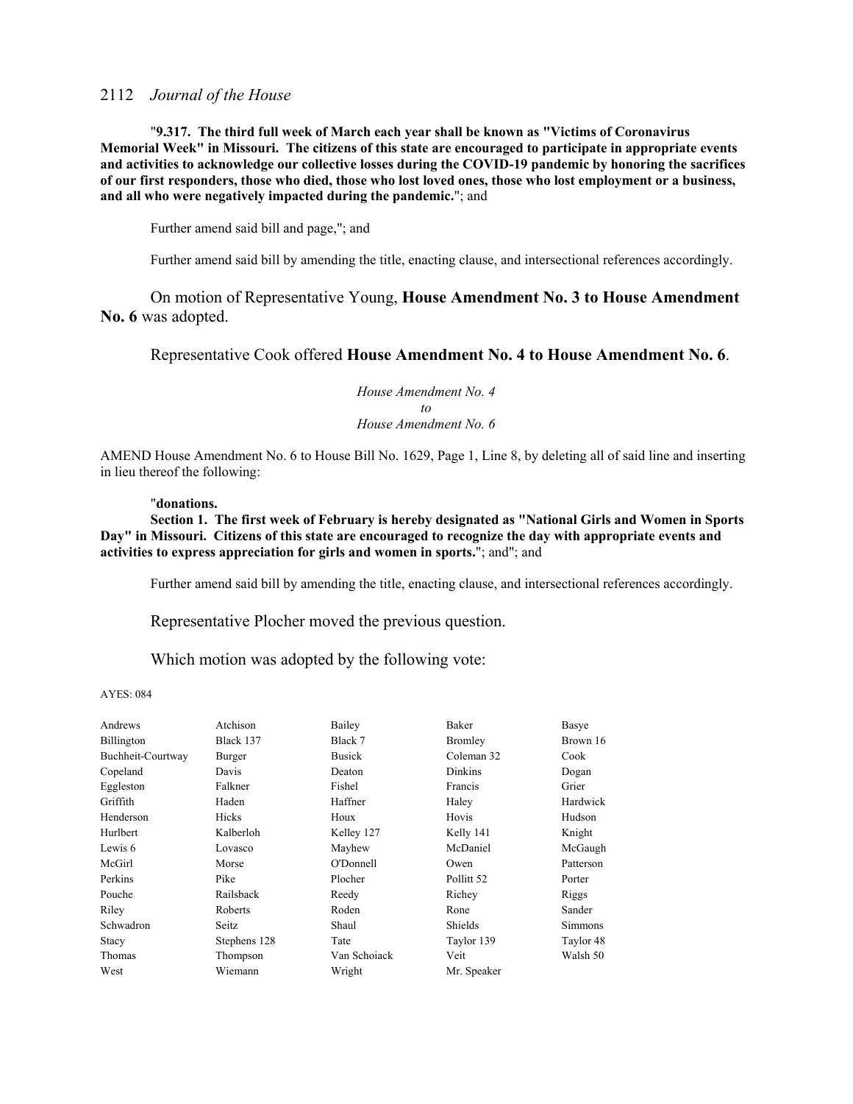"**9.317. The third full week of March each year shall be known as "Victims of Coronavirus Memorial Week" in Missouri. The citizens of this state are encouraged to participate in appropriate events and activities to acknowledge our collective losses during the COVID-19 pandemic by honoring the sacrifices of our first responders, those who died, those who lost loved ones, those who lost employment or a business, and all who were negatively impacted during the pandemic.**"; and

Further amend said bill and page,"; and

Further amend said bill by amending the title, enacting clause, and intersectional references accordingly.

On motion of Representative Young, **House Amendment No. 3 to House Amendment No. 6** was adopted.

### Representative Cook offered **House Amendment No. 4 to House Amendment No. 6**.

*House Amendment No. 4 to House Amendment No. 6*

AMEND House Amendment No. 6 to House Bill No. 1629, Page 1, Line 8, by deleting all of said line and inserting in lieu thereof the following:

#### "**donations.**

**Section 1. The first week of February is hereby designated as "National Girls and Women in Sports Day" in Missouri. Citizens of this state are encouraged to recognize the day with appropriate events and activities to express appreciation for girls and women in sports.**"; and"; and

Further amend said bill by amending the title, enacting clause, and intersectional references accordingly.

Representative Plocher moved the previous question.

Which motion was adopted by the following vote:

|              | Bailey        | Baker                 | Basye     |
|--------------|---------------|-----------------------|-----------|
| Black 137    | Black 7       | Bromley               | Brown 16  |
| Burger       | <b>Busick</b> | Coleman 32            | Cook      |
| Davis        | Deaton        | Dinkins               | Dogan     |
| Falkner      | Fishel        | Francis               | Grier     |
| Haden        | Haffner       | Haley                 | Hardwick  |
| Hicks        | Houx          | Hovis                 | Hudson    |
| Kalberloh    | Kelley 127    | Kelly 141             | Knight    |
| Lovasco      |               | McDaniel              | McGaugh   |
| Morse        | O'Donnell     | Owen                  | Patterson |
| Pike         | Plocher       | Pollitt <sub>52</sub> | Porter    |
| Railsback    |               | Richey                | Riggs     |
| Roberts      | Roden         | Rone                  | Sander    |
| Seitz        | Shaul         | Shields               | Simmons   |
| Stephens 128 | Tate          | Taylor 139            | Taylor 48 |
| Thompson     | Van Schoiack  | Veit                  | Walsh 50  |
| Wiemann      | Wright        | Mr. Speaker           |           |
|              | Atchison      | Mayhew<br>Reedy       |           |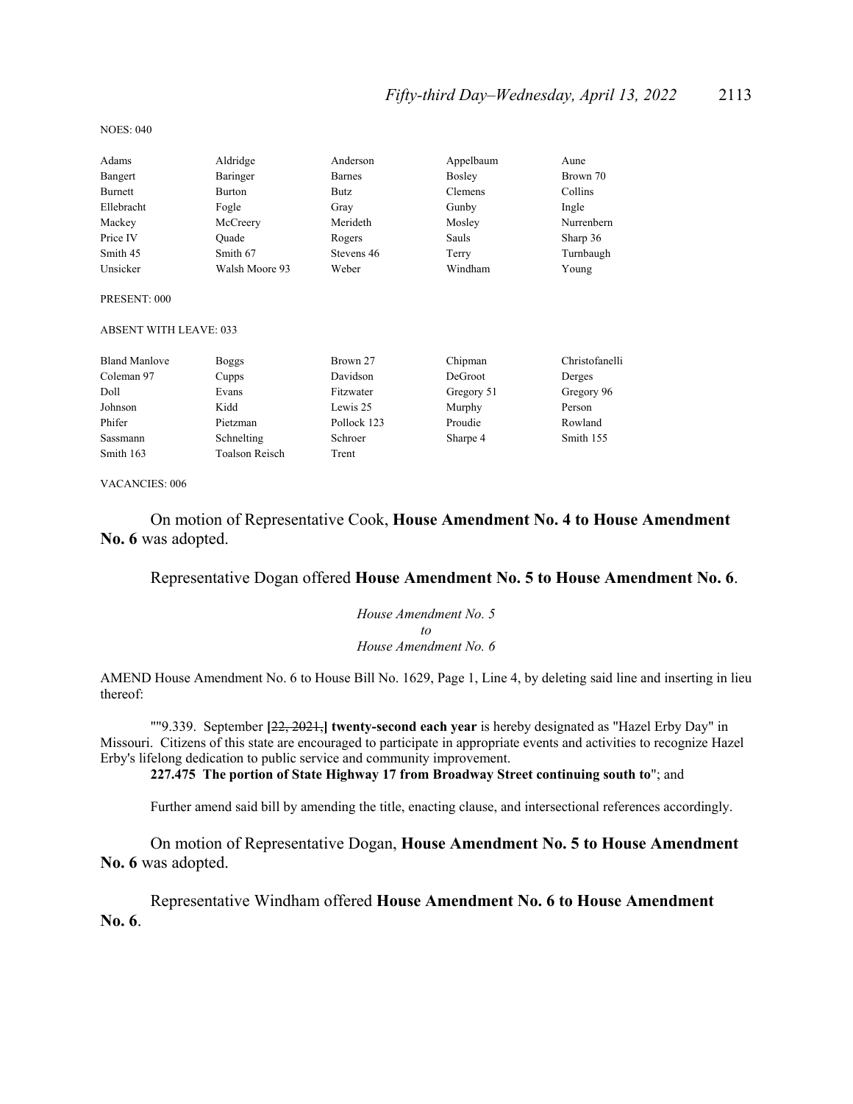| Adams                         | Aldridge              | Anderson    | Appelbaum  | Aune           |
|-------------------------------|-----------------------|-------------|------------|----------------|
| Bangert                       | Baringer              | Barnes      | Bosley     | Brown 70       |
| <b>Burnett</b>                | <b>Burton</b>         | Butz        | Clemens    | Collins        |
| Ellebracht                    | Fogle                 | Gray        | Gunby      | Ingle          |
| Mackey                        | McCreery              | Merideth    | Mosley     | Nurrenbern     |
| Price IV                      | Quade                 | Rogers      | Sauls      | Sharp 36       |
| Smith 45                      | Smith 67              | Stevens 46  | Terry      | Turnbaugh      |
| Unsicker                      | Walsh Moore 93        | Weber       | Windham    | Young          |
| PRESENT: 000                  |                       |             |            |                |
| <b>ABSENT WITH LEAVE: 033</b> |                       |             |            |                |
| <b>Bland Manlove</b>          | <b>Boggs</b>          | Brown 27    | Chipman    | Christofanelli |
| Coleman 97                    | Cupps                 | Davidson    | DeGroot    | Derges         |
| Doll                          | Evans                 | Fitzwater   | Gregory 51 | Gregory 96     |
| Johnson                       | Kidd                  | Lewis 25    | Murphy     | Person         |
| Phifer                        | Pietzman              | Pollock 123 | Proudie    | Rowland        |
| Sassmann                      | Schnelting            | Schroer     | Sharpe 4   | Smith 155      |
| Smith 163                     | <b>Toalson Reisch</b> | Trent       |            |                |
|                               |                       |             |            |                |

VACANCIES: 006

 On motion of Representative Cook, **House Amendment No. 4 to House Amendment No. 6** was adopted.

### Representative Dogan offered **House Amendment No. 5 to House Amendment No. 6**.

*House Amendment No. 5 to House Amendment No. 6*

AMEND House Amendment No. 6 to House Bill No. 1629, Page 1, Line 4, by deleting said line and inserting in lieu thereof:

""9.339. September **[**22, 2021,**] twenty-second each year** is hereby designated as "Hazel Erby Day" in Missouri. Citizens of this state are encouraged to participate in appropriate events and activities to recognize Hazel Erby's lifelong dedication to public service and community improvement.

**227.475 The portion of State Highway 17 from Broadway Street continuing south to**"; and

Further amend said bill by amending the title, enacting clause, and intersectional references accordingly.

On motion of Representative Dogan, **House Amendment No. 5 to House Amendment No. 6** was adopted.

 Representative Windham offered **House Amendment No. 6 to House Amendment No. 6**.

#### NOES: 040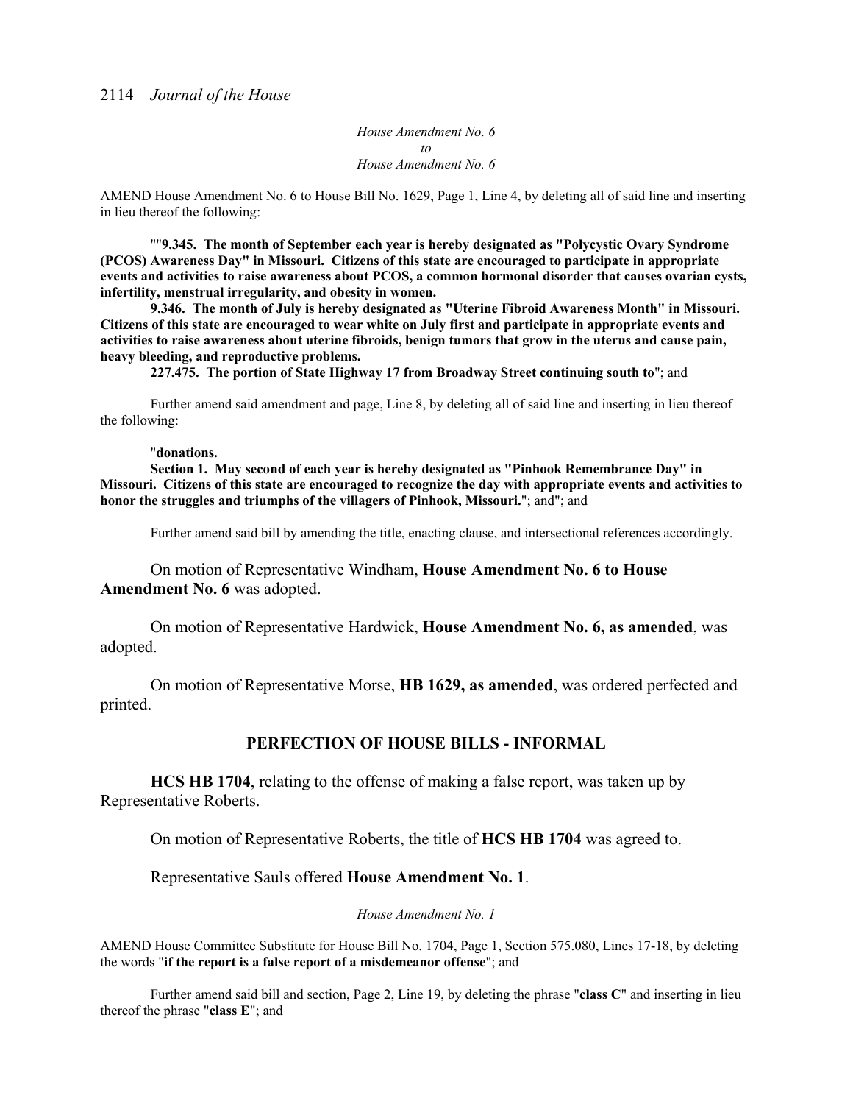*House Amendment No. 6 to House Amendment No. 6*

AMEND House Amendment No. 6 to House Bill No. 1629, Page 1, Line 4, by deleting all of said line and inserting in lieu thereof the following:

""**9.345. The month of September each year is hereby designated as "Polycystic Ovary Syndrome (PCOS) Awareness Day" in Missouri. Citizens of this state are encouraged to participate in appropriate events and activities to raise awareness about PCOS, a common hormonal disorder that causes ovarian cysts, infertility, menstrual irregularity, and obesity in women.** 

**9.346. The month of July is hereby designated as "Uterine Fibroid Awareness Month" in Missouri. Citizens of this state are encouraged to wear white on July first and participate in appropriate events and activities to raise awareness about uterine fibroids, benign tumors that grow in the uterus and cause pain, heavy bleeding, and reproductive problems.** 

**227.475. The portion of State Highway 17 from Broadway Street continuing south to**"; and

 Further amend said amendment and page, Line 8, by deleting all of said line and inserting in lieu thereof the following:

#### "**donations.**

**Section 1. May second of each year is hereby designated as "Pinhook Remembrance Day" in Missouri. Citizens of this state are encouraged to recognize the day with appropriate events and activities to honor the struggles and triumphs of the villagers of Pinhook, Missouri.**"; and"; and

Further amend said bill by amending the title, enacting clause, and intersectional references accordingly.

On motion of Representative Windham, **House Amendment No. 6 to House Amendment No. 6** was adopted.

 On motion of Representative Hardwick, **House Amendment No. 6, as amended**, was adopted.

 On motion of Representative Morse, **HB 1629, as amended**, was ordered perfected and printed.

### **PERFECTION OF HOUSE BILLS - INFORMAL**

**HCS HB 1704**, relating to the offense of making a false report, was taken up by Representative Roberts.

On motion of Representative Roberts, the title of **HCS HB 1704** was agreed to.

Representative Sauls offered **House Amendment No. 1**.

*House Amendment No. 1*

AMEND House Committee Substitute for House Bill No. 1704, Page 1, Section 575.080, Lines 17-18, by deleting the words "**if the report is a false report of a misdemeanor offense**"; and

 Further amend said bill and section, Page 2, Line 19, by deleting the phrase "**class C**" and inserting in lieu thereof the phrase "**class E**"; and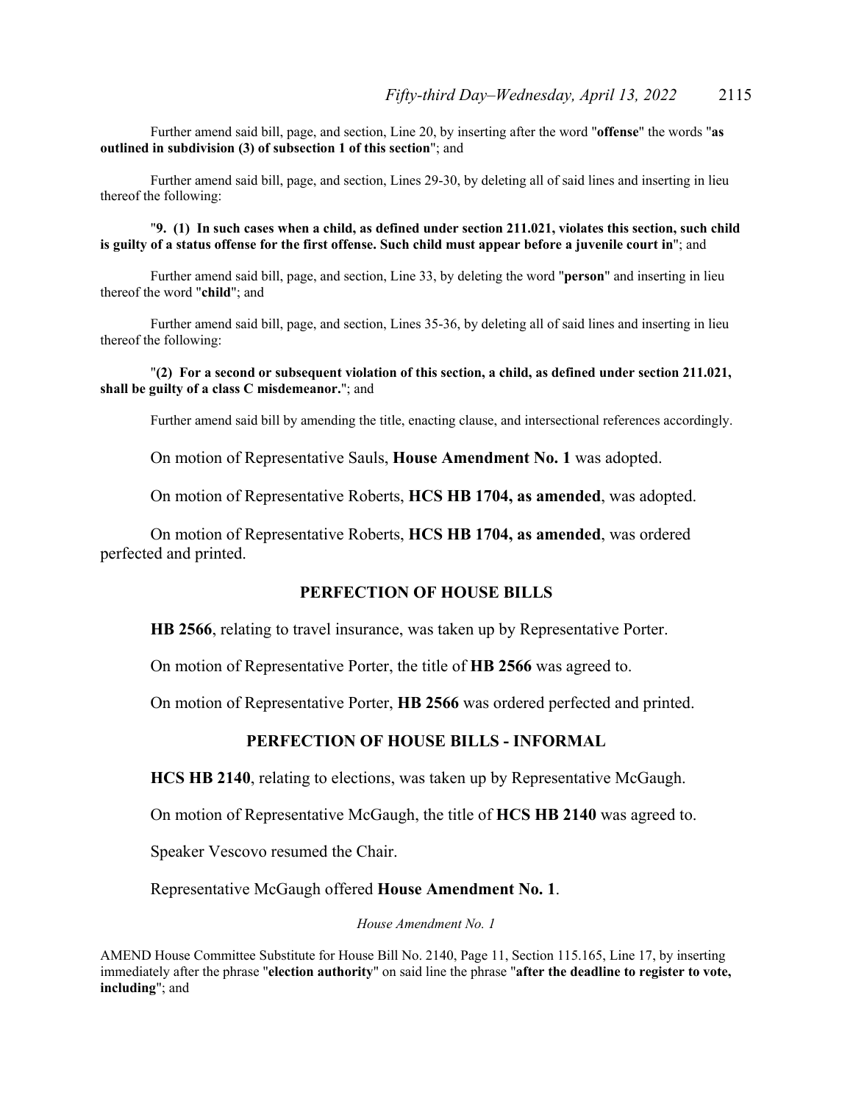Further amend said bill, page, and section, Line 20, by inserting after the word "**offense**" the words "**as outlined in subdivision (3) of subsection 1 of this section**"; and

 Further amend said bill, page, and section, Lines 29-30, by deleting all of said lines and inserting in lieu thereof the following:

"**9. (1) In such cases when a child, as defined under section 211.021, violates this section, such child is guilty of a status offense for the first offense. Such child must appear before a juvenile court in**"; and

Further amend said bill, page, and section, Line 33, by deleting the word "**person**" and inserting in lieu thereof the word "**child**"; and

 Further amend said bill, page, and section, Lines 35-36, by deleting all of said lines and inserting in lieu thereof the following:

#### "**(2) For a second or subsequent violation of this section, a child, as defined under section 211.021, shall be guilty of a class C misdemeanor.**"; and

Further amend said bill by amending the title, enacting clause, and intersectional references accordingly.

On motion of Representative Sauls, **House Amendment No. 1** was adopted.

On motion of Representative Roberts, **HCS HB 1704, as amended**, was adopted.

 On motion of Representative Roberts, **HCS HB 1704, as amended**, was ordered perfected and printed.

### **PERFECTION OF HOUSE BILLS**

**HB 2566**, relating to travel insurance, was taken up by Representative Porter.

On motion of Representative Porter, the title of **HB 2566** was agreed to.

On motion of Representative Porter, **HB 2566** was ordered perfected and printed.

### **PERFECTION OF HOUSE BILLS - INFORMAL**

**HCS HB 2140**, relating to elections, was taken up by Representative McGaugh.

On motion of Representative McGaugh, the title of **HCS HB 2140** was agreed to.

Speaker Vescovo resumed the Chair.

Representative McGaugh offered **House Amendment No. 1**.

*House Amendment No. 1*

AMEND House Committee Substitute for House Bill No. 2140, Page 11, Section 115.165, Line 17, by inserting immediately after the phrase "**election authority**" on said line the phrase "**after the deadline to register to vote, including**"; and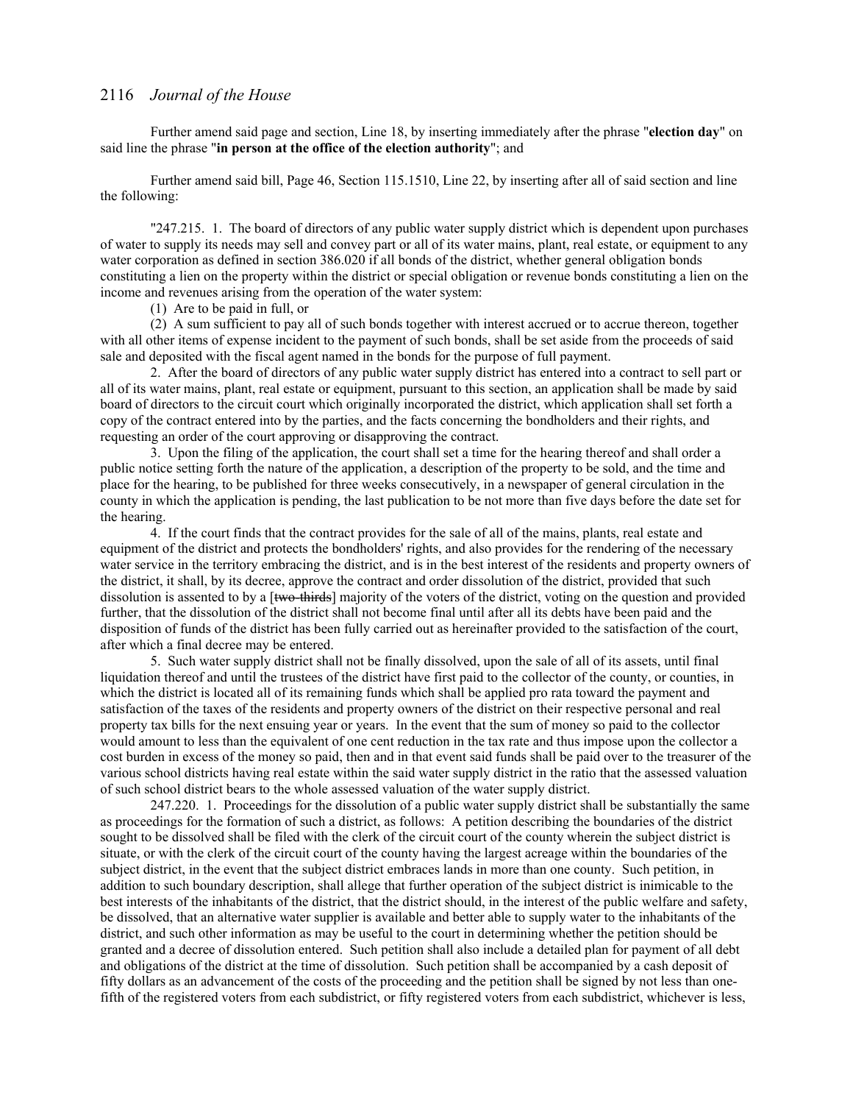Further amend said page and section, Line 18, by inserting immediately after the phrase "**election day**" on said line the phrase "**in person at the office of the election authority**"; and

 Further amend said bill, Page 46, Section 115.1510, Line 22, by inserting after all of said section and line the following:

"247.215. 1. The board of directors of any public water supply district which is dependent upon purchases of water to supply its needs may sell and convey part or all of its water mains, plant, real estate, or equipment to any water corporation as defined in section 386.020 if all bonds of the district, whether general obligation bonds constituting a lien on the property within the district or special obligation or revenue bonds constituting a lien on the income and revenues arising from the operation of the water system:

(1) Are to be paid in full, or

 (2) A sum sufficient to pay all of such bonds together with interest accrued or to accrue thereon, together with all other items of expense incident to the payment of such bonds, shall be set aside from the proceeds of said sale and deposited with the fiscal agent named in the bonds for the purpose of full payment.

 2. After the board of directors of any public water supply district has entered into a contract to sell part or all of its water mains, plant, real estate or equipment, pursuant to this section, an application shall be made by said board of directors to the circuit court which originally incorporated the district, which application shall set forth a copy of the contract entered into by the parties, and the facts concerning the bondholders and their rights, and requesting an order of the court approving or disapproving the contract.

 3. Upon the filing of the application, the court shall set a time for the hearing thereof and shall order a public notice setting forth the nature of the application, a description of the property to be sold, and the time and place for the hearing, to be published for three weeks consecutively, in a newspaper of general circulation in the county in which the application is pending, the last publication to be not more than five days before the date set for the hearing.

 4. If the court finds that the contract provides for the sale of all of the mains, plants, real estate and equipment of the district and protects the bondholders' rights, and also provides for the rendering of the necessary water service in the territory embracing the district, and is in the best interest of the residents and property owners of the district, it shall, by its decree, approve the contract and order dissolution of the district, provided that such dissolution is assented to by a [two-thirds] majority of the voters of the district, voting on the question and provided further, that the dissolution of the district shall not become final until after all its debts have been paid and the disposition of funds of the district has been fully carried out as hereinafter provided to the satisfaction of the court, after which a final decree may be entered.

 5. Such water supply district shall not be finally dissolved, upon the sale of all of its assets, until final liquidation thereof and until the trustees of the district have first paid to the collector of the county, or counties, in which the district is located all of its remaining funds which shall be applied pro rata toward the payment and satisfaction of the taxes of the residents and property owners of the district on their respective personal and real property tax bills for the next ensuing year or years. In the event that the sum of money so paid to the collector would amount to less than the equivalent of one cent reduction in the tax rate and thus impose upon the collector a cost burden in excess of the money so paid, then and in that event said funds shall be paid over to the treasurer of the various school districts having real estate within the said water supply district in the ratio that the assessed valuation of such school district bears to the whole assessed valuation of the water supply district.

247.220. 1. Proceedings for the dissolution of a public water supply district shall be substantially the same as proceedings for the formation of such a district, as follows: A petition describing the boundaries of the district sought to be dissolved shall be filed with the clerk of the circuit court of the county wherein the subject district is situate, or with the clerk of the circuit court of the county having the largest acreage within the boundaries of the subject district, in the event that the subject district embraces lands in more than one county. Such petition, in addition to such boundary description, shall allege that further operation of the subject district is inimicable to the best interests of the inhabitants of the district, that the district should, in the interest of the public welfare and safety, be dissolved, that an alternative water supplier is available and better able to supply water to the inhabitants of the district, and such other information as may be useful to the court in determining whether the petition should be granted and a decree of dissolution entered. Such petition shall also include a detailed plan for payment of all debt and obligations of the district at the time of dissolution. Such petition shall be accompanied by a cash deposit of fifty dollars as an advancement of the costs of the proceeding and the petition shall be signed by not less than onefifth of the registered voters from each subdistrict, or fifty registered voters from each subdistrict, whichever is less,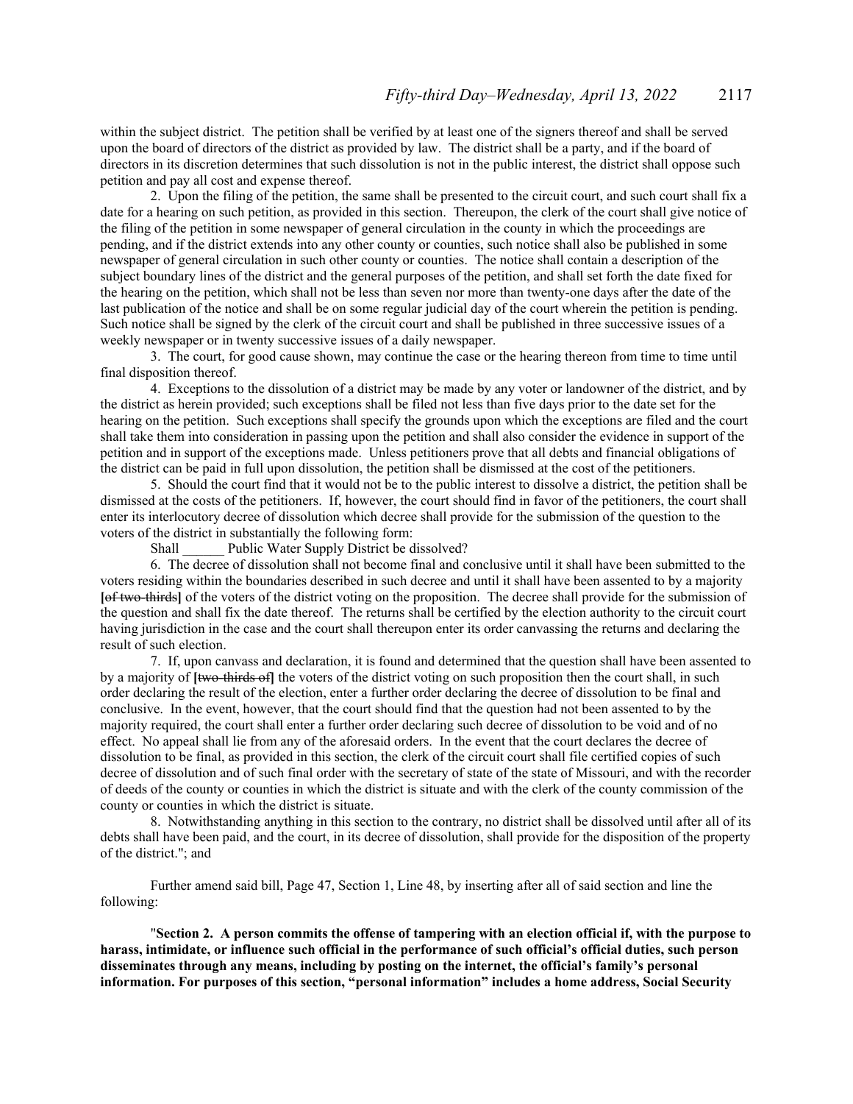within the subject district. The petition shall be verified by at least one of the signers thereof and shall be served upon the board of directors of the district as provided by law. The district shall be a party, and if the board of directors in its discretion determines that such dissolution is not in the public interest, the district shall oppose such petition and pay all cost and expense thereof.

2. Upon the filing of the petition, the same shall be presented to the circuit court, and such court shall fix a date for a hearing on such petition, as provided in this section. Thereupon, the clerk of the court shall give notice of the filing of the petition in some newspaper of general circulation in the county in which the proceedings are pending, and if the district extends into any other county or counties, such notice shall also be published in some newspaper of general circulation in such other county or counties. The notice shall contain a description of the subject boundary lines of the district and the general purposes of the petition, and shall set forth the date fixed for the hearing on the petition, which shall not be less than seven nor more than twenty-one days after the date of the last publication of the notice and shall be on some regular judicial day of the court wherein the petition is pending. Such notice shall be signed by the clerk of the circuit court and shall be published in three successive issues of a weekly newspaper or in twenty successive issues of a daily newspaper.

3. The court, for good cause shown, may continue the case or the hearing thereon from time to time until final disposition thereof.

4. Exceptions to the dissolution of a district may be made by any voter or landowner of the district, and by the district as herein provided; such exceptions shall be filed not less than five days prior to the date set for the hearing on the petition. Such exceptions shall specify the grounds upon which the exceptions are filed and the court shall take them into consideration in passing upon the petition and shall also consider the evidence in support of the petition and in support of the exceptions made. Unless petitioners prove that all debts and financial obligations of the district can be paid in full upon dissolution, the petition shall be dismissed at the cost of the petitioners.

5. Should the court find that it would not be to the public interest to dissolve a district, the petition shall be dismissed at the costs of the petitioners. If, however, the court should find in favor of the petitioners, the court shall enter its interlocutory decree of dissolution which decree shall provide for the submission of the question to the voters of the district in substantially the following form:

Shall Public Water Supply District be dissolved?

6. The decree of dissolution shall not become final and conclusive until it shall have been submitted to the voters residing within the boundaries described in such decree and until it shall have been assented to by a majority **[**of two-thirds**]** of the voters of the district voting on the proposition. The decree shall provide for the submission of the question and shall fix the date thereof. The returns shall be certified by the election authority to the circuit court having jurisdiction in the case and the court shall thereupon enter its order canvassing the returns and declaring the result of such election.

7. If, upon canvass and declaration, it is found and determined that the question shall have been assented to by a majority of **[two-thirds of]** the voters of the district voting on such proposition then the court shall, in such order declaring the result of the election, enter a further order declaring the decree of dissolution to be final and conclusive. In the event, however, that the court should find that the question had not been assented to by the majority required, the court shall enter a further order declaring such decree of dissolution to be void and of no effect. No appeal shall lie from any of the aforesaid orders. In the event that the court declares the decree of dissolution to be final, as provided in this section, the clerk of the circuit court shall file certified copies of such decree of dissolution and of such final order with the secretary of state of the state of Missouri, and with the recorder of deeds of the county or counties in which the district is situate and with the clerk of the county commission of the county or counties in which the district is situate.

8. Notwithstanding anything in this section to the contrary, no district shall be dissolved until after all of its debts shall have been paid, and the court, in its decree of dissolution, shall provide for the disposition of the property of the district."; and

 Further amend said bill, Page 47, Section 1, Line 48, by inserting after all of said section and line the following:

"**Section 2. A person commits the offense of tampering with an election official if, with the purpose to harass, intimidate, or influence such official in the performance of such official's official duties, such person disseminates through any means, including by posting on the internet, the official's family's personal information. For purposes of this section, "personal information" includes a home address, Social Security**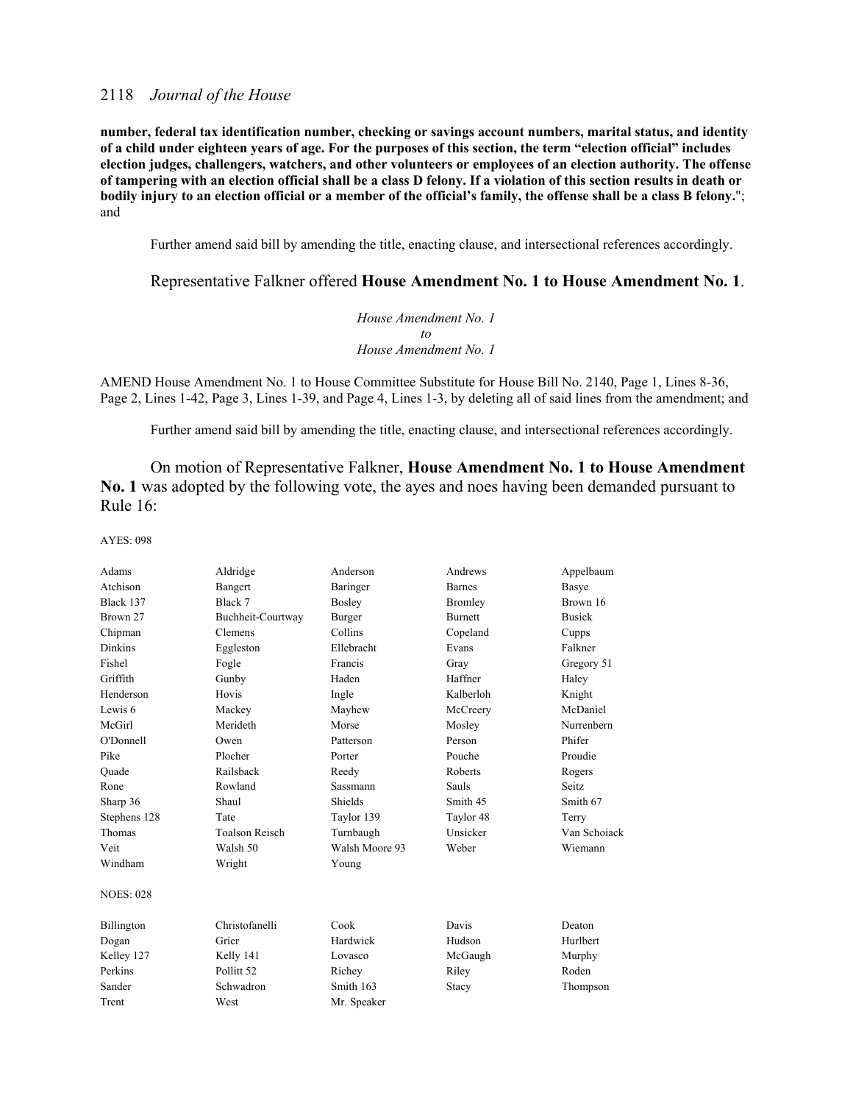**number, federal tax identification number, checking or savings account numbers, marital status, and identity of a child under eighteen years of age. For the purposes of this section, the term "election official" includes election judges, challengers, watchers, and other volunteers or employees of an election authority. The offense of tampering with an election official shall be a class D felony. If a violation of this section results in death or bodily injury to an election official or a member of the official's family, the offense shall be a class B felony.**"; and

Further amend said bill by amending the title, enacting clause, and intersectional references accordingly.

### Representative Falkner offered **House Amendment No. 1 to House Amendment No. 1**.

*House Amendment No. 1 to House Amendment No. 1*

AMEND House Amendment No. 1 to House Committee Substitute for House Bill No. 2140, Page 1, Lines 8-36, Page 2, Lines 1-42, Page 3, Lines 1-39, and Page 4, Lines 1-3, by deleting all of said lines from the amendment; and

Further amend said bill by amending the title, enacting clause, and intersectional references accordingly.

On motion of Representative Falkner, **House Amendment No. 1 to House Amendment No. 1** was adopted by the following vote, the ayes and noes having been demanded pursuant to Rule 16:

| Adams            | Aldridge              | Anderson       | Andrews        | Appelbaum         |
|------------------|-----------------------|----------------|----------------|-------------------|
| Atchison         |                       |                | <b>Barnes</b>  |                   |
|                  | Bangert<br>Black 7    | Baringer       |                | Basye<br>Brown 16 |
| Black 137        |                       | Bosley         | Bromley        |                   |
| Brown 27         | Buchheit-Courtway     | Burger         | <b>Burnett</b> | <b>Busick</b>     |
| Chipman          | Clemens               | Collins        | Copeland       | Cupps             |
| <b>Dinkins</b>   | Eggleston             | Ellebracht     | Evans          | Falkner           |
| Fishel           | Fogle                 | Francis        | Gray           | Gregory 51        |
| Griffith         | Gunby                 | Haden          | Haffner        | Haley             |
| Henderson        | Hovis                 | Ingle          | Kalberloh      | Knight            |
| Lewis 6          | Mackey                | Mayhew         | McCreery       | McDaniel          |
| McGirl           | Merideth              | Morse          | Mosley         | Nurrenbern        |
| O'Donnell        | Owen                  | Patterson      | Person         | Phifer            |
| Pike             | Plocher               | Porter         | Pouche         | Proudie           |
| Ouade            | Railsback             | Reedy          | Roberts        | Rogers            |
| Rone             | Rowland               | Sassmann       | <b>Sauls</b>   | Seitz.            |
| Sharp 36         | Shaul                 | Shields        | Smith 45       | Smith 67          |
| Stephens 128     | Tate                  | Taylor 139     | Taylor 48      | Terry             |
| Thomas           | <b>Toalson Reisch</b> | Turnbaugh      | Unsicker       | Van Schoiack      |
| Veit             | Walsh 50              | Walsh Moore 93 | Weber          | Wiemann           |
| Windham          | Wright                | Young          |                |                   |
| <b>NOES: 028</b> |                       |                |                |                   |
| Billington       | Christofanelli        | Cook           | Davis          | Deaton            |
| Dogan            | Grier                 | Hardwick       | Hudson         | Hurlbert          |
| Kelley 127       | Kelly 141             | Lovasco        | McGaugh        | Murphy            |
| Perkins          | Pollitt <sub>52</sub> | Richey         | Riley          | Roden             |
| Sander           | Schwadron             | Smith 163      | Stacy          | Thompson          |
| Trent            | West                  | Mr. Speaker    |                |                   |
|                  |                       |                |                |                   |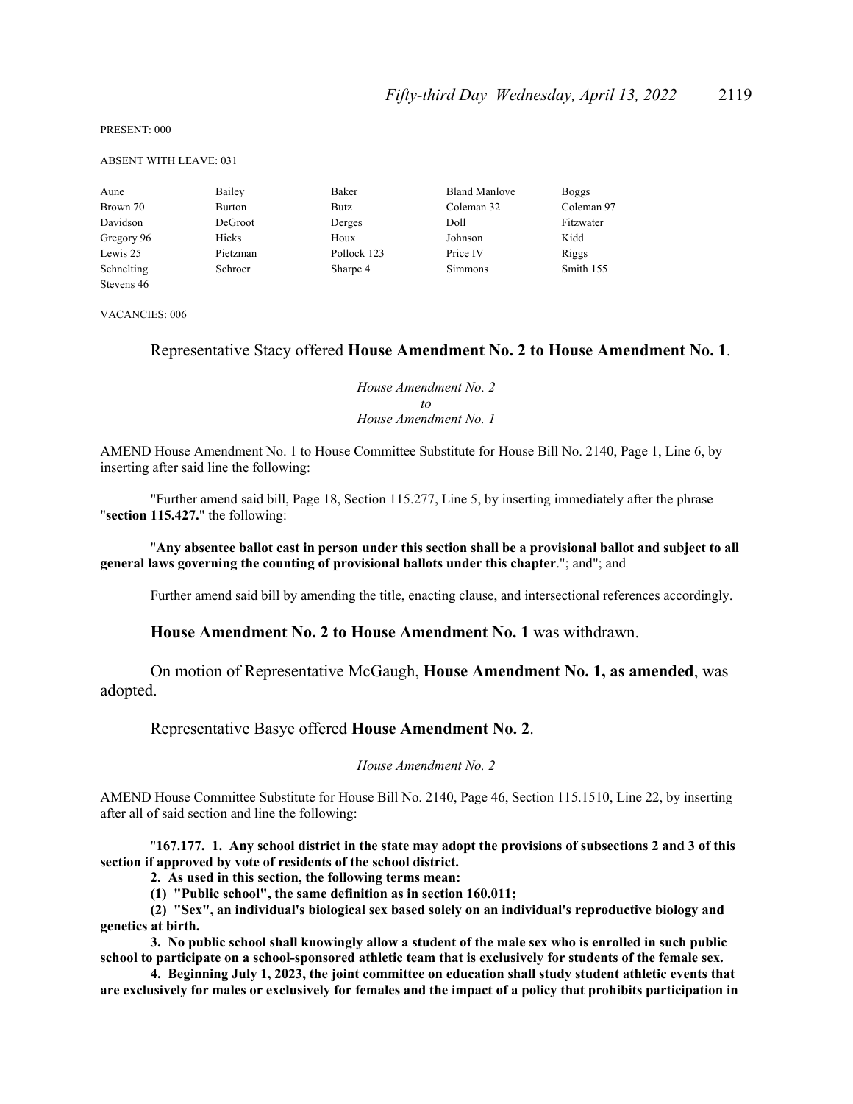PRESENT: 000

ABSENT WITH LEAVE: 031

| Aune       | Bailey   | Baker       | <b>Bland Manlove</b> | <b>Boggs</b> |
|------------|----------|-------------|----------------------|--------------|
| Brown 70   | Burton   | Butz        | Coleman 32           | Coleman 97   |
| Davidson   | DeGroot  | Derges      | Doll                 | Fitzwater    |
| Gregory 96 | Hicks    | Houx        | Johnson              | Kidd         |
| Lewis 25   | Pietzman | Pollock 123 | Price IV             | Riggs        |
| Schnelting | Schroer  | Sharpe 4    | Simmons              | Smith 155    |
| Stevens 46 |          |             |                      |              |

VACANCIES: 006

#### Representative Stacy offered **House Amendment No. 2 to House Amendment No. 1**.

*House Amendment No. 2 to House Amendment No. 1*

AMEND House Amendment No. 1 to House Committee Substitute for House Bill No. 2140, Page 1, Line 6, by inserting after said line the following:

"Further amend said bill, Page 18, Section 115.277, Line 5, by inserting immediately after the phrase "**section 115.427.**" the following:

"**Any absentee ballot cast in person under this section shall be a provisional ballot and subject to all general laws governing the counting of provisional ballots under this chapter**."; and"; and

Further amend said bill by amending the title, enacting clause, and intersectional references accordingly.

**House Amendment No. 2 to House Amendment No. 1** was withdrawn.

 On motion of Representative McGaugh, **House Amendment No. 1, as amended**, was adopted.

Representative Basye offered **House Amendment No. 2**.

*House Amendment No. 2*

AMEND House Committee Substitute for House Bill No. 2140, Page 46, Section 115.1510, Line 22, by inserting after all of said section and line the following:

"**167.177. 1. Any school district in the state may adopt the provisions of subsections 2 and 3 of this section if approved by vote of residents of the school district.** 

**2. As used in this section, the following terms mean:**

**(1) "Public school", the same definition as in section 160.011;**

**(2) "Sex", an individual's biological sex based solely on an individual's reproductive biology and genetics at birth.**

**3. No public school shall knowingly allow a student of the male sex who is enrolled in such public school to participate on a school-sponsored athletic team that is exclusively for students of the female sex.**

**4. Beginning July 1, 2023, the joint committee on education shall study student athletic events that are exclusively for males or exclusively for females and the impact of a policy that prohibits participation in**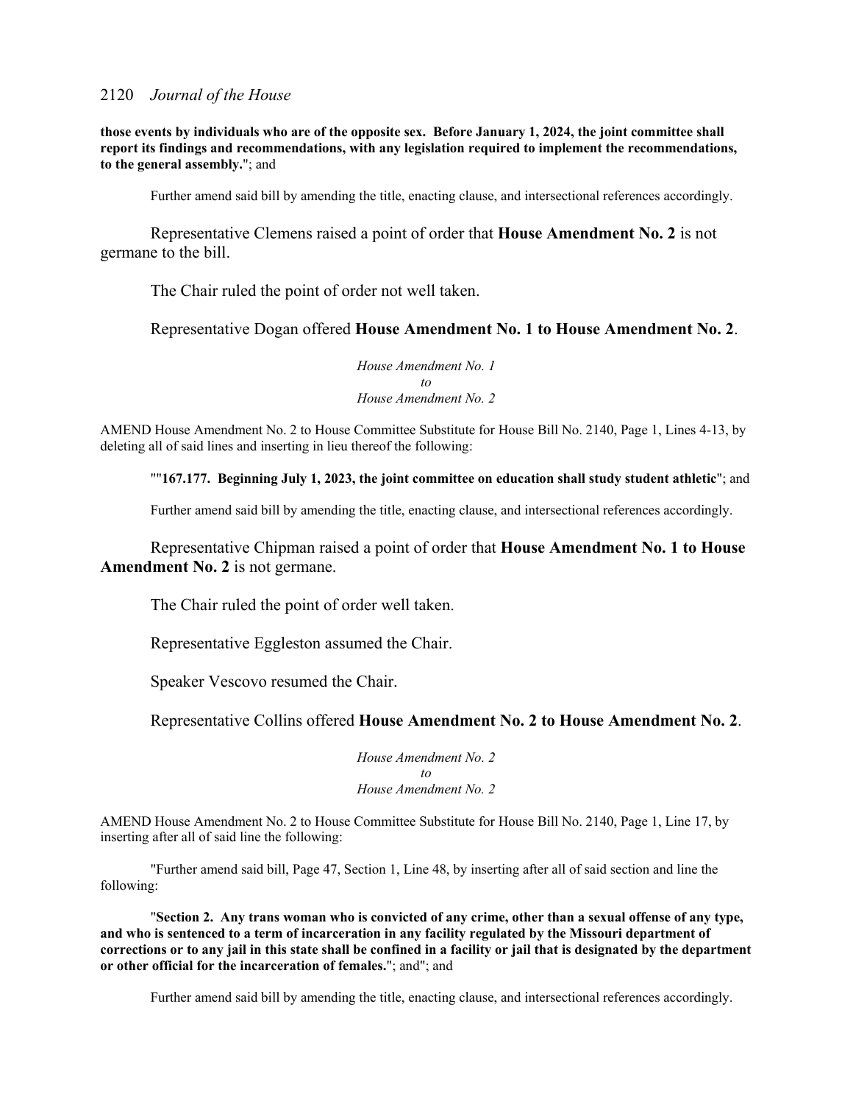**those events by individuals who are of the opposite sex. Before January 1, 2024, the joint committee shall report its findings and recommendations, with any legislation required to implement the recommendations, to the general assembly.**"; and

Further amend said bill by amending the title, enacting clause, and intersectional references accordingly.

 Representative Clemens raised a point of order that **House Amendment No. 2** is not germane to the bill.

The Chair ruled the point of order not well taken.

Representative Dogan offered **House Amendment No. 1 to House Amendment No. 2**.

*House Amendment No. 1 to House Amendment No. 2*

AMEND House Amendment No. 2 to House Committee Substitute for House Bill No. 2140, Page 1, Lines 4-13, by deleting all of said lines and inserting in lieu thereof the following:

""**167.177. Beginning July 1, 2023, the joint committee on education shall study student athletic**"; and

Further amend said bill by amending the title, enacting clause, and intersectional references accordingly.

 Representative Chipman raised a point of order that **House Amendment No. 1 to House Amendment No. 2** is not germane.

The Chair ruled the point of order well taken.

Representative Eggleston assumed the Chair.

Speaker Vescovo resumed the Chair.

Representative Collins offered **House Amendment No. 2 to House Amendment No. 2**.

*House Amendment No. 2 to House Amendment No. 2*

AMEND House Amendment No. 2 to House Committee Substitute for House Bill No. 2140, Page 1, Line 17, by inserting after all of said line the following:

"Further amend said bill, Page 47, Section 1, Line 48, by inserting after all of said section and line the following:

 "**Section 2. Any trans woman who is convicted of any crime, other than a sexual offense of any type, and who is sentenced to a term of incarceration in any facility regulated by the Missouri department of corrections or to any jail in this state shall be confined in a facility or jail that is designated by the department or other official for the incarceration of females.**"; and"; and

Further amend said bill by amending the title, enacting clause, and intersectional references accordingly.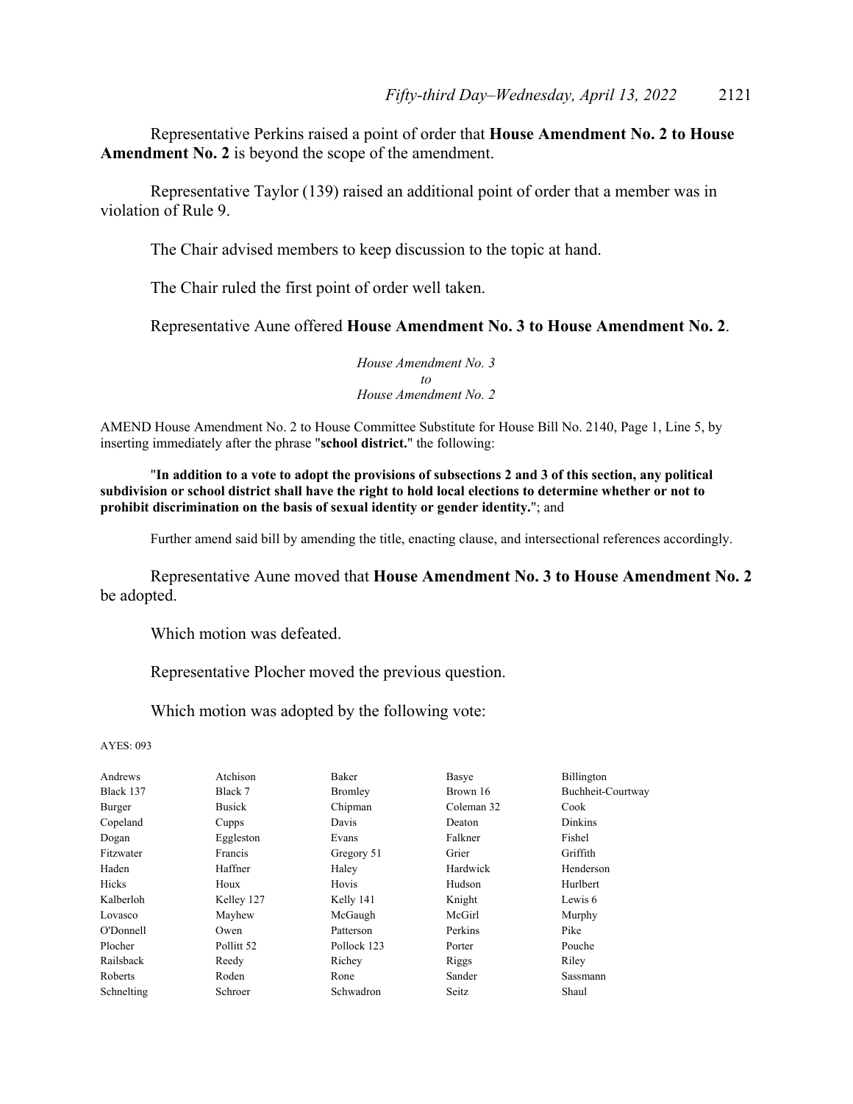Representative Perkins raised a point of order that **House Amendment No. 2 to House Amendment No. 2** is beyond the scope of the amendment.

 Representative Taylor (139) raised an additional point of order that a member was in violation of Rule 9.

The Chair advised members to keep discussion to the topic at hand.

The Chair ruled the first point of order well taken.

Representative Aune offered **House Amendment No. 3 to House Amendment No. 2**.

*House Amendment No. 3 to House Amendment No. 2*

AMEND House Amendment No. 2 to House Committee Substitute for House Bill No. 2140, Page 1, Line 5, by inserting immediately after the phrase "**school district.**" the following:

"**In addition to a vote to adopt the provisions of subsections 2 and 3 of this section, any political subdivision or school district shall have the right to hold local elections to determine whether or not to prohibit discrimination on the basis of sexual identity or gender identity.**"; and

Further amend said bill by amending the title, enacting clause, and intersectional references accordingly.

Representative Aune moved that **House Amendment No. 3 to House Amendment No. 2** be adopted.

Which motion was defeated.

Representative Plocher moved the previous question.

Which motion was adopted by the following vote:

| Andrews    | Atchison      | Baker       | Basye      | Billington        |
|------------|---------------|-------------|------------|-------------------|
| Black 137  | Black 7       | Bromley     | Brown 16   | Buchheit-Courtway |
| Burger     | <b>Busick</b> | Chipman     | Coleman 32 | Cook              |
| Copeland   | Cupps         | Davis       | Deaton     | Dinkins           |
| Dogan      | Eggleston     | Evans       | Falkner    | Fishel            |
| Fitzwater  | Francis       | Gregory 51  | Grier      | Griffith          |
| Haden      | Haffner       | Haley       | Hardwick   | Henderson         |
| Hicks      | Houx          | Hovis       | Hudson     | Hurlbert          |
| Kalberloh  | Kelley 127    | Kelly 141   | Knight     | Lewis 6           |
| Lovasco    | Mayhew        | McGaugh     | McGirl     | Murphy            |
| O'Donnell  | Owen          | Patterson   | Perkins    | Pike              |
| Plocher    | Pollitt 52    | Pollock 123 | Porter     | Pouche            |
| Railsback  | Reedy         | Richey      | Riggs      | Riley             |
| Roberts    | Roden         | Rone        | Sander     | Sassmann          |
| Schnelting | Schroer       | Schwadron   | Seitz      | Shaul             |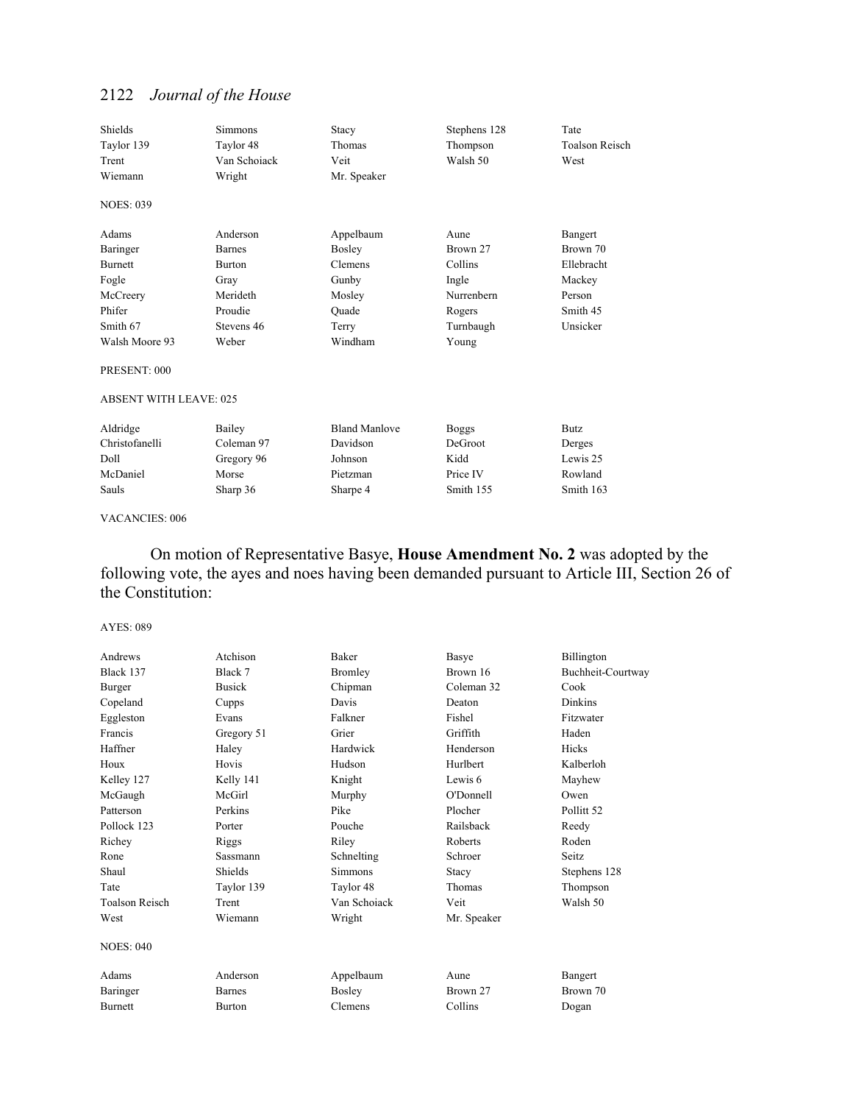| Shields<br>Taylor 139<br>Trent | <b>Simmons</b><br>Taylor 48<br>Van Schoiack | Stacy<br>Thomas<br>Veit | Stephens 128<br>Thompson<br>Walsh 50 | Tate<br>Toalson Reisch<br>West |
|--------------------------------|---------------------------------------------|-------------------------|--------------------------------------|--------------------------------|
| Wiemann                        | Wright                                      | Mr. Speaker             |                                      |                                |
| <b>NOES: 039</b>               |                                             |                         |                                      |                                |
| Adams                          | Anderson                                    | Appelbaum               | Aune                                 | Bangert                        |
| Baringer                       | <b>Barnes</b>                               | Bosley                  | Brown 27                             | Brown 70                       |
| <b>Burnett</b>                 | <b>Burton</b>                               | Clemens                 | Collins                              | Ellebracht                     |
| Fogle                          | Gray                                        | Gunby                   | Ingle                                | Mackey                         |
| McCreery                       | Merideth                                    | Mosley                  | Nurrenbern                           | Person                         |
| Phifer                         | Proudie                                     | Ouade                   | Rogers                               | Smith 45                       |
| Smith 67                       | Stevens 46                                  | Terry                   | Turnbaugh                            | Unsicker                       |
| Walsh Moore 93                 | Weber                                       | Windham                 | Young                                |                                |
| PRESENT: 000                   |                                             |                         |                                      |                                |
| <b>ABSENT WITH LEAVE: 025</b>  |                                             |                         |                                      |                                |
| Aldridge                       | Bailey                                      | <b>Bland Manlove</b>    | <b>Boggs</b>                         | <b>Butz</b>                    |
| Christofanelli                 | Coleman 97                                  | Davidson                | DeGroot                              | Derges                         |
| Doll                           | Gregory 96                                  | Johnson                 | Kidd                                 | Lewis 25                       |
| McDaniel                       | Morse                                       | Pietzman                | Price IV                             | Rowland                        |
| Sauls                          | Sharp 36                                    | Sharpe 4                | Smith 155                            | Smith 163                      |

VACANCIES: 006

 On motion of Representative Basye, **House Amendment No. 2** was adopted by the following vote, the ayes and noes having been demanded pursuant to Article III, Section 26 of the Constitution:

| Andrews               | Atchison      | Baker        | Basye         | Billington            |
|-----------------------|---------------|--------------|---------------|-----------------------|
| Black 137             | Black 7       | Bromley      | Brown 16      | Buchheit-Courtway     |
| Burger                | <b>Busick</b> | Chipman      | Coleman 32    | Cook                  |
| Copeland              | Cupps         | Davis        | Deaton        | Dinkins               |
| Eggleston             | Evans         | Falkner      | Fishel        | Fitzwater             |
| Francis               | Gregory 51    | Grier        | Griffith      | Haden                 |
| Haffner               | Haley         | Hardwick     | Henderson     | <b>Hicks</b>          |
| Houx                  | Hovis         | Hudson       | Hurlbert      | Kalberloh             |
| Kelley 127            | Kelly 141     | Knight       | Lewis 6       | Mayhew                |
| McGaugh               | McGirl        | Murphy       | O'Donnell     | Owen                  |
| Patterson             | Perkins       | Pike         | Plocher       | Pollitt <sub>52</sub> |
| Pollock 123           | Porter        | Pouche       | Railsback     | Reedy                 |
| Richey                | Riggs         | Riley        | Roberts       | Roden                 |
| Rone                  | Sassmann      | Schnelting   | Schroer       | Seitz.                |
| Shaul                 | Shields       | Simmons      | Stacy         | Stephens 128          |
| Tate                  | Taylor 139    | Taylor 48    | <b>Thomas</b> | Thompson              |
| <b>Toalson Reisch</b> | Trent         | Van Schoiack | Veit          | Walsh 50              |
| West                  | Wiemann       | Wright       | Mr. Speaker   |                       |
| <b>NOES: 040</b>      |               |              |               |                       |
| Adams                 | Anderson      | Appelbaum    | Aune          | Bangert               |
| Baringer              | <b>Barnes</b> | Bosley       | Brown 27      | Brown 70              |
| <b>Burnett</b>        | <b>Burton</b> | Clemens      | Collins       | Dogan                 |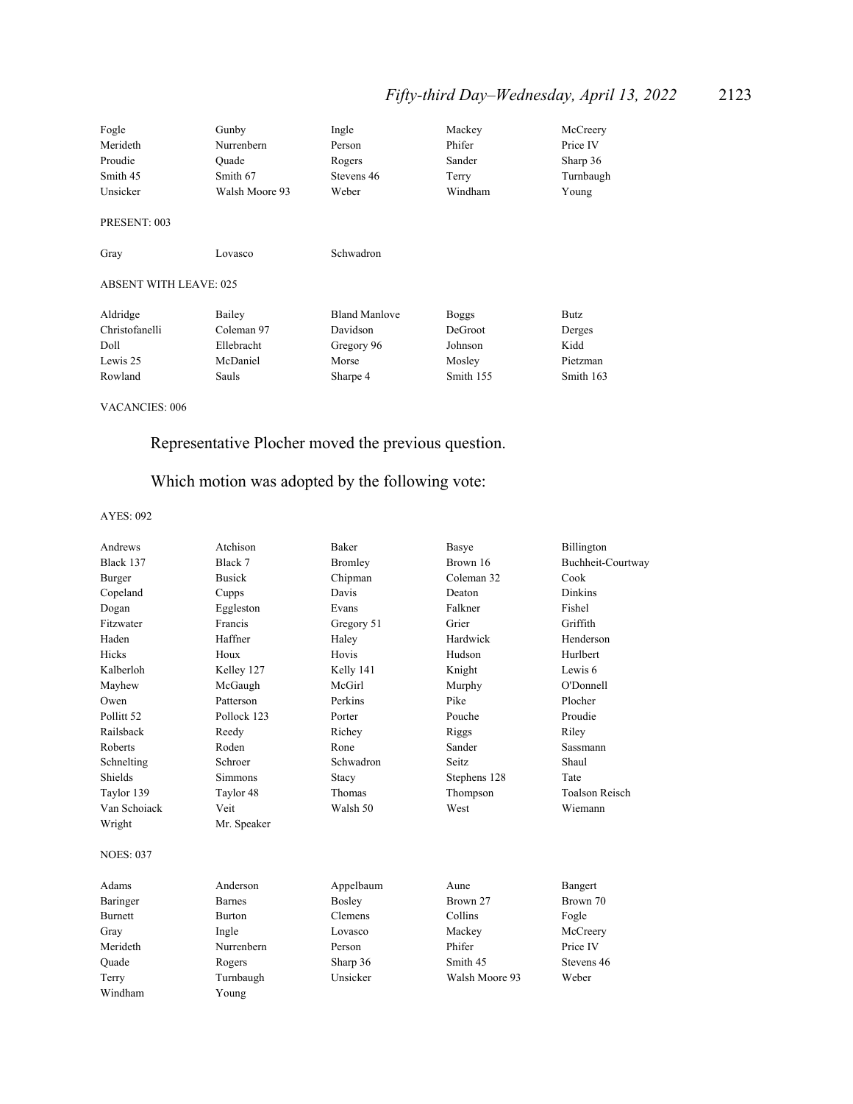# *Fifty-third Day–Wednesday, April 13, 2022* 2123

| Fogle                         | Gunby          | Ingle                | Mackey       | McCreery  |
|-------------------------------|----------------|----------------------|--------------|-----------|
| Merideth                      | Nurrenbern     | Person               | Phifer       | Price IV  |
| Proudie                       | Ouade          | Rogers               | Sander       | Sharp 36  |
| Smith 45                      | Smith 67       | Stevens 46           | Terry        | Turnbaugh |
| Unsicker                      | Walsh Moore 93 | Weber                | Windham      | Young     |
| PRESENT: 003                  |                |                      |              |           |
| Gray                          | Lovasco        | Schwadron            |              |           |
| <b>ABSENT WITH LEAVE: 025</b> |                |                      |              |           |
| Aldridge                      | Bailey         | <b>Bland Manlove</b> | <b>Boggs</b> | Butz      |
| Christofanelli                | Coleman 97     | Davidson             | DeGroot      | Derges    |
| Doll                          | Ellebracht     | Gregory 96           | Johnson      | Kidd      |
| Lewis 25                      | McDaniel       | Morse                | Mosley       | Pietzman  |
| Rowland                       | Sauls          | Sharpe 4             | Smith 155    | Smith 163 |
|                               |                |                      |              |           |

VACANCIES: 006

# Representative Plocher moved the previous question.

# Which motion was adopted by the following vote:

| Andrews               | Atchison       | <b>Baker</b> | Basye          | Billington            |
|-----------------------|----------------|--------------|----------------|-----------------------|
| Black 137             | Black 7        | Bromley      | Brown 16       | Buchheit-Courtway     |
| Burger                | <b>Busick</b>  | Chipman      | Coleman 32     | Cook                  |
| Copeland              | Cupps          | Davis        | Deaton         | <b>Dinkins</b>        |
| Dogan                 | Eggleston      | Evans        | Falkner        | Fishel                |
| Fitzwater             | Francis        | Gregory 51   | Grier          | Griffith              |
| Haden                 | Haffner        | Haley        | Hardwick       | Henderson             |
| Hicks                 | Houx           | Hovis        | Hudson         | Hurlbert              |
| Kalberloh             | Kelley 127     | Kelly 141    | Knight         | Lewis 6               |
| Mayhew                | McGaugh        | McGirl       | Murphy         | O'Donnell             |
| Owen                  | Patterson      | Perkins      | Pike           | Plocher               |
| Pollitt <sub>52</sub> | Pollock 123    | Porter       | Pouche         | Proudie               |
| Railsback             | Reedy          | Richey       | Riggs          | Riley                 |
| Roberts               | Roden          | Rone         | Sander         | Sassmann              |
| Schnelting            | Schroer        | Schwadron    | Seitz          | Shaul                 |
| Shields               | <b>Simmons</b> | Stacy        | Stephens 128   | Tate                  |
| Taylor 139            | Taylor 48      | Thomas       | Thompson       | <b>Toalson Reisch</b> |
| Van Schoiack          | Veit           | Walsh 50     | West           | Wiemann               |
| Wright                | Mr. Speaker    |              |                |                       |
| <b>NOES: 037</b>      |                |              |                |                       |
| Adams                 | Anderson       | Appelbaum    | Aune           | Bangert               |
| Baringer              | <b>Barnes</b>  | Bosley       | Brown 27       | Brown 70              |
| <b>Burnett</b>        | <b>Burton</b>  | Clemens      | Collins        | Fogle                 |
| Gray                  | Ingle          | Lovasco      | Mackey         | McCreery              |
| Merideth              | Nurrenbern     | Person       | Phifer         | Price IV              |
| Ouade                 | Rogers         | Sharp 36     | Smith 45       | Stevens 46            |
| Terry                 | Turnbaugh      | Unsicker     | Walsh Moore 93 | Weber                 |
| Windham               | Young          |              |                |                       |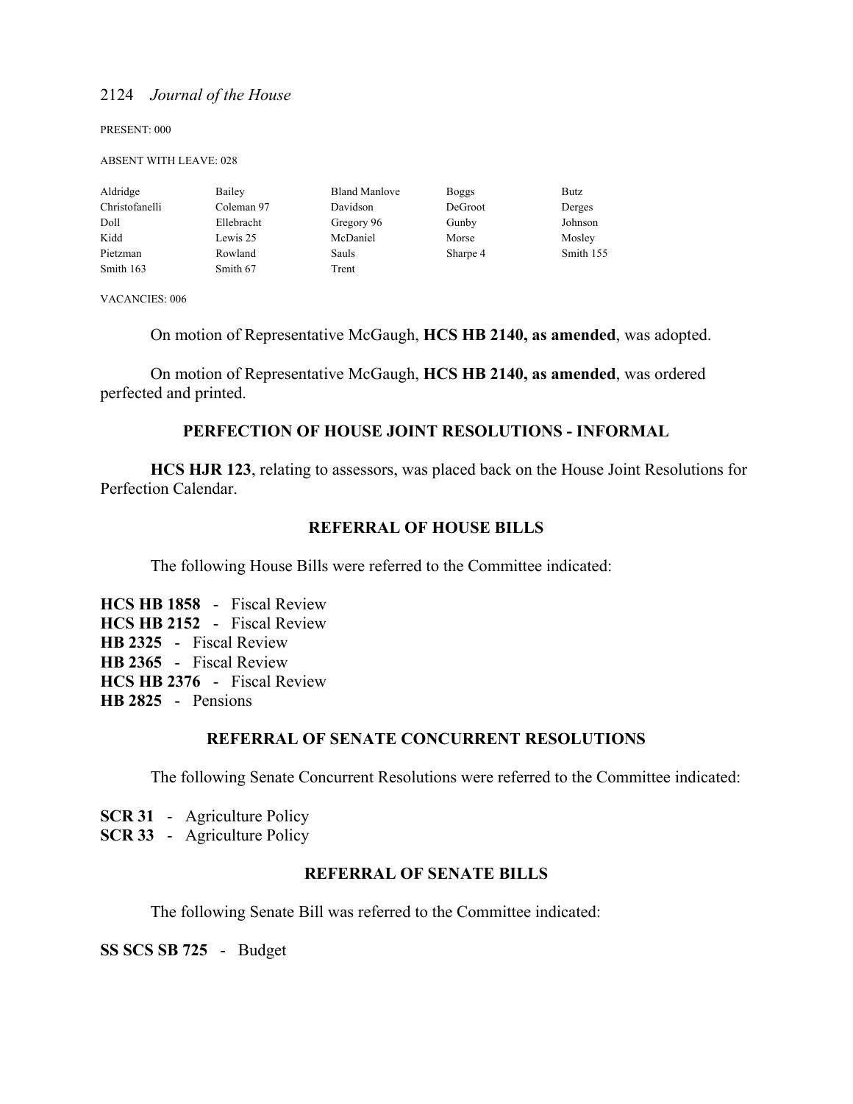PRESENT: 000

#### ABSENT WITH LEAVE: 028

| Aldridge       | Bailey     | <b>Bland Manlove</b> | <b>Boggs</b> | Butz      |
|----------------|------------|----------------------|--------------|-----------|
| Christofanelli | Coleman 97 | Davidson             | DeGroot      | Derges    |
| Doll           | Ellebracht | Gregory 96           | Gunby        | Johnson   |
| Kidd           | Lewis 25   | McDaniel             | Morse        | Mosley    |
| Pietzman       | Rowland    | Sauls                | Sharpe 4     | Smith 155 |
| Smith 163      | Smith 67   | Trent                |              |           |

VACANCIES: 006

On motion of Representative McGaugh, **HCS HB 2140, as amended**, was adopted.

 On motion of Representative McGaugh, **HCS HB 2140, as amended**, was ordered perfected and printed.

### **PERFECTION OF HOUSE JOINT RESOLUTIONS - INFORMAL**

**HCS HJR 123**, relating to assessors, was placed back on the House Joint Resolutions for Perfection Calendar.

### **REFERRAL OF HOUSE BILLS**

The following House Bills were referred to the Committee indicated:

**HCS HB 1858** - Fiscal Review **HCS HB 2152** - Fiscal Review **HB 2325** - Fiscal Review **HB 2365** - Fiscal Review **HCS HB 2376** - Fiscal Review **HB 2825** - Pensions

### **REFERRAL OF SENATE CONCURRENT RESOLUTIONS**

The following Senate Concurrent Resolutions were referred to the Committee indicated:

**SCR 31** - Agriculture Policy

**SCR 33** - Agriculture Policy

### **REFERRAL OF SENATE BILLS**

The following Senate Bill was referred to the Committee indicated:

**SS SCS SB 725** - Budget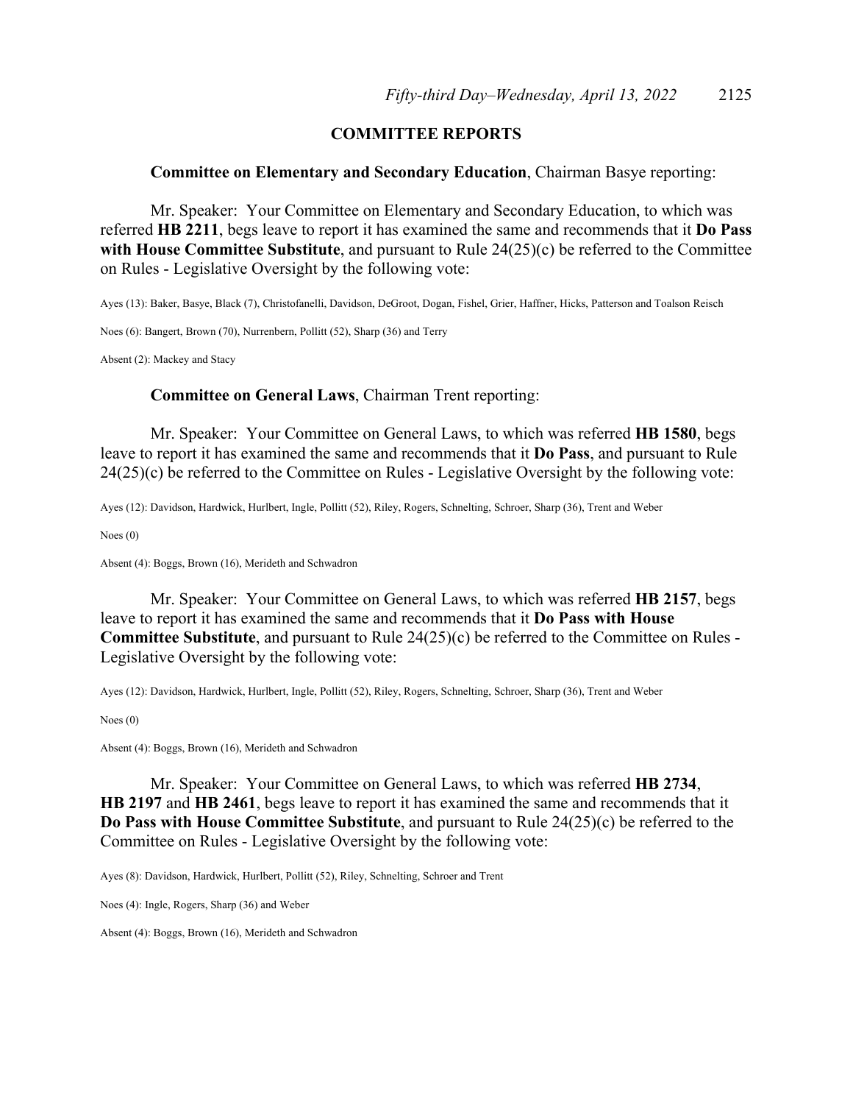### **COMMITTEE REPORTS**

### **Committee on Elementary and Secondary Education**, Chairman Basye reporting:

 Mr. Speaker: Your Committee on Elementary and Secondary Education, to which was referred **HB 2211**, begs leave to report it has examined the same and recommends that it **Do Pass with House Committee Substitute**, and pursuant to Rule 24(25)(c) be referred to the Committee on Rules - Legislative Oversight by the following vote:

Ayes (13): Baker, Basye, Black (7), Christofanelli, Davidson, DeGroot, Dogan, Fishel, Grier, Haffner, Hicks, Patterson and Toalson Reisch

Noes (6): Bangert, Brown (70), Nurrenbern, Pollitt (52), Sharp (36) and Terry

Absent (2): Mackey and Stacy

### **Committee on General Laws**, Chairman Trent reporting:

 Mr. Speaker: Your Committee on General Laws, to which was referred **HB 1580**, begs leave to report it has examined the same and recommends that it **Do Pass**, and pursuant to Rule 24(25)(c) be referred to the Committee on Rules - Legislative Oversight by the following vote:

Ayes (12): Davidson, Hardwick, Hurlbert, Ingle, Pollitt (52), Riley, Rogers, Schnelting, Schroer, Sharp (36), Trent and Weber

Noes (0)

Absent (4): Boggs, Brown (16), Merideth and Schwadron

 Mr. Speaker: Your Committee on General Laws, to which was referred **HB 2157**, begs leave to report it has examined the same and recommends that it **Do Pass with House Committee Substitute**, and pursuant to Rule 24(25)(c) be referred to the Committee on Rules - Legislative Oversight by the following vote:

Ayes (12): Davidson, Hardwick, Hurlbert, Ingle, Pollitt (52), Riley, Rogers, Schnelting, Schroer, Sharp (36), Trent and Weber

Noes (0)

Absent (4): Boggs, Brown (16), Merideth and Schwadron

 Mr. Speaker: Your Committee on General Laws, to which was referred **HB 2734**, **HB 2197** and **HB 2461**, begs leave to report it has examined the same and recommends that it **Do Pass with House Committee Substitute**, and pursuant to Rule 24(25)(c) be referred to the Committee on Rules - Legislative Oversight by the following vote:

Ayes (8): Davidson, Hardwick, Hurlbert, Pollitt (52), Riley, Schnelting, Schroer and Trent

Noes (4): Ingle, Rogers, Sharp (36) and Weber

Absent (4): Boggs, Brown (16), Merideth and Schwadron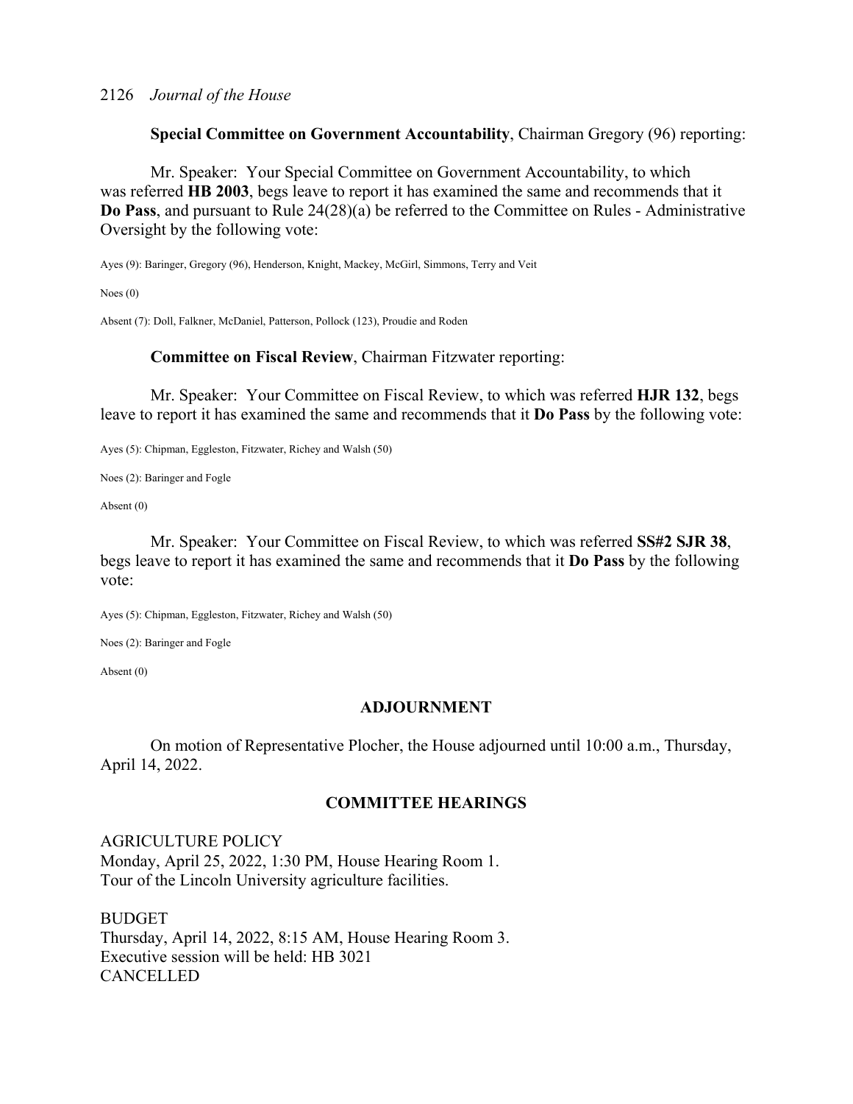**Special Committee on Government Accountability**, Chairman Gregory (96) reporting:

 Mr. Speaker: Your Special Committee on Government Accountability, to which was referred **HB 2003**, begs leave to report it has examined the same and recommends that it **Do Pass**, and pursuant to Rule 24(28)(a) be referred to the Committee on Rules - Administrative Oversight by the following vote:

Ayes (9): Baringer, Gregory (96), Henderson, Knight, Mackey, McGirl, Simmons, Terry and Veit

Noes (0)

Absent (7): Doll, Falkner, McDaniel, Patterson, Pollock (123), Proudie and Roden

**Committee on Fiscal Review**, Chairman Fitzwater reporting:

 Mr. Speaker: Your Committee on Fiscal Review, to which was referred **HJR 132**, begs leave to report it has examined the same and recommends that it **Do Pass** by the following vote:

Ayes (5): Chipman, Eggleston, Fitzwater, Richey and Walsh (50)

Noes (2): Baringer and Fogle

Absent (0)

 Mr. Speaker: Your Committee on Fiscal Review, to which was referred **SS#2 SJR 38**, begs leave to report it has examined the same and recommends that it **Do Pass** by the following vote:

Ayes (5): Chipman, Eggleston, Fitzwater, Richey and Walsh (50)

Noes (2): Baringer and Fogle

Absent (0)

### **ADJOURNMENT**

 On motion of Representative Plocher, the House adjourned until 10:00 a.m., Thursday, April 14, 2022.

### **COMMITTEE HEARINGS**

AGRICULTURE POLICY Monday, April 25, 2022, 1:30 PM, House Hearing Room 1. Tour of the Lincoln University agriculture facilities.

BUDGET Thursday, April 14, 2022, 8:15 AM, House Hearing Room 3. Executive session will be held: HB 3021 **CANCELLED**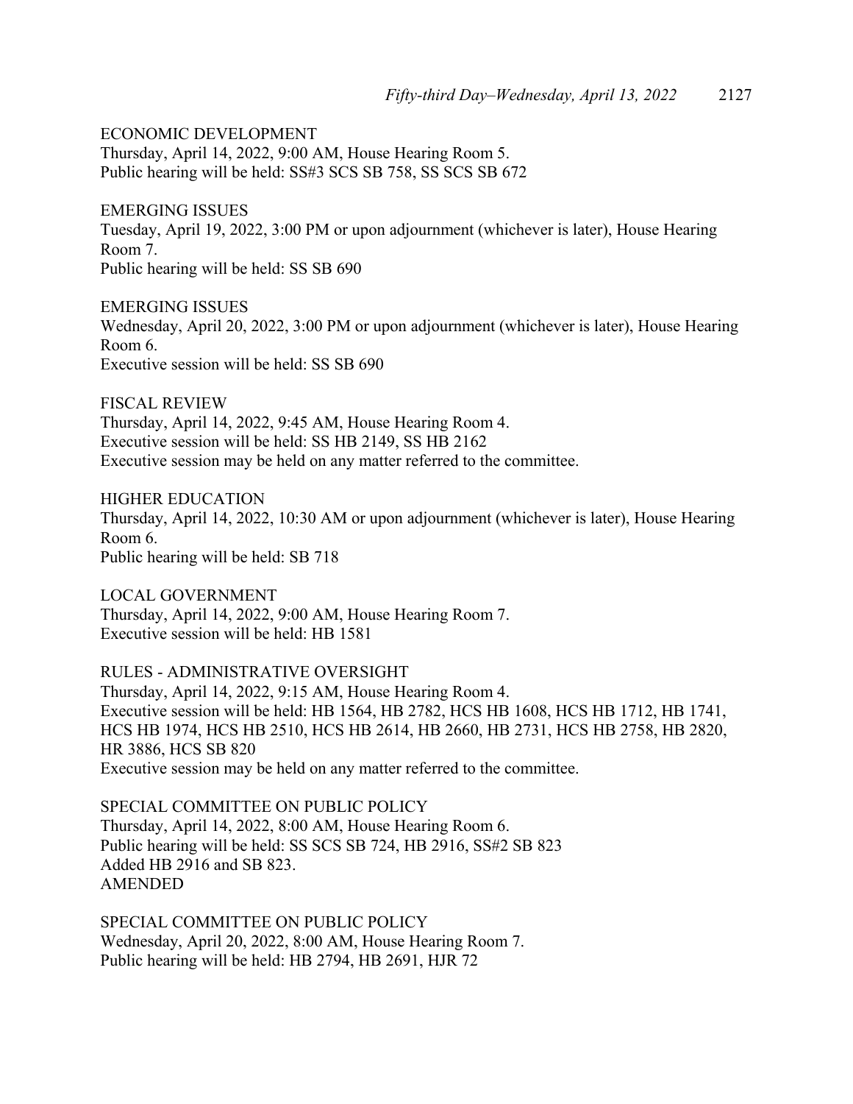ECONOMIC DEVELOPMENT Thursday, April 14, 2022, 9:00 AM, House Hearing Room 5. Public hearing will be held: SS#3 SCS SB 758, SS SCS SB 672

EMERGING ISSUES Tuesday, April 19, 2022, 3:00 PM or upon adjournment (whichever is later), House Hearing Room 7. Public hearing will be held: SS SB 690

EMERGING ISSUES Wednesday, April 20, 2022, 3:00 PM or upon adjournment (whichever is later), House Hearing Room 6. Executive session will be held: SS SB 690

FISCAL REVIEW Thursday, April 14, 2022, 9:45 AM, House Hearing Room 4. Executive session will be held: SS HB 2149, SS HB 2162 Executive session may be held on any matter referred to the committee.

HIGHER EDUCATION Thursday, April 14, 2022, 10:30 AM or upon adjournment (whichever is later), House Hearing Room 6. Public hearing will be held: SB 718

LOCAL GOVERNMENT Thursday, April 14, 2022, 9:00 AM, House Hearing Room 7. Executive session will be held: HB 1581

RULES - ADMINISTRATIVE OVERSIGHT Thursday, April 14, 2022, 9:15 AM, House Hearing Room 4. Executive session will be held: HB 1564, HB 2782, HCS HB 1608, HCS HB 1712, HB 1741, HCS HB 1974, HCS HB 2510, HCS HB 2614, HB 2660, HB 2731, HCS HB 2758, HB 2820, HR 3886, HCS SB 820 Executive session may be held on any matter referred to the committee.

SPECIAL COMMITTEE ON PUBLIC POLICY Thursday, April 14, 2022, 8:00 AM, House Hearing Room 6. Public hearing will be held: SS SCS SB 724, HB 2916, SS#2 SB 823 Added HB 2916 and SB 823. AMENDED

SPECIAL COMMITTEE ON PUBLIC POLICY Wednesday, April 20, 2022, 8:00 AM, House Hearing Room 7. Public hearing will be held: HB 2794, HB 2691, HJR 72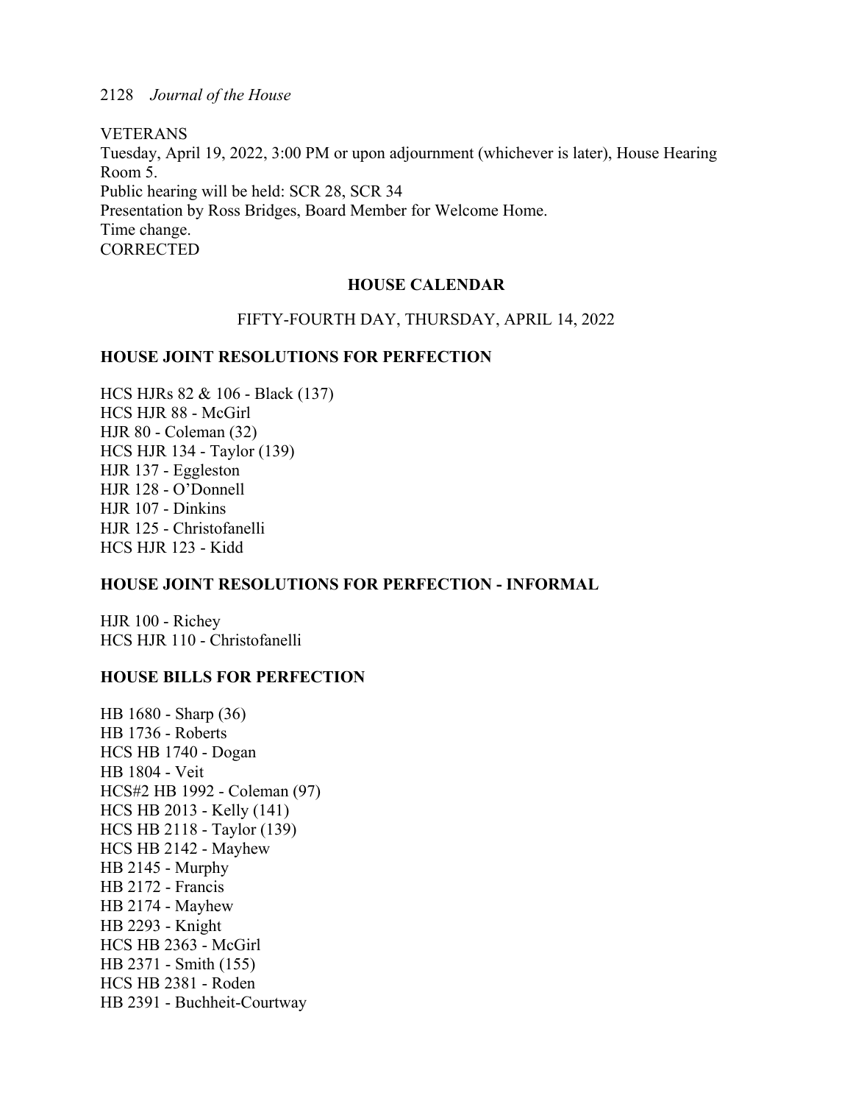VETERANS Tuesday, April 19, 2022, 3:00 PM or upon adjournment (whichever is later), House Hearing Room 5. Public hearing will be held: SCR 28, SCR 34 Presentation by Ross Bridges, Board Member for Welcome Home. Time change. **CORRECTED** 

### **HOUSE CALENDAR**

### FIFTY-FOURTH DAY, THURSDAY, APRIL 14, 2022

### **HOUSE JOINT RESOLUTIONS FOR PERFECTION**

HCS HJRs 82 & 106 - Black (137) HCS HJR 88 - McGirl HJR 80 - Coleman (32) HCS HJR 134 - Taylor (139) HJR 137 - Eggleston HJR 128 - O'Donnell HJR 107 - Dinkins HJR 125 - Christofanelli HCS HJR 123 - Kidd

### **HOUSE JOINT RESOLUTIONS FOR PERFECTION - INFORMAL**

HJR 100 - Richey HCS HJR 110 - Christofanelli

### **HOUSE BILLS FOR PERFECTION**

HB 1680 - Sharp (36) HB 1736 - Roberts HCS HB 1740 - Dogan HB 1804 - Veit HCS#2 HB 1992 - Coleman (97) HCS HB 2013 - Kelly (141) HCS HB 2118 - Taylor (139) HCS HB 2142 - Mayhew HB 2145 - Murphy HB 2172 - Francis HB 2174 - Mayhew HB 2293 - Knight HCS HB 2363 - McGirl HB 2371 - Smith (155) HCS HB 2381 - Roden HB 2391 - Buchheit-Courtway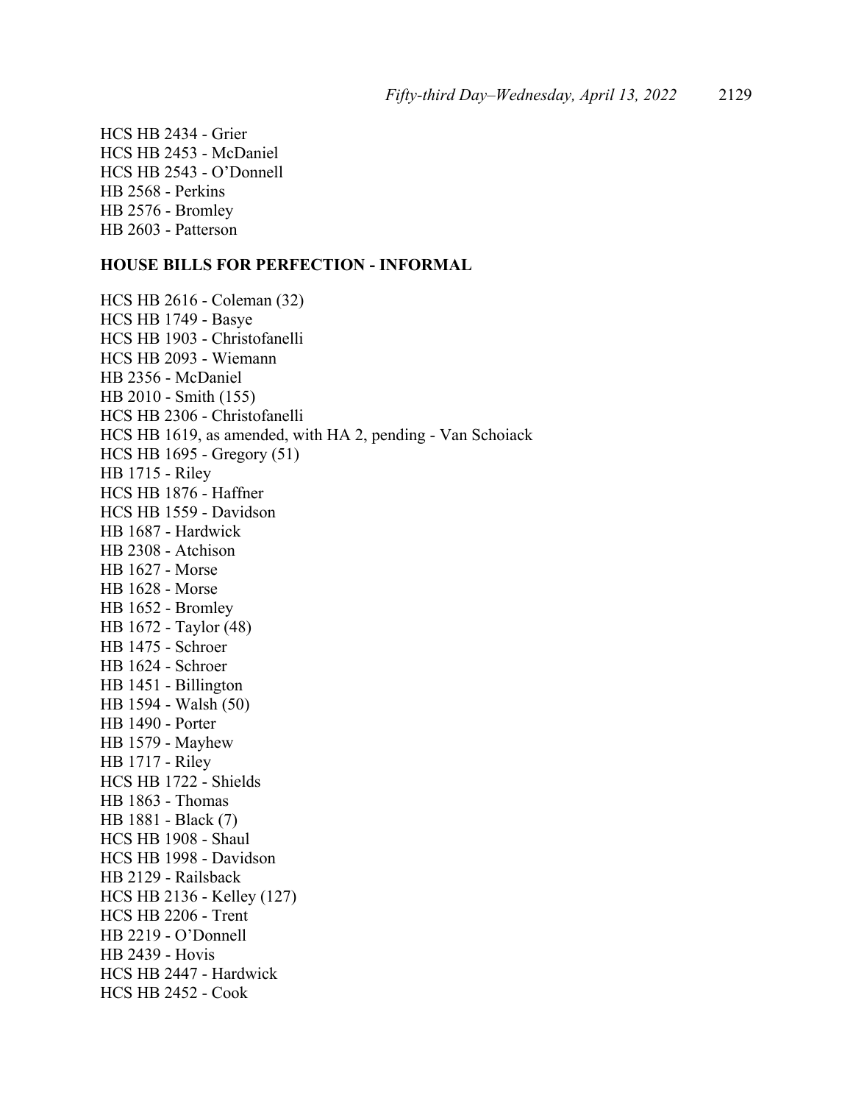HCS HB 2434 - Grier HCS HB 2453 - McDaniel HCS HB 2543 - O'Donnell HB 2568 - Perkins HB 2576 - Bromley HB 2603 - Patterson

### **HOUSE BILLS FOR PERFECTION - INFORMAL**

HCS HB 2616 - Coleman (32) HCS HB 1749 - Basye HCS HB 1903 - Christofanelli HCS HB 2093 - Wiemann HB 2356 - McDaniel HB 2010 - Smith (155) HCS HB 2306 - Christofanelli HCS HB 1619, as amended, with HA 2, pending - Van Schoiack HCS HB 1695 - Gregory (51) HB 1715 - Riley HCS HB 1876 - Haffner HCS HB 1559 - Davidson HB 1687 - Hardwick HB 2308 - Atchison HB 1627 - Morse HB 1628 - Morse HB 1652 - Bromley HB 1672 - Taylor (48) HB 1475 - Schroer HB 1624 - Schroer HB 1451 - Billington HB 1594 - Walsh (50) HB 1490 - Porter HB 1579 - Mayhew HB 1717 - Riley HCS HB 1722 - Shields HB 1863 - Thomas HB 1881 - Black (7) HCS HB 1908 - Shaul HCS HB 1998 - Davidson HB 2129 - Railsback HCS HB 2136 - Kelley (127) HCS HB 2206 - Trent HB 2219 - O'Donnell HB 2439 - Hovis HCS HB 2447 - Hardwick HCS HB 2452 - Cook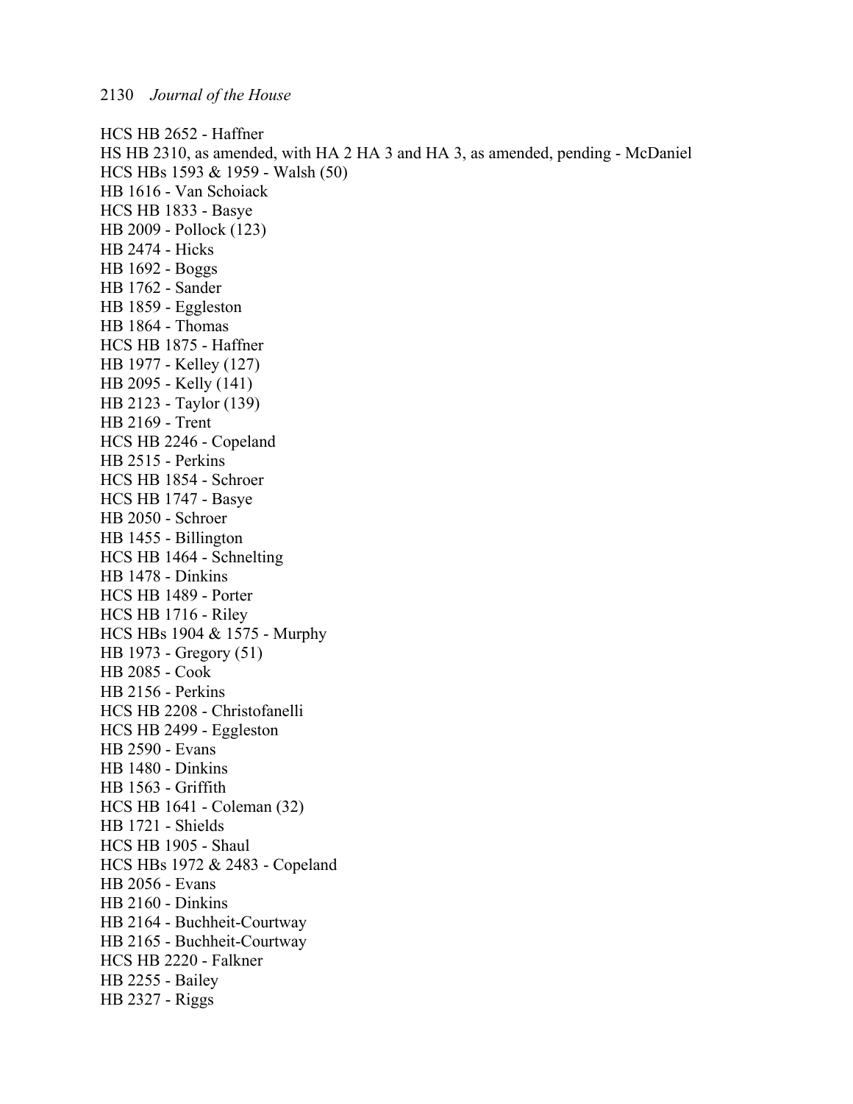HCS HB 2652 - Haffner HS HB 2310, as amended, with HA 2 HA 3 and HA 3, as amended, pending - McDaniel HCS HBs 1593 & 1959 - Walsh (50) HB 1616 - Van Schoiack HCS HB 1833 - Basye HB 2009 - Pollock (123) HB 2474 - Hicks HB 1692 - Boggs HB 1762 - Sander HB 1859 - Eggleston HB 1864 - Thomas HCS HB 1875 - Haffner HB 1977 - Kelley (127) HB 2095 - Kelly (141) HB 2123 - Taylor (139) HB 2169 - Trent HCS HB 2246 - Copeland HB 2515 - Perkins HCS HB 1854 - Schroer HCS HB 1747 - Basye HB 2050 - Schroer HB 1455 - Billington HCS HB 1464 - Schnelting HB 1478 - Dinkins HCS HB 1489 - Porter HCS HB 1716 - Riley HCS HBs 1904 & 1575 - Murphy HB 1973 - Gregory (51) HB 2085 - Cook HB 2156 - Perkins HCS HB 2208 - Christofanelli HCS HB 2499 - Eggleston HB 2590 - Evans HB 1480 - Dinkins HB 1563 - Griffith HCS HB 1641 - Coleman (32) HB 1721 - Shields HCS HB 1905 - Shaul HCS HBs 1972 & 2483 - Copeland HB 2056 - Evans HB 2160 - Dinkins HB 2164 - Buchheit-Courtway HB 2165 - Buchheit-Courtway HCS HB 2220 - Falkner HB 2255 - Bailey HB 2327 - Riggs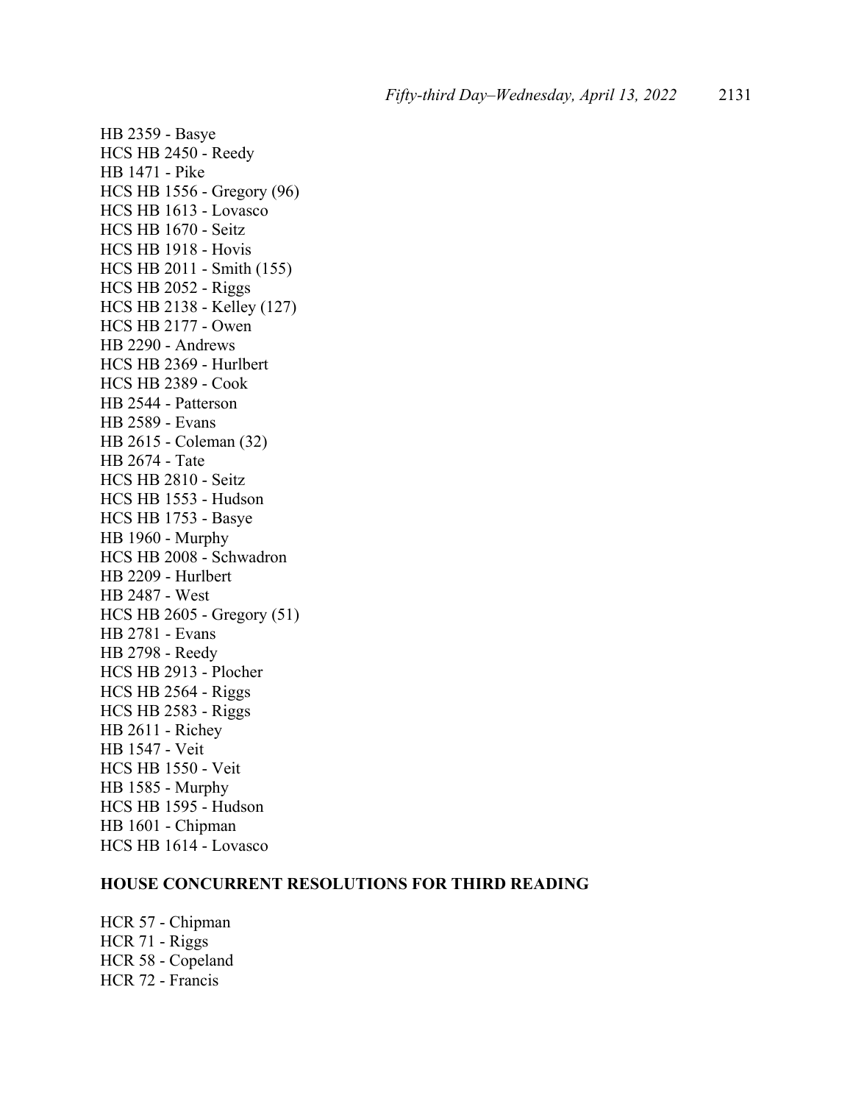HB 2359 - Basye HCS HB 2450 - Reedy HB 1471 - Pike HCS HB 1556 - Gregory (96) HCS HB 1613 - Lovasco HCS HB 1670 - Seitz HCS HB 1918 - Hovis HCS HB 2011 - Smith (155) HCS HB 2052 - Riggs HCS HB 2138 - Kelley (127) HCS HB 2177 - Owen HB 2290 - Andrews HCS HB 2369 - Hurlbert HCS HB 2389 - Cook HB 2544 - Patterson HB 2589 - Evans HB 2615 - Coleman (32) HB 2674 - Tate HCS HB 2810 - Seitz HCS HB 1553 - Hudson HCS HB 1753 - Basye HB 1960 - Murphy HCS HB 2008 - Schwadron HB 2209 - Hurlbert HB 2487 - West HCS HB 2605 - Gregory (51) HB 2781 - Evans HB 2798 - Reedy HCS HB 2913 - Plocher HCS HB 2564 - Riggs HCS HB 2583 - Riggs HB 2611 - Richey HB 1547 - Veit HCS HB 1550 - Veit HB 1585 - Murphy HCS HB 1595 - Hudson HB 1601 - Chipman HCS HB 1614 - Lovasco

### **HOUSE CONCURRENT RESOLUTIONS FOR THIRD READING**

HCR 57 - Chipman HCR 71 - Riggs HCR 58 - Copeland HCR 72 - Francis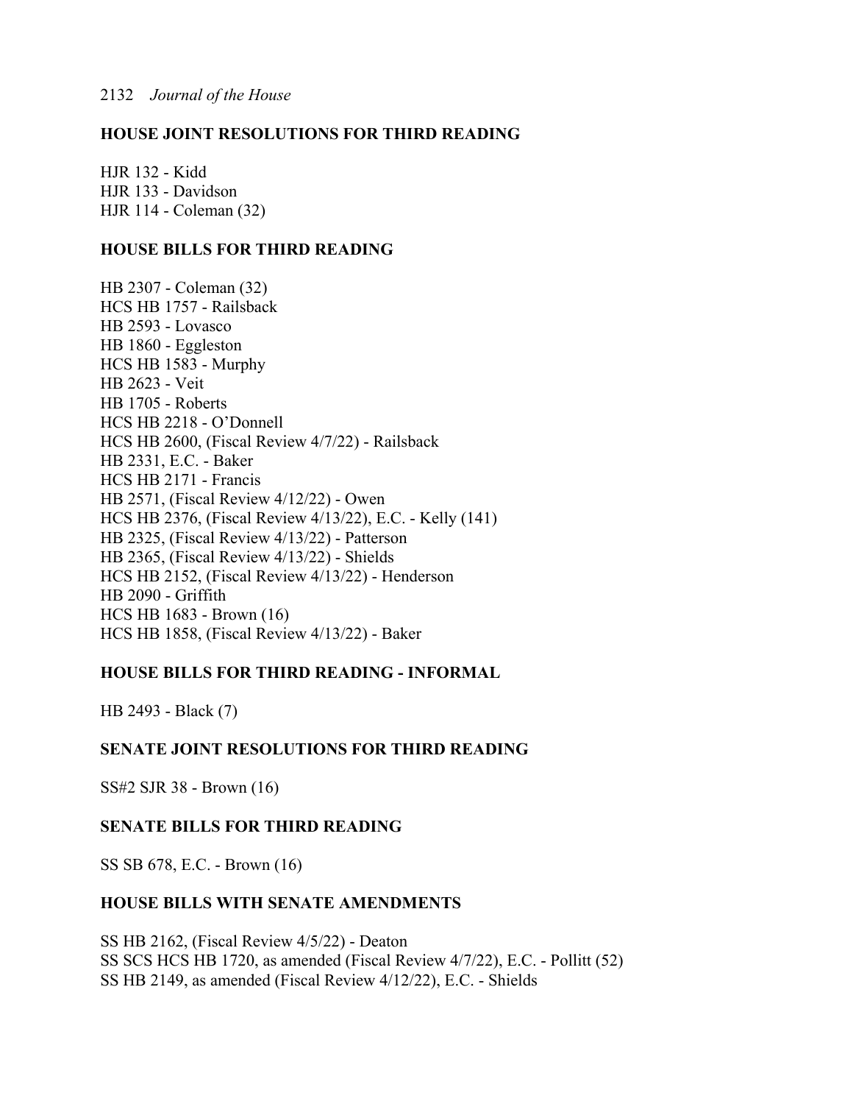### **HOUSE JOINT RESOLUTIONS FOR THIRD READING**

HJR 132 - Kidd HJR 133 - Davidson HJR 114 - Coleman (32)

### **HOUSE BILLS FOR THIRD READING**

HB 2307 - Coleman (32) HCS HB 1757 - Railsback HB 2593 - Lovasco HB 1860 - Eggleston HCS HB 1583 - Murphy HB 2623 - Veit HB 1705 - Roberts HCS HB 2218 - O'Donnell HCS HB 2600, (Fiscal Review 4/7/22) - Railsback HB 2331, E.C. - Baker HCS HB 2171 - Francis HB 2571, (Fiscal Review 4/12/22) - Owen HCS HB 2376, (Fiscal Review 4/13/22), E.C. - Kelly (141) HB 2325, (Fiscal Review 4/13/22) - Patterson HB 2365, (Fiscal Review 4/13/22) - Shields HCS HB 2152, (Fiscal Review 4/13/22) - Henderson HB 2090 - Griffith HCS HB 1683 - Brown (16) HCS HB 1858, (Fiscal Review 4/13/22) - Baker

### **HOUSE BILLS FOR THIRD READING - INFORMAL**

HB 2493 - Black (7)

### **SENATE JOINT RESOLUTIONS FOR THIRD READING**

SS#2 SJR 38 - Brown (16)

### **SENATE BILLS FOR THIRD READING**

SS SB 678, E.C. - Brown (16)

### **HOUSE BILLS WITH SENATE AMENDMENTS**

SS HB 2162, (Fiscal Review 4/5/22) - Deaton SS SCS HCS HB 1720, as amended (Fiscal Review 4/7/22), E.C. - Pollitt (52) SS HB 2149, as amended (Fiscal Review 4/12/22), E.C. - Shields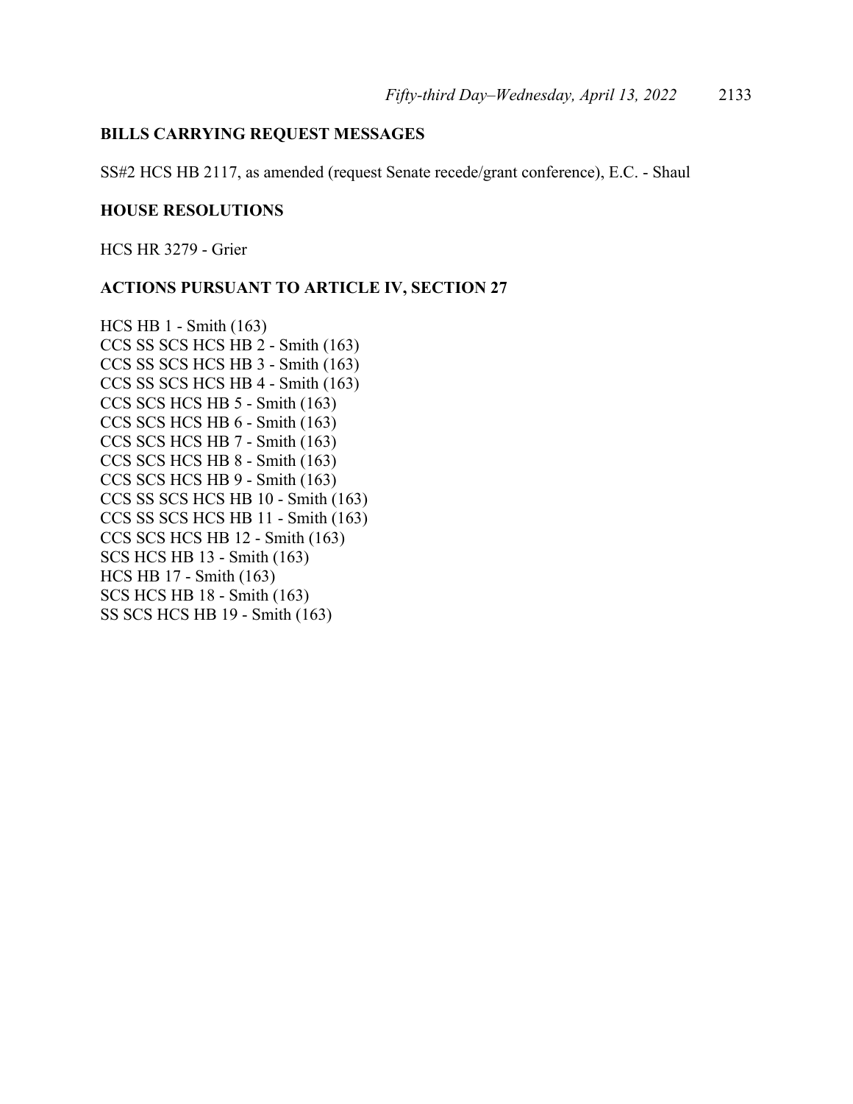### **BILLS CARRYING REQUEST MESSAGES**

SS#2 HCS HB 2117, as amended (request Senate recede/grant conference), E.C. - Shaul

### **HOUSE RESOLUTIONS**

HCS HR 3279 - Grier

### **ACTIONS PURSUANT TO ARTICLE IV, SECTION 27**

HCS HB 1 - Smith (163) CCS SS SCS HCS HB 2 - Smith (163) CCS SS SCS HCS HB 3 - Smith (163) CCS SS SCS HCS HB 4 - Smith (163) CCS SCS HCS HB 5 - Smith (163) CCS SCS HCS HB 6 - Smith (163) CCS SCS HCS HB 7 - Smith (163) CCS SCS HCS HB 8 - Smith (163) CCS SCS HCS HB 9 - Smith (163) CCS SS SCS HCS HB 10 - Smith (163) CCS SS SCS HCS HB 11 - Smith (163) CCS SCS HCS HB 12 - Smith (163) SCS HCS HB 13 - Smith (163) HCS HB 17 - Smith (163) SCS HCS HB 18 - Smith (163) SS SCS HCS HB 19 - Smith (163)